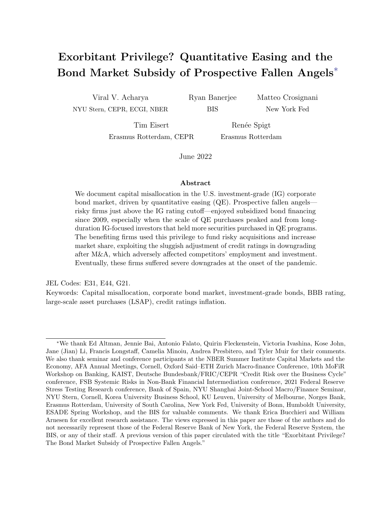# Exorbitant Privilege? Quantitative Easing and the Bond Market Subsidy of Prospective Fallen Angels∗

Viral V. Acharya NYU Stern, CEPR, ECGI, NBER Ryan Banerjee BIS

Matteo Crosignani New York Fed

Tim Eisert Erasmus Rotterdam, CEPR

Renée Spigt Erasmus Rotterdam

June 2022

#### Abstract

We document capital misallocation in the U.S. investment-grade (IG) corporate bond market, driven by quantitative easing (QE). Prospective fallen angels risky firms just above the IG rating cutoff—enjoyed subsidized bond financing since 2009, especially when the scale of QE purchases peaked and from longduration IG-focused investors that held more securities purchased in QE programs. The benefiting firms used this privilege to fund risky acquisitions and increase market share, exploiting the sluggish adjustment of credit ratings in downgrading after M&A, which adversely affected competitors' employment and investment. Eventually, these firms suffered severe downgrades at the onset of the pandemic.

JEL Codes: E31, E44, G21.

Keywords: Capital misallocation, corporate bond market, investment-grade bonds, BBB rating, large-scale asset purchases (LSAP), credit ratings inflation.

<sup>∗</sup>We thank Ed Altman, Jennie Bai, Antonio Falato, Quirin Fleckenstein, Victoria Ivashina, Kose John, Jane (Jian) Li, Francis Longstaff, Camelia Minoiu, Andrea Presbitero, and Tyler Muir for their comments. We also thank seminar and conference participants at the NBER Summer Institute Capital Markets and the Economy, AFA Annual Meetings, Cornell, Oxford Said–ETH Zurich Macro-finance Conference, 10th MoFiR Workshop on Banking, KAIST, Deutsche Bundesbank/FRIC/CEPR "Credit Risk over the Business Cycle" conference, FSB Systemic Risks in Non-Bank Financial Intermediation conference, 2021 Federal Reserve Stress Testing Research conference, Bank of Spain, NYU Shanghai Joint-School Macro/Finance Seminar, NYU Stern, Cornell, Korea University Business School, KU Leuven, University of Melbourne, Norges Bank, Erasmus Rotterdam, University of South Carolina, New York Fed, University of Bonn, Humboldt University, ESADE Spring Workshop, and the BIS for valuable comments. We thank Erica Bucchieri and William Arnesen for excellent research assistance. The views expressed in this paper are those of the authors and do not necessarily represent those of the Federal Reserve Bank of New York, the Federal Reserve System, the BIS, or any of their staff. A previous version of this paper circulated with the title "Exorbitant Privilege? The Bond Market Subsidy of Prospective Fallen Angels."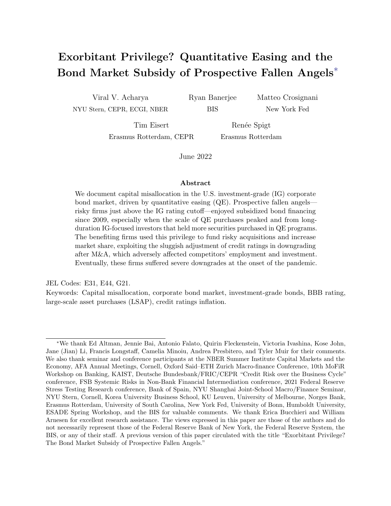# 1 Introduction

Risky firms just above the investment-grade (IG) cutoff, i.e., risky BBB-rated firms, face the prospect of becoming "fallen angels" upon a downgrade and experiencing a steep increase in their cost of borrowing. Despite this risk, the BBB segment of the corporate bond market has been the fastest-growing IG rating category since the Global Financial Crisis (GFC). Between 2008 and 2020, the amounts outstanding of BBB-rated bonds have more than tripled in size to \$3.5 trillion, representing 55% of all investment-grade debt, up from 33% in 2008. During the same period, Figure 1 shows that BBB bond spreads dropped from around 400 basis points to around 150 basis points (left panel); however, the profitability of BBB-rated firms did not keep up with their increased indebtedness (right panel). These dynamics are unique to the BBB rating category. Other IG bond spreads did not fall as much during the same period and other IG-rated issuers actually improved their debt-to-profitability ratio. Indeed, BBB-rated firms also exhibit higher book and market leverage over the 2009-2019 period, whereas for other IG firms leverage declined.

In many respects, the growth of risky IG bonds may be a desired outcome of monetary policy easing post the GFC. In particular, Quantitative Easing (QE) has aimed to push investors into riskier assets by lowering the yields on government and mortgage-backed bonds (Gagnon et al., 2011), and lowering in turn the yields on these other (long-term) riskier assets (Krishnamurthy and Vissing-Jorgensen, 2011). However, the growing concentration of



Figure 1: Increased fragility and lower bond financing costs for BBB-rated firms. This figure shows the increasing fragility and the declining bond financing costs for BBB-rated firms. The left panel shows the offering spread (primary market bond yields minus the Treasury yield with a similar maturity) for newly issued bonds. The right panel shows the asset-weighted debt over EBITDA for BBB and other IG-rated firms. Figure G.3 provides further non-parametric evidence that the bond financing cost of BBB firms dropped significantly, more than the financing costs of other IG issuers.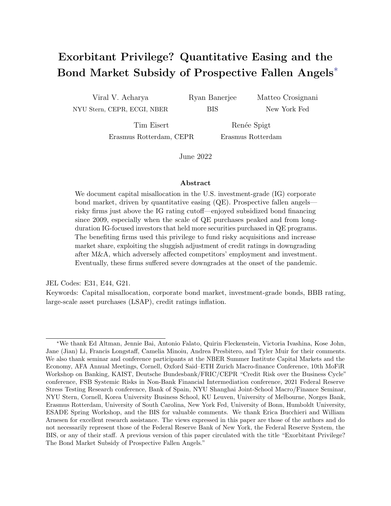issuance in the riskiest IG bucket also comes with a buildup of vulnerabilities in the corporate sector. In particular, the fragility of the BBB bonds and issuers materialized at the onset of the COVID-19 crisis. The volume of debt downgraded from BBB in a few weeks at the beginning of 2020—in many cases by multiple notches—was more than two times larger than the volume of similar downgrades during the entire GFC. These observations were echoed in the remarks made on March 20, 2020 by the Secretary of the Treasury Yellen, who stated that \Non-nancial corporations entered this crisis with enormous debt loads, and that is a vulnerability. They had borrowed excessively in my view through issuing corporate bonds and leveraged loans. Arguably, this was a borrowing binge that was incented by the long period we had of low interest rates. Investors were also engaged in a search for yield, so this debt was attractive to pension funds, insurance companies, and investors [...]". The materialization of this vulnerability likely led to the Federal Reserve stepping in to stabilize the U.S. corporate bond market in the wake of the COVID-19 shock.<sup>1</sup>

In this paper, we provide a potential explanation for these phenomena by examining the causes and consequences of an exorbitant privilege in the form of a bond market subsidy for "prospective fallen angels", i.e., firms on the cusp of the investment-grade cutoff. We classify prospective fallen angels as BBB-rated firms that are vulnerable to downgrades, and show that BBB bond growth has largely been driven by such firms. Our analysis shows that prospective fallen angels have benefited from investors subsidizing their bond financing since 2009, especially when QE peaked during 2013–2016.

Importantly, we document that investors highly exposed to the Federal Reserve QE and typically investing in long-duration IG assets drive the demand for bonds issued by prospective fallen angels.<sup>2</sup> This pattern is consistent with a delay in the balance-sheet normalization by the Federal Reserve following the "taper tantrum" of 2013, keeping rates low for longer and

<sup>&</sup>lt;sup>1</sup>Remarks by Secretary Yellen were made at the "COVID-19 and the economy" webinar at Brookings Institution [\(link\)](https://www.brookings.edu/wp-content/uploads/2020/03/es_20200330_covid_economy_transcript.pdf). See Gilchrist et al. (2020) for details on the impact of the Federal Reserve's intervention on fallen angels.

<sup>&</sup>lt;sup>2</sup>In practice, investors such as insurance companies seek out a greater quantity of riskier IG assets to meet their promised liabilities as IG assets are close substitutes for securities such as Treasuries purchased (and whose yields as a result get compressed) by the Fed in QE programs.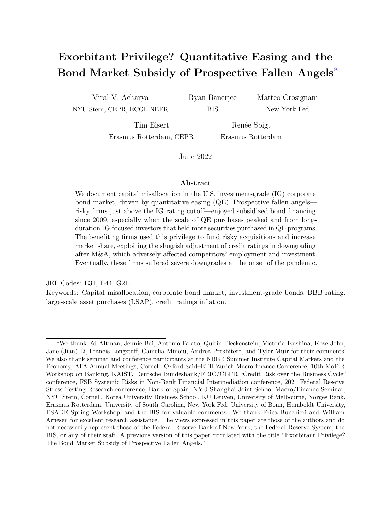inducing in a set of financial intermediaries a search for risk due to net-worth considerations. Prospective fallen angels meet this demand of long-duration IG-focused QE-exposed investors by issuing bonds, largely to finance risky acquisitions. In conjunction, rating agencies in normal times appear to inflate ratings and delay downgrades for these firms that engage in M&A transactions, reinforcing the demand for their bonds by QE-exposed investors. Finally, we document that this exorbitant privilege of prospective fallen angels appears to have had real effects, as these firms increase their market share via M&As and exert negative externalities on more prudent firms similar to the congestion effect created by zombie firms (see, among others, Cabellero at al., 2008) .3

Our empirical analysis illustrating this mechanism combines various data sources at the issuer-level, bond-level, and investor-level. We use issuer-level data from Compustat and WRDS Capital IQ, and ratings data from Standard and Poor's, Moody's, and Fitch. Our bond-level data consists of primary market prices from Mergent and secondary market prices from TRACE. Finally, for a crucial part of our analysis that highlights the demand for risky bonds arising from IG-focused investors exposed to QE, we use investor holding-level data from eMAXX Bond Holders matched with security-level holdings in the Federal Reserve System Open Market Account (SOMA) portfolio.

We begin our empirical analysis by introducing a measure of downgrade-vulnerability based on the Altman Z"-score (Altman, 2020), a variable built with balance sheet and income statement information. Specifically, we classify a firm as "downgrade-vulnerable" if its Z"-score is lower than the historical median Z"-score of the next lowest rating category. We confirm the validity of our measure by documenting that downgrade-vulnerable firms (i)

<sup>3</sup>Anecdotal evidence supports our narrative. For example, consider the consumer product giant Newell Brands, which we classify as a prospective fallen angel since 2014. Newell Brands enjoyed bond spreads 30–50 basis points below the median bond spreads of BBB-rated firms and used this cheap financing, at least partly, to finance acquisitions from 2014 to 2017. For example, Newell Brands acquired Jarden in 2016, leading to an increase in leverage (gross debt/EBITDA) from 3 to 4.5. While the acquisition was accompanied by a promise to delever to 3–3.5 in 2–3 years, Newell Brands became more fragile post-M&A, an evolution not reflected by its credit ratings. In 2015, S&P rated the firm BBB- while our balance sheet implied rating was just B. S&P maintained a BBB- rating until 2018 even if our balance sheet implied rating dropped to CCC+ by that time. Newell Brands became eventually a fallen angel, dropping below the IG cutoff, only in 2019.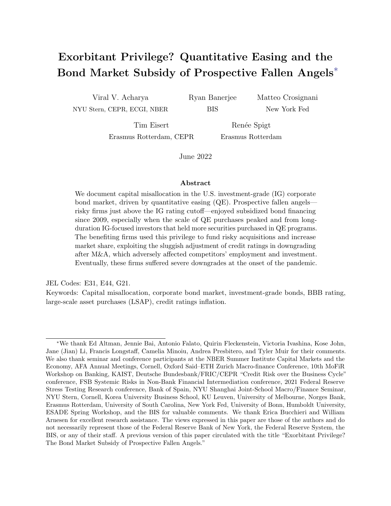look worse along various observable firm characteristics, such as leverage, profitability, net worth, and interest coverage ratio; (ii) exhibit lower employment growth, investment, sales, and asset growth once they become vulnerable; and (iii) are more likely to be downgraded or put on negative watchlist/outlook than non-downgrade-vulnerable firms.

Using this measure, we define a "prospective fallen angel" as a BBB-rated firm that is vulnerable to being downgraded.<sup>4</sup> We show that prospective fallen angels benefit from *ratings* in
ation, defined as the difference between an issuer's credit rating as implied by its Z"-score and its observed credit rating. The ratings inflation for prospective fallen angels has been substantially increasing since 2009. Next, we document that there has been a reduction in bond spreads in the BBB segment, primarily driven by prospective fallen angels. The decline has been so dramatic that these firms have been able to obtain cheaper funding than their safer, i.e., non-downgrade-vulnerable counterparts, in the BBB rating class (Figure 2, left panel). Crucially, this pattern is only present for BBB-rated firms. We do not find analogous evidence in other rating categories. Moreover, such pattern in borrowing cost is not observed in corporate bond markets pre-2009. When replacing the bond spread with an equity market based measure of expected default, spreads in syndicated loan markets, or bond spreads before the GFC, we find that across all rating categories (including BBB), downgrade-vulnerable firms have higher—not lower—funding costs.

In other words, we identify for the BBB-rated firms a corporate bond market subsidy, which we refer to as the "exorbitant privilege" of prospective fallen angels. The total subsidy that accrues to the firm is the interest expense savings over the lifetime of its issued bonds and is shown in the right panel of Figure 2 for different rating categories. The subsidy consists of two components. For instance, for BBB rating, one component derives from the relative subsidy in bond financing for prospective fallen angels within the BBB rating bucket, shown by the grey bar. The second component, shown by the green bar, is the interest saving that accrues to prospective fallen angels from not being downgraded to a speculative-grade rating;

<sup>&</sup>lt;sup>4</sup>In 2018, the corporate bond volume of prospective fallen angels amounted to \$1.5 trillion (\$0.5 trillion in 2009), compared to the \$0.5 trillion of BBB non-downgrade-vulnerable firms (\$0.25 trillion in 2009).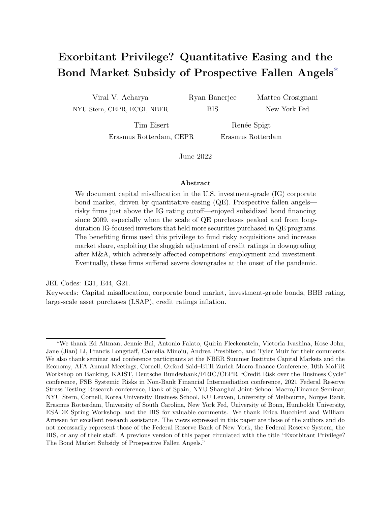

Figure 2: The privilege of prospective fallen angels. The left panel shows the difference in basis points between the mean offering spread of firms defined as being downgrade-vulnerable and the mean offering spread of non-downgrade-vulnerable firms in the same rating category. We classify a firm as downgrade-vulnerable if its estimated Z"-score is lower than the Altman Z"-score benchmark of the next lowest rating category. The right panel plots the total interest expenses that downgrade-vulnerable firms do not have to bear over the lifetime of their bonds, by not being downgraded to the next lowest rating category. The green bars are the difference between the mean offering spread of downgrade-vulnerable firms in a given rating category relative to the mean offering spread of non-downgrade-vulnerable firms in the next lowest rating category, multiplied by the average maturity and the total offering amount of the bonds in the downgrade-vulnerable rating category over the years 2009–2019. The bar in grey is based on the spread difference, if positive, between non-downgrade-vulnerable firms and downgrade-vulnerable firms. This component of the subsidy is computed by multiplying the aforementioned spread difference by the average maturity and the total offering amount of the bonds in the downgrade-vulnerable BBB rating category over the years 2009–2019.

here, differences in the investor clientele and capital requirements between investment-grade and speculative-grade segments drive a big wedge in funding costs.<sup>5</sup> In total, we estimate that the subsidy accruing to prospective fallen angels amounted to \$307 billion between 2009 and 2019.

We argue, and provide a conceptual framework for it in Appendix B, that such an exorbitant privilege in the form of a bond-market subsidy for prospective fallen angels can arise in equilibrium due to a higher investor demand for IG bonds, but within IG for riskier corporate bonds. This high demand induces prospective fallen angels to take on more debt and increase their risk-taking, an activity that does not attract a rating downgrade in normal times due to the sluggishness of rating agencies in adjusting ratings at the cusp of IG. Our

<sup>&</sup>lt;sup>5</sup>For example, insurance companies face risk-based capital requirements for their holdings of corporate bonds. These requirements are progressively steeper with credit ratings, especially if the IG threshold is crossed [\(https://content.naic.org/sites/default/files/inline](https://content.naic.org/sites/default/files/inline-files/Master%20NAIC%20Designation%20and%20Category%20grid%20-%202020.pdf)[files/Master%20NAIC%20Designation%20and%20Category%20grid%20-%202020.pdf\)](https://content.naic.org/sites/default/files/inline-files/Master%20NAIC%20Designation%20and%20Category%20grid%20-%202020.pdf).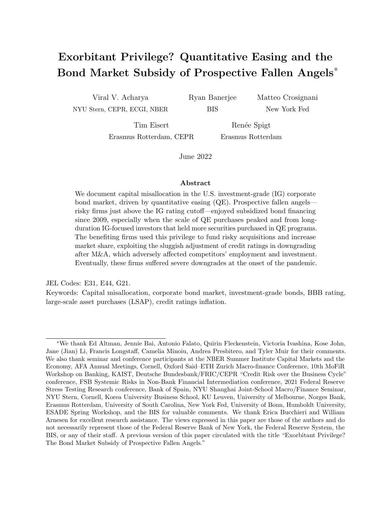empirical tests that tease out this chain of logic are structured in three parts.

First, we show that investors exposed to QE drive the demand for downgrade-vulnerable IG corporate bonds. We define investor-level time-varying QE exposure as the share of investor total treasury holdings that are purchased by the Federal Reserve. Exploiting the granularity of our bond holdings data, we compare, in each quarter, holdings of bonds issued by the same firm that are held by investors with a different exposure to QE. The correlation between the investor bond holdings and investor exposure to QE is more pronounced for (i) bonds issued by prospective fallen angels, and (ii) long-duration investors that invest mostly in IG bonds.<sup>6</sup>

Second, we show prospective fallen angels meet the QE-induced demand by IG investors by supplying bonds largely for the purpose of financing risky acquisitions. These M&A deals allow prospective fallen angels to delay downgrades (the short-term probability of being downgraded to high-yield is close to zero for prospective fallen angels that conduct an M&A transaction). Announcements of acquisitions are usually accompanied by rosy forecasts about synergies and growth, and, more importantly, a promise to reduce the debt taken on to finance the acquisition, which induces rating agencies to be more lenient with these firms. However, data indicate that these mostly end up being broken promises. The resulting buildup of vulnerability over the extended period of QE led to an unprecedented wave of fallen angels, who were downgraded often by multiple notches at the onset of the COVID-19 pandemic, almost entirely among those firms that engaged in M&A (see Figure 5 and Figure 13).

Third, we show that the privilege of prospective fallen angels, and the related increase in their market share, adversely affects competing firms and therefore has real spillovers. Non-downgrade-vulnerable firms operating in an industry with a larger share of prospective fallen angels have lower employment growth rates, lower investment levels, lower sales growth

<sup>&</sup>lt;sup>6</sup>In particular, the results appear to be driven by insurers with variable annuities and open-ended debt mutual funds, focused on IG bond investments. In addition to helping understand the mechanism behind the subsidy for prospective fallen angels, the *within-rm* test based on  $QE$ -exposure of different investors clarifies that it is unlikely that the bond-market subsidy we uncover is driven by a BBB-firm-level "error" in Altman Z"-score rendering it mistakenly as a downgrade-vulnerable firm.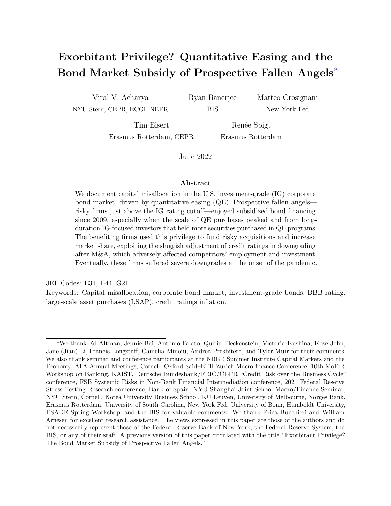rates, and lower markups compared with non-downgrade-vulnerable firms operating in an industry with a lower share of prospective fallen angels. Crucially, we do not find negative spillover effects when focusing on the overall share of downgrade-vulnerable firms, highlighting that the spillover effects arise only from prospective fallen angels which enjoy the exorbitant privilege in bond markets from long-duration IG-focused QE-exposed investors.

The remainder of the paper is structured as follows. Section 2 discusses the related literature. Section 3 presents the data, our measure of downgrade vulnerability, and the definition of prospective fallen angels. Section 4 documents the rapid growth of the BBB-rated issuers after the global financial crisis. Section 5 documents that prospective fallen angels have benefited from a bond financing subsidy, especially during 2013–16. Section 6 shows that this subsidy originates in QE-driven investor demand for IG bonds. Section 7 documents the sizable increase in M&A activity of downgrade-vulnerable firms (and prospective fallen angels in particular) and explains how this dynamic is consistent with an equilibrium response to the QE-induced demand riskier IG bonds. Section 8 discusses the industry spillovers of the subsidy enjoyed by prospective fallen angels. Section 9 concludes.

# 2 Related literature

Our findings contribute to four inter-related strands of literature.

First, we contribute to the literature on the transmission of QE. This large literature has documented the effect of QE on asset prices (e.g., Krishnamurthy and Vissing-Jorgensen (2011)), lending outcomes (e.g., Acharya et al. (2019); Luck and Zimmermann (2020); Rodnyansky and Darmouni (2017)), and firm financing constraints (e.g., Di Maggio et al. (2020); Foley-Fisher et al. (2016)). In terms of macroeconomic outcomes, Fabo et al. (2021) document that only half of the academic papers find a statistically significant effect of QE on output. Our paper documents QE-induced capital misallocation (especially once QE peaked but long rates were kept low for longer), an important unintended consequence that might contribute to financial vulnerability, such as the materialization of corporate bond market stress at the onset of the pandemic. In this vein, our paper is related to the speeches by Rajan (2013) and Stein (2013) who warned about the risks of QE in terms of excessive financial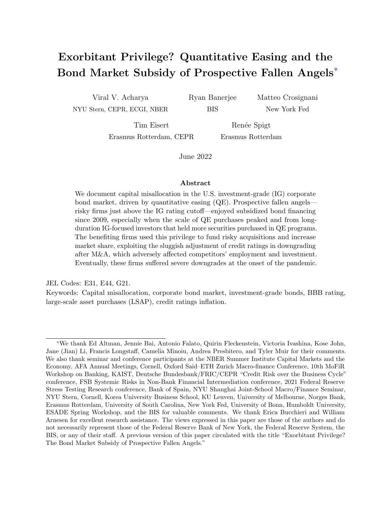risk-taking; while they focused on likely distortions in the junk bond market, leveraged loan market, and real-estate investment trust (REIT) borrowings; our paper shows that distortions have materialized even in the space of downgrade-vulnerable investment-grade bonds.

Second, we contribute to the literature on capital misallocation and fragility in corporate borrowing markets. The documented vulnerability of the investment-grade bond market since 2009 is consistent with warning signs from academics and practitioners about the BBB market (Altman, 2020; S&P Global, 2020a; Blackrock, 2020; Morgan Stanley, 2018a,b) and partly explains the large price drop of investment-grade corporate bonds at the onset of the COVID-19 pandemic (Haddad et al., 2021; Boyarchenko et al., 2021; Altman, 2020).7 The special role of the BBB market is consistent with the role of fire sale (cliff) risk documented in the literature (Falato et al., 2021b,a; Gilchrist et al., 2020; Acharya and Steffen, 2020). More generally, our findings are related to the literature on the misallocation of bank credit (Caballero et al., 2008; Acharya et al., 2020) and of other forms of financing (Midrigan and Xu, 2014; Whited and Zhao, 2021) as well as the role of low interest rates on misallocation (Banerjee and Hofmann, 2018, 2020). Our findings also fit the broader historical evidence documenting that low credit spreads and credit growth increase the probability of crises (Krishnamurthy and Muir, 2020; Gilchrist and Zakrajsek, 2012; Greenwood et al., forthcoming).

Third, we contribute to the literature on the real effects of frictions in investor portfolio choice. Consistent with the framework in Vayanos and Vila (2021), a few recent papers document the role of bond investors in the transmission of monetary policy (e.g., Ahmed et al.  $(2021)$ ; Darmouni et al.  $(2021)$ .<sup>8</sup> Our paper documents that the reliance of bond investors on the IG cutoff, and thus on credit ratings, has interacted with QE policies – especially via their impact on yields of long-duration assets – to create capital misallocation and buildup of vulnerabilities in the massive BBB corporate bond market.

<sup>7</sup>Haddad et al. (2021) show that the extreme price movements at the onset of the COVID-19 pandemic were mostly in the safer end of the investment-grade market, consistent with investors trying to liquidate a large set of positions in bonds. See also Ivashina and Vallée (2020) for an analysis of fragility and reaching-for-yield behavior in the leveraged loan market.

<sup>8</sup>See also Kubitza (2021) and Greenwood and Vissing-Jorgensen (2018) who analyze how the portfolio choice of insurance companies affect firms and the yield curve, respectively.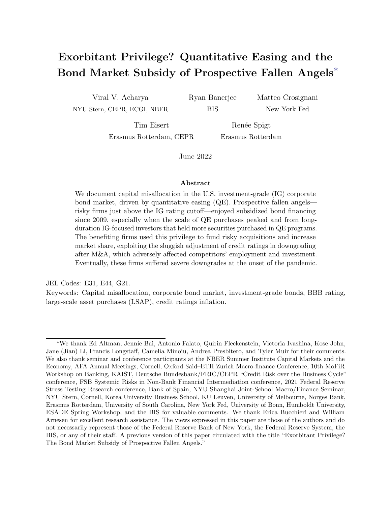Fourth, we contribute to the literature on credit ratings. A large body of literature has shown that credit ratings affect investors' portfolio choice (Guerrieri and Kondor, 2012; Cornaggia and Cornaggia, 2013; Iannotta et al., 2019; Baghai et al., 2020). Becker and Ivashina (2015) show that, within rating categories, investors reaching-for-yield might tilt their portfolio toward riskier assets. Goldstein and Huang (2020) show that, this behavior might, in equilibrium, induce credit rating agencies to inflate their ratings. Credit ratings inflation is discussed in, among others, Herpfer and Maturana (2021) who show that credit rating agencies are less likely and slower to downgrade firms with "performance-sensitive debt." Finally, our paper is also related to Aktas et al. (forthcoming) who show that investment-grade firms are concerned in their M&A activity about acquisition-related downgrades; however, we find that such concern appear to be less in the case of prospective fallen angels due to QE-induced demand for their bonds and rating agency leniency.

### 3 Identifying prospective fallen angels

In this section, we describe our data and explain our strategy to identify downgrade-vulnerable firms, including prospective fallen angels. Section 3.1 describes our data sources and data construction. Section 3.2 introduces our definition of downgrade-vulnerable firms and presents evidence of substantial and increasing rating inflation for BBB-rated firms since 2009.

### 3.1 Data

Our main data set consists of firm-level, bond-level, and investor-level data from 2009 to 2019. See Appendix A for a detailed explanation of our data sources and data construction.

The firm-level data includes debt capital structure data, balance sheet information, and rating information. The debt capital structure data is from WRDS Capital IQ, which provides extensive capital structure information for over 60,000 public and private companies globally. The balance sheet data is from Compustat North America, which provides annual report information of listed American and Canadian firms. Rating information is from Refinitiv Eikon, which provides worldwide coverage on ratings from S&P, Moody's, and Fitch. We follow Becker and Milbourn (2011) in mapping credit ratings into numerical values (see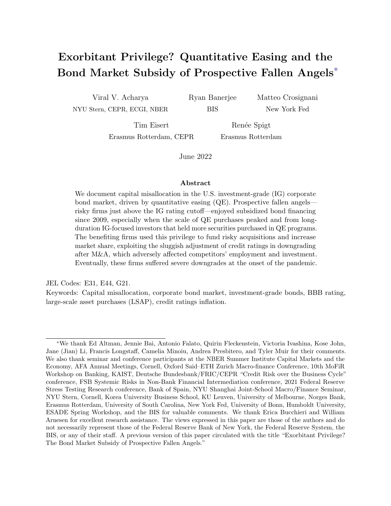Appendix A). Lastly, we use ThomsonOne for mergers and acquisitions data. Combining these various data sources, we analyze 6,145 firms.

The bond-level data set consists of pricing information for the U.S. corporate bond market. For the primary market, we use Mergent Fixed Income Securities Database (FISD), a fixed income database that includes issue details of publicly-offered U.S. bonds. We examine 6,460 bond issues by 909 issuers. For the secondary market, we obtain data from TRACE, a database of real-time secondary market information on transactions in the corporate bond market. We examine 7,741 outstanding bonds issued by 1,146 firms. To compute primary and secondary market corporate bond spreads, we follow Gilchrist and Zakrajsek (2012) and compute the spread relative to the yield on a synthetic US treasury with the same cash flows as the corporate bond. In addition, we follow Faust et al. (2013) and further adjust the spreads of callable bonds to account for the influence of risk-free rates on the option value of these bonds. In our analysis of the COVID-19 crisis, we extend our data set to 2020.

The investor-level data is from eMAXX Bond Holders data from Refinitiv, a detailed data set of security-level holdings by individual investors at a quarterly frequency. We match this data with the Fed security-level holdings in the SOMA portfolio (this data is publicly available on the website of the New York Fed). We further match this data with issuer- and security-level data from the rest of our analysis and collapse holdings within an investor at the issuer-level. The investor-level data has information on 2,750 investors, mostly property and casualty insurance policies (934), mutual funds (800), life and health insurance policies (590), and annuities (223) covering investments in 1,442 corporate bond issuers.

### 3.2 Downgrade-vulnerable firms

We define downgrade-vulnerable firms based on the Altman Z"-score, a measure of credit risk calculated from income statement and balance sheet information (Altman, 2020). The Altman Z"-score is defined as:

$$
Z" = 6.56 \quad \frac{Current\ Assets \quad Current\ Liabilities}{Total\ Assets} + 3.26 \frac{Retained\ Earning}{Total\ Assets} + 6.72 \frac{EBIT}{Total\ Assets} + 1.05 \frac{Book\ Value\ of\ Equity}{Total\ Liabilities}
$$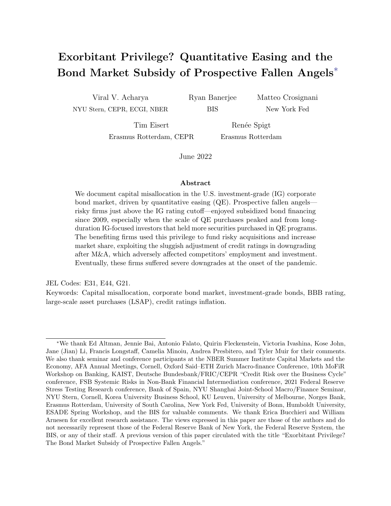

Figure 3: High and increasing credit ratings inflation for BBB-rated issuers. This figure shows credit ratings inflation across rating categories. The left panel shows credit ratings inflation based on firm Z"-score relative to Z"-scores of firms in lower ratings buckets. Credit ratings inflation is equal to zero if an issuer has a Z"-score above the median Z"-score of firms in the next lower rating category, otherwise credit ratings inflation is calculated as the number of notches between the issuer's credit rating notch (e.g., AA+, AA, AA-, A) and the credit rating notch implied by its Z"-score. The figure shows asset weighted credit ratings inflation in each year. The right panel shows how being classified as downgrade-vulnerable correlates with an actual downgrade across rating categories. The line shows, for each rating category, the estimated β<sub>1</sub> coefficient from the following regression specification:  $Y_{iht+1} = \beta_1$ V ulnerable<sub>iht</sub> +  $\beta_2 X_{iht} + \mu_{ht} + \epsilon_{iht+1}$ , where i is a firm, h an industry, t a year,  $Y_{iht+1}$  is a dummy equal to one in the case of a downgrade event in  $t+1$  (to qualify as downgrade event, a firm must be downgraded by at least one rating category in year  $t+1$ , i.e. a firm that has a rating of  $A_+$ ,  $A$ , or  $A_-$  is downgraded to at least  $BBB_+$ ), Vulnerable is a dummy equal to one if a firm is downgrade-vulnerable in period t,  $\mu_{ht}$  are industry-year fixed effects, and  $X_{iht}$  is a vector of controls (log of total assets, leverage, and interest coverage ratio). The error bars represent 95 percent confidence intervals, with standard errors clustered at the firm-level.

Specifically, we classify a firm as downgrade-vulnerable if its Z"-score is lower than the historical median Z"-score of the next lowest rating category.<sup>9</sup> For example, a BBB-rated firm is classified as downgrade-vulnerable if its Z"-score is below the median Z"-score of BB-rated firms. A prospective fallen angel is a BBB-rated firm classified as downgrade-vulnerable.

We validate our measure of downgrade-vulnerability in Appendix D.1, where we show that (i) downgrade-vulnerable firms look worse along observables compared with non-downgradevulnerable firms (e.g., lower net worth, sales growth, investments, employment growth, interest coverage ratio, profitability, and higher leverage), (ii) downgrade-vulnerable firms are more

<sup>9</sup>We thank Ed Altman for providing us with these median "benchmark" Z"-scores for each rating category. The bond rating equivalents are determined by calibrating the Z"-scores to median values of each of the S&P rating categories for various years over the last 50 or more years (Altman, 2020). For a discussion on Z"-models, we refer to Altman (2018) and Altman et al. (2019).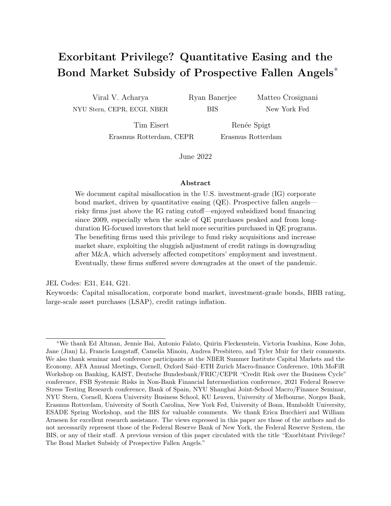likely to be downgraded and to be assigned a negative credit watch or outlook relative to non-downgrade-vulnerable firms, and (iii) firms' performance deteriorates after becoming downgrade-vulnerable (decline in sales growth, investments, firm size, and employment).

The Z"-score documents a substantial and increasing ratings inflation for BBB-rated issuers. Credit ratings in
ation is defined as zero for issuers that have a Z"-score above the median Z"-score of firms in the next lower rating category and equal to the difference between the issuer credit rating notch (e.g.,  $AA+$ ,  $AA$ ,  $AA-$ ) and the credit rating notch implied by its Z"-score otherwise. The left panel of Figure 3 shows that credit ratings inflation is highest for BBB-rated issuers, markedly increasing since 2009. The high ratings inflation for BBB-rated issuers is consistent with credit rating agencies' reluctance to downgrade BBB-rated firms to the speculative-grade market. The right panel shows that downgrade-vulnerable firms are more likely to be downgraded in each rating bucket, but that this correlation is the lowest for BBB-rated issuers. More precisely, the line shows the  $\beta_1$  coefficient from the following regression specification, estimated separately for each rating category:

$$
Downgrade_{iht+1} = \beta_1 \text{Vulnerable}_{iht} + \beta_2 X_{iht} + \mu_{ht} + \epsilon_{iht+1}
$$
\n(1)

where i is a firm, h an industry, t a year, and  $Downgrade_{iht+1}$  is a dummy equal to one in the case of a downgrade event in  $t + 1$  (to qualify as downgrade event, a firm must be downgraded by at least one rating category in year  $t + 1$ , i.e. a firm that has a rating of  $A_+$ , A, or A- is downgraded to at least BBB+). This finding is consistent with other studies and anecdotal evidence.10

 $10$ For example, Bruno et al. (2016) show that Moody's avoids downgrading issuers of corporate bonds that are close to losing their investment-grade status. Investment bank analysts paint a similar picture of ratings inflation. For example, in 2018, a research note by Morgan Stanley noted that, \... where 55% of BBB debt would have a speculative-grade rating if rated based on leverage alone. Meanwhile, interest coverage has declined steadily since 2014, particularly for BBB issuers..." (Morgan Stanley, 2018a).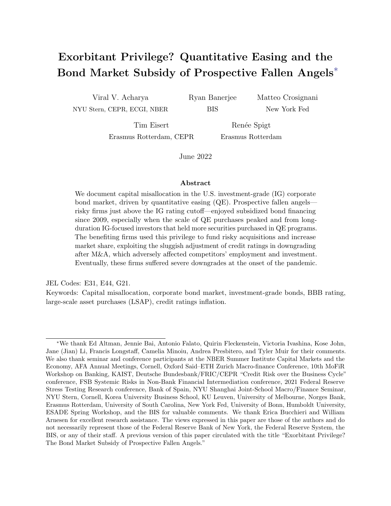# 4 Rising share and fragility of prospective fallen angels

In this section, we present some motivating facts. Section 4.1 documents the sizable growth of the U.S. corporate debt market, mostly driven by BBB-rated issuers, following the global financial crisis. Section 4.2 shows that, during the same period, IG corporate issuers paid historically low bond yields while becoming considerably riskier—a dynamic particularly pronounced for BBB-rated issuers. Section 4.3 shows the unprecedented wave of fallen angels at the onset of COVID-19, before the Federal Reserve intervened to support this market.

### 4.1 The growth of non-financial corporate debt

After reaching \$43 trillion in 2008, U.S. private debt, which denotes the sum of households and non-profit organizations debt, non-financial business debt and domestic financial sector debt, decreased to \$39 trillion in 2011 and then steadily increased reaching \$51 trillion in 2020, a dynamic accelerated by the COVID-19 pandemic. While the deleveraging in 2008–11 was mainly driven by the financial and household sectors, the subsequent private leveraging cycle has been predominantly driven by the *corporate* non-financial sector.<sup>11</sup> The steady increase of non-financial business debt, which increased from  $10.1001/100000$  trillion in 2020, has made it the largest private debt category today, equivalent to 82% of GDP in 2020. This increase in non-financial corporate debt in turn has been mostly driven by corporate bonds, with the stock outstanding increasing from around \$3 trillion in 2009 to around \$6 trillion in 2020, which in turn is almost entirely driven by bonds issued by BBB-rated firms, namely the lowest rated segment of the investment-grade bond market. This segment has tripled in size from around \$0.7 trillion in 2009 to more than \$2 trillion in 2018 and represents around 52% of all IG bonds outstanding, up from 33%.

 $11$ Appendix C describes the evolution of aggregate private debt and the contribution of corporate debt since the Global Financial Crisis.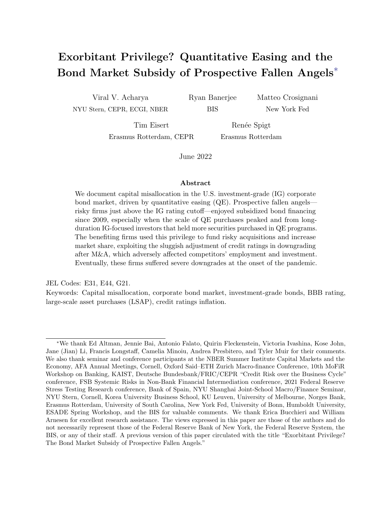

Figure 4: Increased downgrade-vulnerability of BBB-rated firms. This figure shows the increased downgrade-vulnerability of BBB-rated firms. The left panel shows the share of firms that are vulnerable to a downgrade based on the Z"-score by rating category, where firms are weighted by total assets. The right panel shows, within the BBB rating category, the share of bonds outstanding issued by vulnerable and non-vulnerable BBB-rated firms. The dashed line is the ratio between these two series.

### 4.2 Firm risk

The growth of the BBB segment of the bond market has been accompanied by a deterioration in the quality of BBB-rated firms and a substantial reduction in their bond financing costs.12 In Figure 4, we document the deterioration in issuer quality since 2009. The left panel shows the share of firms that are vulnerable to a downgrade based on the Altman Z"-score, as explained in Section 3.2. The figure shows that the share of firms that are vulnerable to a downgrade increased substantially in the BBB-market, but not in other markets, since 2013. The right panel confirms that the growth of the BBB market is driven by these prospective fallen angels. Since 2009, their stock of bonds outstanding tripled in size to \$1.5 trillion in 2018. During the same period, the non-downgrade-vulnerable BBB-rated segment increased only from \$0.2 to \$0.5 trillion. While the risk in the BBB segment increased substantially, bond spreads of BBB-rated firms decreased over our sample period (see Figure G.3).

<sup>&</sup>lt;sup>12</sup>The deterioration of issuer quality has been discussed in industry pieces (Morgan Stanley, 2018a,b; Blackrock, 2020) and specialized papers (Celik et al., 2020; Altman, 2020; S&P Global, 2020a) that warned about the risk of a wave of "fallen angels," namely a large number of downgrades of BBB-rated firms to the sub-IG (or "speculative-grade") market.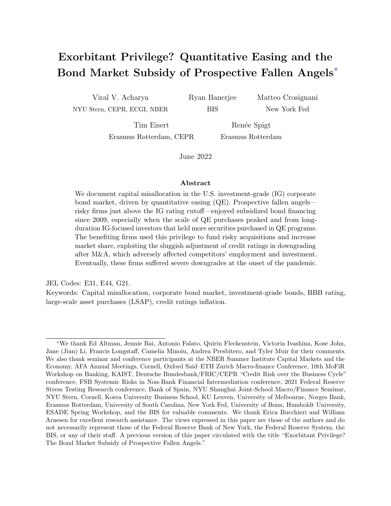

Figure 5: Risk materialization during COVID-19. This figure shows that the vulnerability of the BBB market materialized at the onset of the COVID-19 pandemic. The left panel shows total debt downgraded from BBB to speculative-grade from 2007 to 2020. The right panel shows monthly spreads of firms rated BBB in 2019. The blue line represents the spreads of fallen angels, namely firms downgraded during the COVID-19 pandemic. The red line represents the spreads of firms that maintained their IG status.

### 4.3 Risk materialization during COVID-19

The onset of the COVID-19 crisis precipitated an unprecedented wave of fallen angels until the Federal Reserve stepped in and extended its investment-grade corporate bond purchase program to support recently fallen angels. We interpret this episode as ex-post evidence of the increased vulnerability of BBB-rated firms, and of prospective fallen angels in particular. The evidence presented here is non-parametric. We provide formal tests in Appendix D.3.

The volume of debt downgraded from BBB to speculative-grade in just a few weeks at the beginning of 2020 was more than two times larger than the volume of similar downgrades during the entire Global Financial Crisis. The left panel of Figure 5 shows that, in 2020, the total debt of fallen angels amounted to an unprecedented \$320 billion.

The right panel shows the monthly spreads of firms that were rated BBB in 2019, distinguishing between firms that were downgraded at the onset of the pandemic (fallen angels) and those that maintained their BBB rating. We observe a sudden increase in the spreads of fallen angels in the first weeks of 2020. The difference in spreads partially reflects the downgrade-avoidance subsidy that prospective fallen angels benefited from by not being downgraded to the speculative-grade rating category. Only when the Federal Reserve expanded its corporate buying program on April 9, 2020 to include those issuers downgraded from BBB to fallen angels between March 22, 2020 and April 9, 2020, spreads declined. Some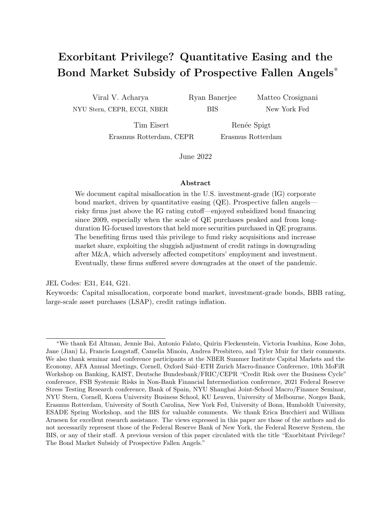examples of firms eligible for the program are Ford Motor, Macy's, and Occidental Petroleum (S&P Global, 2020b), all of which are classified as prospective fallen angels in our data.

### 5 The exorbitant privilege

In this section, we document the extraordinarily low bond financing costs of prospective fallen angels—BBB-rated downgrade-vulnerable firms—since 2009. This trend is particularly evident between 2013 and 2016, a period coinciding with the peaking of the Federal Reserve's balance sheet size as a result of its QE purchases and the Fed maintaining its balance sheet size roughly constant, keeping long-term rates "lower for longer".

First, we show that the drop in BBB bond spreads documented above (Figure 1) coincides with a marked decline in the spreads of BBB downgrade-vulnerable issuers relative to BBB non-downgrade-vulnerable issuers—a feature unique to the BBB rating relative to other ratings. Figure 6 shows the difference in secondary market spreads between downgradevulnerable and non-downgrade-vulnerable BBB issuers as well as those rated AAA-A and with BB ratings. The difference in the spread between downgrade-vulnerable and non-downgradevulnerable BBB-rated firms is (i) generally positive until the GFC; (ii) negative from 2013 to 2016; and, (iii) almost always smaller than the same difference for AAA-A and BB segments between 2013 and 2016.<sup>13</sup>

Second, we confirm the existence of this prospective fallen angel privilege in bond markets using a formal test. In particular, we compare the bond spreads of downgrade-vulnerable and non-downgrade-vulnerable firms within a rating category by estimating the following

<sup>13</sup>Appendix section D.2 provides additional descriptive statistics on bond-level characteristics, showing that within each rating category secondary market spreads of bonds issued by downgrade-vulnerable firms are higher than those of their non-downgrade-vulnerable peers across the distribution. The one exception is the BBB segment where downgrade vulnerable firms have lower spreads across the distribution.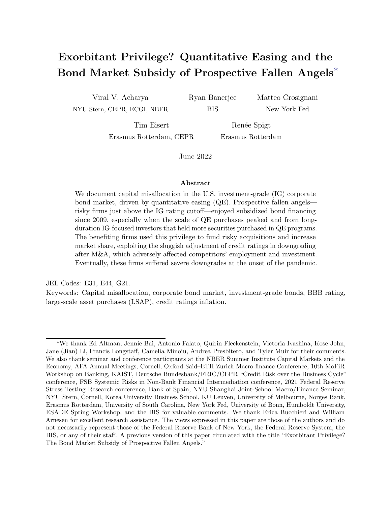

Figure 6: Bond spreads: downgrade-vulnerable minus non-downgrade-vulnerable firms. This figure shows the difference in secondary market spreads between downgrade-vulnerable and non-downgradevulnerable issuers for issuers rated AAA, AA and A (dashed line), BBB (solid line), and B (dotted line).

specification:

$$
\begin{aligned} \text{Spread}_{bit} = & \boldsymbol{\beta_1} \mathbf{Rating}_{it} + \boldsymbol{\beta_2} \mathbf{Rating}_{it} \times \text{Vulnerable}_{it} \\ & + \boldsymbol{\delta X_{bt}} + \boldsymbol{\gamma} \mathbf{Liquidity}_{bt} \times \mathbf{Rating}_{it} + \boldsymbol{\mu}_{ht} + \epsilon_{bit} \end{aligned} \tag{2}
$$

where Spread<sub>bit</sub> is the spread (in basis points) of bond b issued by firm i in period t. We reiterate that we follow Gilchrist and Zakrajsek (2012) and compute spreads relative to the yield on a synthetic US treasury with the same cash flows as the corporate bond, and also Faust et al. (2013) to further adjust the spreads of callable bonds to account for the influence of risk-free rates on the option value of these bonds. As Becker et al. (2021) show, changes in credit quality can also influence the spread on bonds with a call option. We therefore include control variables to absorb the influence of changes in credit quality on callable bond spreads by including an indicator variable for callable bonds, another for bonds which are trading above par but below a price of 105 as well as the interaction of the two.<sup>14</sup> Rating<sub>it</sub>

<sup>14</sup>As shown in Table D.3 around 90% of bonds in our sample are callable. Since 2010, the share has remained relatively constant. Our estimated regression coefficient suggests that when callable bonds trade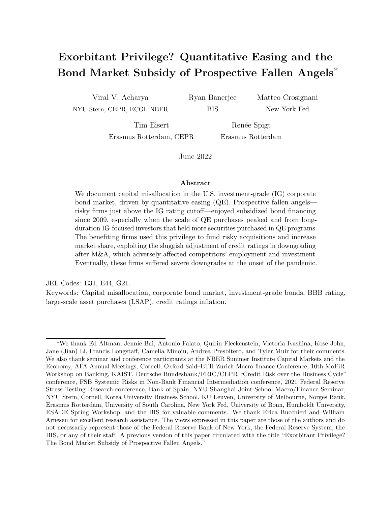is a vector of dummy variables corresponding to firm's i rating in period t and Vulnerable<sub>it</sub> is an indicator variable equal to one if issuer  $i$  is classified as downgrade-vulnerable in year  $t-1$  and year t and retains the same rating across both years.<sup>15</sup> We also include a vector  $\mathbf{X}_{bt}$  of bond-level characteristics (remaining maturity, log of the offering amount and dummy variables taking the value of one for bonds with covenants, convertible bonds and senior bonds respectively). We also include control variables to capture the influence of bond liquidity on spreads by including bid-ask spreads which we allow to vary by rating bucket, **Liquidity**<sub>bt</sub>  $\times$  **Rating**<sub>it</sub>. We further include industry-year-month fixed effects  $\mu_{ht}$  to absorb unobserved time variation in spreads within an industry. Due to the relatively low number of bonds with a AAA rating, we combine AAA-rated and AA-rated firms into one category.

Table 1 presents the estimation results. The first column shows the estimation results in the full sample period. As expected, the uninteracted ratings terms show that bond spreads increase as the ratings deteriorate. The interaction terms between ratings and the vulnerable firm dummy variable show that in all rating categories, except BBB, downgrade-vulnerable firms have either higher financing costs (AAA-AA, BB, B, CCC) or statistically indistinguishable financing costs (A) compared with non-downgrade-vulnerable firms. Consistent with Figure 6 this pattern is reversed for BBB-rated firms as prospective fallen angels pay significantly lower financing costs than non-downgrade-vulnerable BBB firms. The second column shows the estimation results in the subsample running from 2013 to 2016 when the Fed maintained a more or less constant balance sheet size of \$4.5 trillion (see Appendix G.1). In this period, the funding privilege of prospective fallen angels increases in magnitude. The third and fourth columns show similar estimation results using primary market offering spreads as a dependent variable. The point estimates indicate that the vulnerable BBB funding subsidy is somewhat higher in primary bond markets. In Appendix D.4, we show that our baseline results are robust to using bond-level instead of issuer ratings as well as

close to the call barrier they trade at a 40 basis point discount to non-callable bonds, not far from Becker et al. (2021)'s estimates based on matched bonds from the same issuer.

 $15$ Results are qualitatively and quantitatively similar if we employ a less stringent definition and define vulnerable firms simply on whether they are classified as vulnerable in year  $t$ .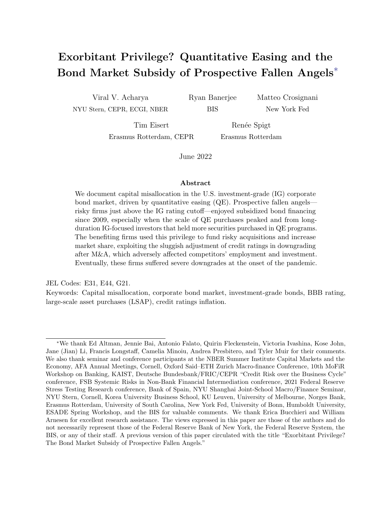|                            | Spread            | Spread         | Offer Spread | Offer Spread |
|----------------------------|-------------------|----------------|--------------|--------------|
| А                          | $29.100***$       | $30.471***$    | 37.844       | $-10.718$    |
|                            | (8.495)           | (8.087)        | (35.806)     | (28.191)     |
| <b>BBB</b>                 | 81.404***         | 79.464***      | $106.468***$ | $62.556**$   |
|                            | (8.672)           | (8.547)        | (35.880)     | (28.740)     |
| BB                         | $191.336^{***}\;$ | 182.127***     | 225.867***   | 200.985***   |
|                            | (10.961)          | (13.514)       | (35.460)     | (26.455)     |
| B                          | $337.734***$      | $323.510***$   | 310.352***   | 271.383***   |
|                            | (17.427)          | (26.301)       | (35.608)     | (29.504)     |
| CCC                        | 947.289***        | $1,049.530***$ | 198.190**    | $356.475***$ |
|                            | (93.020)          | (169.092)      | (89.791)     | (56.338)     |
| Vulnerable $\times$ AAA-AA | 12.235            | 19.194**       | 2.386        | $-45.703$    |
|                            | (8.768)           | (9.079)        | (37.643)     | (30.406)     |
| Vulnerable $\times$ A      | 2.091             | $-4.286$       | $30.424**$   | $41.941*$    |
|                            | (4.963)           | (8.030)        | (12.836)     | (21.306)     |
| Vulnerable $\times$ BBB    | $-9.680***$       | $-18.423***$   | $-23.579***$ | $-25.001*$   |
|                            | (3.599)           | (5.738)        | (8.296)      | (13.828)     |
| Vulnerable $\times$ BB     | $14.121*$         | 14.068         | 29.676*      | 7.081        |
|                            | (7.473)           | (11.776)       | (16.316)     | (28.776)     |
| Vulnerable $\times B$      | 86.094***         | 78.941**       | 43.206*      | 52.781       |
|                            | (23.403)          | (35.557)       | (22.013)     | (40.616)     |
| Vulnerable $\times$ CCC    | 414.347**         | 363.544        |              |              |
|                            | (165.179)         | (237.879)      |              |              |
| Industry-Year-Month FE     | $\times$          | X              | X            | $\times$     |
| Bond-level controls        | Χ                 | X              | X            | Χ            |
| Sample                     | $2009 - 19$       | $2013 - 16$    | $2009 - 19$  | $2013 - 16$  |
| Observations               | 256,638           | 98,812         | 2,793        | 1,215        |
| R-squared                  | 0.651             | 0.626          | 0.836        | 0.824        |

Table 1: The exorbitant privilege of prospective fallen angels. This table shows the estimation results of specification (2). The dependent variable in columns (1)-(2) is the secondary market bond spread. The dependent variable in columns (3)-(4) is the primary market bond spread. Bond spreads, measured in basis points. Vulnerable is a dummy equal to one if at the rating bucket of the bond, the firm's Altman-Z score is below that of the cut-off for the rating bucket below. Additional bond-level controls include residual maturity, amount outstanding and bid-ask spreads, coefficients on the latter are allowed to vary by rating. The specification also includes dummy variables for callable bonds, bonds with a price price above par but below a price of 105 and the interaction between the two variable to account for changes in credit quality affecting spreads on callable bonds. These control variables are included in the estimation but not reported for brevity. These specifications include industry-year-month fixed effects (2-digit SIC). Standard errors are clustered at the firm and year-month level. \*\*\*  $p<0.01$ , \*\*  $p<0.05$ , \*  $p<0.1$ .

including additional controls for bond liquidity based on the frequency with which the bond trades and whether the bond is on- or off-the-run.

Table 2 shows that this privilege is unique to the corporate bond market in the last decade. The first two columns use the (log) expected default frequency derived from equity markets at the 2-year and 5-year horizons as dependent variables, respectively. While we confirm that the estimated coefficients on the uninteracted terms increase monotonically as ratings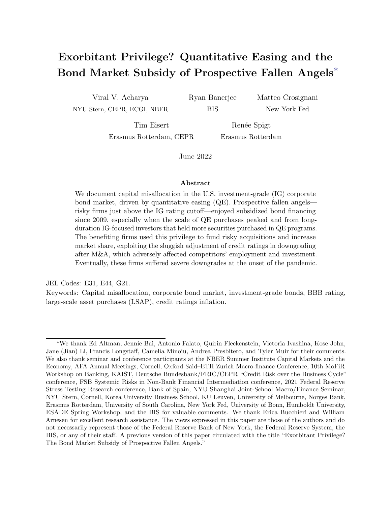|                           | EDF 2Y      | EDF 5Y      | Spread                   | Loan spread | <b>CDS</b>   |
|---------------------------|-------------|-------------|--------------------------|-------------|--------------|
| <b>BBB</b>                | $0.598***$  | $0.472***$  | $18.943***$              | 9.698       | $51.875***$  |
|                           | (0.086)     | (0.068)     | (4.730)                  | (18.914)    | (5.117)      |
| BB                        | $1.493***$  | $1.164***$  | 87.178***                | 60.116***   | 178.520***   |
|                           | (0.105)     | (0.083)     | (7.113)                  | (22.451)    | (15.920)     |
| B                         | $2.769***$  | $2.121***$  | 162.085***               | 119.756***  | 385.052***   |
|                           | (0.122)     | (0.095)     | (10.288)                 | (23.218)    | (37.442)     |
| CCC                       | $4.129***$  | $3.142***$  | $359.317^{\ast\ast\ast}$ | 241.113***  | 659.209***   |
|                           | (0.170)     | (0.134)     | (38.390)                 | (74.555)    | (171.965)    |
| Vulnerable $\times$ AAA-A | $0.191*$    | $0.146*$    | $5.964*$                 | $-4.366$    | $-6.370$     |
|                           | (0.102)     | (0.084)     | (3.293)                  | (25.558)    | (3.902)      |
| Vulnerable $\times$ BBB   | $0.208**$   | $0.140**$   | $10.053**$               | 17.776*     | $-17.401***$ |
|                           | (0.090)     | (0.068)     | (4.752)                  | (9.359)     | (5.476)      |
| Vulnerable $\times$ BB    | $0.485***$  | $0.349***$  | 14.347**                 | 18.360      | 45.797*      |
|                           | (0.096)     | (0.072)     | (5.857)                  | (13.109)    | (24.363)     |
| Vulnerable $\times$ B     | $0.744***$  | $0.561***$  | 39.438**                 | 49.392***   | 16.786       |
|                           | (0.108)     | (0.081)     | (19.369)                 | (18.166)    | (61.811)     |
| Vulnerable $\times$ CCC   | 0.274       | 0.248       | 280.269***               | $-95.201$   | 33.954       |
|                           | (0.190)     | (0.156)     | (67.662)                 | (73.515)    | (107.732)    |
| Industry-Year-Month FE    | X           | $\times$    | X                        | Χ           | X            |
| Bond-level controls       | X           | X           | X                        | Χ           | X            |
| Sample                    | $2009 - 19$ | $2009 - 19$ | $2002 - 07$              | $2009 - 19$ | $2009 - 19$  |
| Observations              | 62,129      | 62,129      | 25,990                   | 2,982       | 102,829      |
| R-squared                 | 0.767       | 0.789       | 0.776                    | 0.715       | 0.743        |

Table 2: The exorbitant privilege is unique to the bond market post-2009. This table shows the estimation results of specification (2). This table provides robustness checks on the vulnerable BBB subsidy in different markets and time periods. The dependent variable in columns  $(1)-(2)$  are the log expected default frequencies at the 2-year and 5-year horizon, respectively between 2010 to 2019. The dependent variable in column (3) is the secondary market bond spread in the pre-GFC period (2002–2007). The dependent variable in column (4) is the all-in-drawn spread for syndicated loans taken from DealScan. The dependent variable in column (5) is the spread on the CDS contract maturity matched to the corporate bonds sample in Table 1 column (1). The CDS contracts are interpolated to have the same remaining maturity as the corresponding bond. The specifications include industry-year-month fixed effects (2-digit SIC). Standard errors are clustered at the firm and year-month level. \*\*\*  $p<0.01$ , \*\*  $p<0.05$ , \*  $p<0.1$ .

deteriorate, the funding advantage of prospective fallen angels disappears, suggesting that the exorbitant privilege is specific to the bond market. The third column shows that between 2002 and 2007 (the last business cycle before the GFC), prospective fallen angels did not benefit from a similar privilege in the corporate bond market. In fact, prospective fallen angels paid higher spreads in this period in line with other rating categories. The fourth column shows that prospective fallen angels did not enjoy a similar funding advantage in the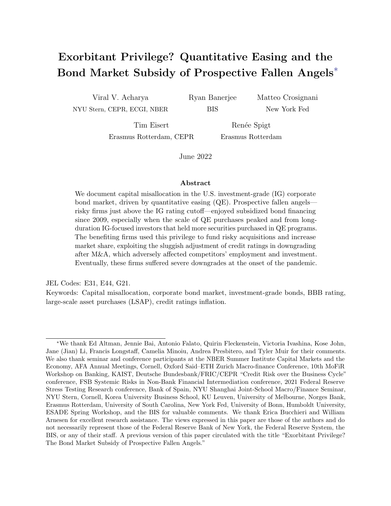syndicated loan market post  $2010<sup>16</sup>$  However, the fifth column of Table 2 suggests that credit default swap markets price a similar privilege for prospective fallen angels. In particular, the point estimate of the vulnerable BBB interaction term is negative and similar in magnitude to our baseline results in the first column of Table 1 for corporate bonds spreads.

Our interpretation is that the drivers of the prospective fallen angel privilege also influence the pricing of CDS contracts. In particular, an investor can gain credit exposure to a firm by either buying the bond or through a replication strategy of selling a CDS contract on the same firm and buying a US treasury. Two pieces of evidence suggests that the same influence in corporate bond markets also affects CDS markets. First, for insurance companies, whose participation in investment grade CDS markets is particularly relevant given the significantly higher capital requirements for sub-investment grade risks, the capital treatment of selling CDS in a replication strategy is the same as holding a corporate bond of the same rating according to the risk-based capital regulation issued by the National Association of Insurance Commissioners (NAIC). Second, replication strategies overwhelmingly account for insurance company exposure in CDS markets (around 75%), see for example NAIC (2015). Finally, BIS derivative statistics also show that insurance companies have been consistent net sellers of CDS protection on non-financial corporates to dealers between 2009 and 2019 (see Table D10.1 of the BIS Derivative Statistics).

Taken together, these results suggest that the exorbitant privilege of prospective fallen angels is unique to corporate bond and replication (CDS) markets since 2009.

# 6 The origins of the exorbitant privilege

We now discuss the origins of the exorbitant privilege. Section 6.1 presents a conceptual framework that explains how the exorbitant privilege can arise in equilibrium due to a higher investor demand for riskier corporate bonds. Consistent with its prediction, Section 6.2

<sup>&</sup>lt;sup>16</sup>Given a limited number of observations in the highest rating buckets AAA and AA, especially in the syndicated loan market data, we further combine AAA-A ratings into a single rating category.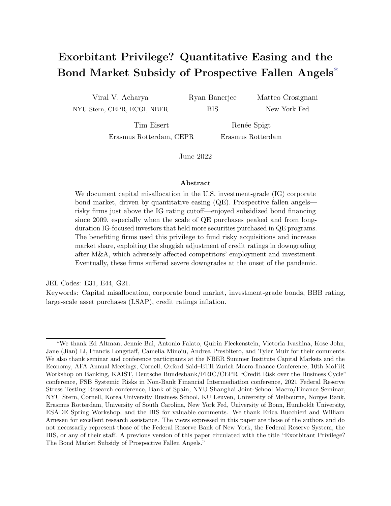documents the role of QE in driving investors' demand for IG downgrade-vulnerable corporate bonds, especially those issued by prospective fallen angels.

### 6.1 Theoretical framework

Our explanation for the origin of the exorbitant privilege of prospective fallen angels relies on the interplay of three critical factors. First, a large demand for investment-grade bonds. Second, risk-taking behavior of investors within IG bonds, and in turn, of riskier issuers. Third, the sluggishness of credit ratings at the cusp of investment grade.

We present our framework in detail in Appendix B. Figure 7 outlines the intuition. By lowering yields on government bonds and mortgage-backed securities and, in turn, on (longterm) riskier assets, QE induces investors to adjust their portfolio choice (Gagnon et al., 2011; Krishnamurthy and Vissing-Jorgensen, 2011). In practice, investors such as life insurers seek out a greater quantity of riskier IG assets to meet their promised liabilities (e.g., variable annuities) as yields, as well as quantities of their traditional investments, are compressed by the Fed in QE programs.17 The high demand for corporate bonds reduces the cost of bond financing, inducing issuers to potentially take on more debt; in turn, more indebted issuers take on more risks, the outcome of a standard risk-shifting mechanism (Jensen and Meckling, 1976; John and John, 1993).

The extent of the increase in issuers' risk-taking, however, depends on whether these firms are vulnerable to a downgrade and on the sluggishness of credit rating agencies in downgrading firms, especially at the boundary of IG rating (BBB). Non-downgrade-vulnerable issuers are ex ante unlikely to be downgraded and thus benefit less from the sluggishness of credit rating agencies, relative to any additional risks they may take. By contrast, downgrade-vulnerable issuers are ex ante more likely to be downgraded and thus benefit more from the sluggishness

<sup>&</sup>lt;sup>17</sup>This mechanism is consistent with anecdotal evidence. For example, the Financial Times reports that \insurance companies such as AIG and MetLife hold huge investment books, mainly consisting of bonds, to back the promises they make to their customers. Over the past decade, they have increasingly moved into riskier assets, according to Fitch, as yields in safer categories have fallen under aggressive easing policies from the world's central banks." Source: "Search for yield draws U.S. life insurers to risky places," Financial Times, February 21, 2019.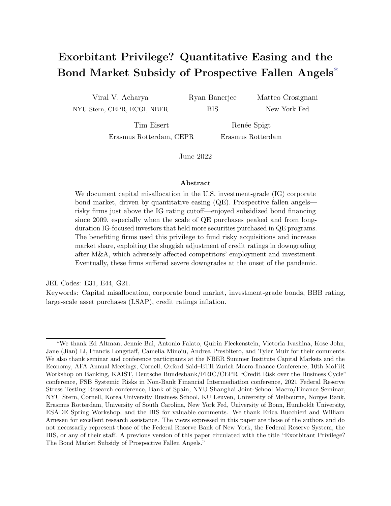

Mechanism at work for all firms --- Mechanism at work for downgrade-vulnerable firms

Figure 7: Scheme of model intuition. This figure shows the intuition behind the model. QE induces an increase in demand for investment-grade corporate bonds causing, in turn, an increase in issuers' debt financing. The now more indebted issuers take on more risk. This effect (blue solid lines) is at work for all firms and stronger as we move down the rating categories within the investment-grade space. Given that credit rating agencies are sluggish in downgrading firms (especially those close the investment-grade threshold), the increased risk-taking by downgrade-vulnerable issuers is met again by high demand by investors sensitive to credit ratings. This effect (red dashed lines) is only at work for downgrade-vulnerable firms and stronger as we move down the rating categories within the investment-grade space.

of credit rating agencies if they take additional risks.

Figure 8 illustrates the main results of the framework presented in Appendix B, where we make the reduced-form assumption that investors subsidize (i) IG bonds relative to sub-IG bonds (*preference for IG*), and (ii) riskier bonds within each rating bucket, more so for riskier IG ratings (within- and across-ratings preference for risk). Together, these assumptions capture the observation that capital requirements and investment restrictions are lighter for IG relative to sub-IG bonds, that QE induces a preference for risk within IG-focused investors, and that rating agencies are sluggish to downgrade vulnerable firms especially at the cusp of the IG cutoff (Bruno et al., 2016).

The top panel shows bond yields as a function of firm quality, with firms grouped by credit ratings. Firms are ordered by decreasing quality on the x-axis; (i) the blue line, corresponding to the baseline economy, shows that bond yields increase as firms deteriorate in quality. There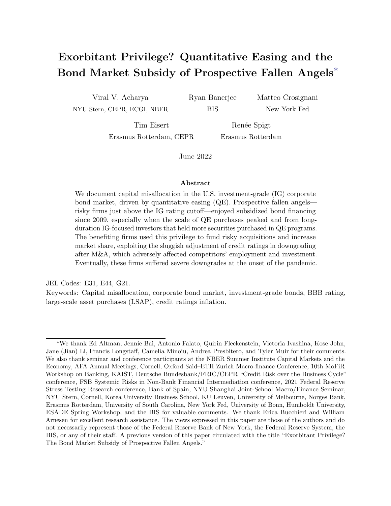

Figure 8: Corporate bond yields, model and data. The top panel presents the corporate yield curve with yields on the y-axis and firms sorted by quality, and grouped in credit ratings, on the x-axis. The solid blue line, the red dashed line, and the black dotted line represent a baseline economy, an economy with moderate demand for IG corporate bonds, and an economy with high demand for IG corporate bonds. The bottom panel shows, for each rating category, the yield spread between downgrade-vulnerable and non-downgrade-vulnerable issuers. The bottom left panel is the mean of this spread over the entire sample period. The bottom right panel is the model spread in the high IG demand case.

is an additional jump at each rating cutoff, particularly pronounced at the investment-grade cutoff between BBB-rated and BB-rated firms; (ii) the dashed red line shows bond yields in an economy with a moderate preference for risk. The curve flattens and becomes more concave within each rating bucket, reflecting the equilibrium lower yields of downgrade-vulnerable firms; (iii) the black dotted line shows bond yields in an economy with a high preference for risk. The flattening and concavity of the yield curve is so pronounced that yields of bonds of prospective fallen angels fall below that of non-downgrade-vulnerable BBB-rated issuers.

The bottom panels compare the difference between the spread of downgrade-vulnerable firms and non-downgrade-vulnerable firms observed in the data in the full sample (left panel) and the one generated in our framework with a high preference for risk (right panel). In both cases, in the model and in the data, the difference is positive for all rating classes except for the BBB rating. This way, our framework qualitatively generates the exorbitant privilege of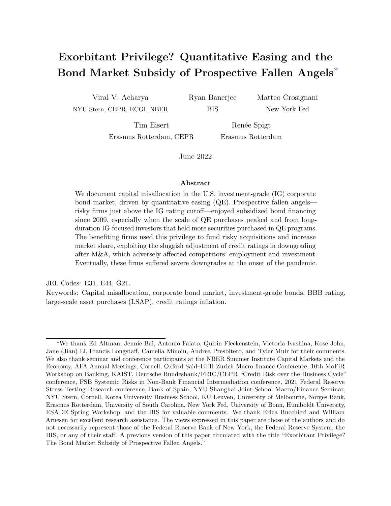prospective fallen angels.18

### 6.2 QE-driven demand by investment-grade investors

Next, we document that investors exposed to the Federal Reserve QE programs drive the demand for IG corporate bonds, especially those issued by prospective fallen angels. This dynamic is entirely driven by investors that predominantly hold IG bonds and whose portfolio consists of mostly long-term bonds.

Exploiting our granular holdings data, we measure investors' exposure to QE and observe investors' holdings of bonds. We measure investor-level exposure to QE, merging our holdingslevel data with the Federal Reserve SOMA holdings data. Investor time-varying exposure to QE is defined as the share of investor total holdings that are held by the Federal Reserve in the SOMA Treasury portfolio, where holdings are weighted by the share of amounts outstanding held by the Federal Reserve. The idea is that investors with a substantial share of their security holdings held by the Federal Reserve at time  $t$  are more affected by  $\mathbb{Q}E$ . Formally, we define the variable QE  $\text{Exposure}_{kt}$  as follows:

$$
QE Exposure_{kt} = \frac{\sum_{b} (Holdings_{bkt} \times SOMA_{bt})}{\sum_{b}Holdings_{bkt}}
$$
\n(3)

where b is a security, k is an investor, and t is a date.  $SOMA_{bt}$  is the share of Treasury security b held by the Federal Reserve at date t.  $Holding_{bkt}$  are the holdings of security b held by investor k at time t. This variable is calculated at a quarterly frequency. Figure 9 shows the time-series evolution of  $\text{QE Exposure}_{kt}$ .

Figure 10 shows that high-exposure investors (above median QE exposure) increased

<sup>&</sup>lt;sup>18</sup>There is an interesting parallel between such QE-induced capital misallocation and the zombie-lending related credit misallocation. In the latter, banks extend subsidized credit to distressed firms to gamble for resurrection and/or to not recognize them as non-performing assets (which would induce higher provisioning and capital requirements). In the former, each investor such as an insurance firm can be considered relatively atomistic; nevertheless, the sluggishness of credit rating downgrades can act as a coordinating mechanism whereby each such investor can search for yield to gamble over the "cliff" risk of IG to sub-IG downgrade. Materialization of the cliff risk may be associated with liquidation costs, in case of investors restricted to investing in IG, and/or higher capital requirements, in case of investors such as insurance companies.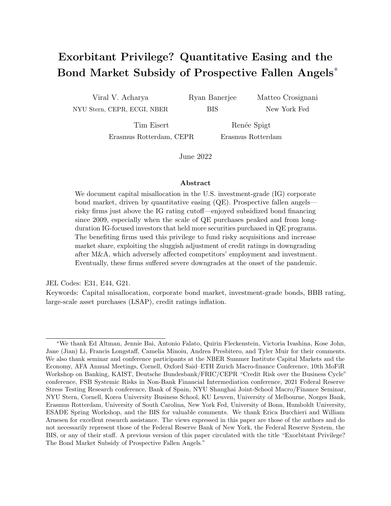

Figure 9: Investor exposure to QE. This figure shows the evolution of the cross-sectional mean of the  $QE$  Exposure<sub>kt</sub> variable at a quarterly frequency. This variable is defined as the share of investor total holdings that are held by the Federal Reserve in the SOMA Treasury portfolio, where holdings are weighted by the share of amounts outstanding held by the Federal Reserve.

their holdings of investment-grade corporate bonds compared with low-exposure (below median QE exposure) investors starting around 2014. This differential dynamic is particularly pronounced in the BBB market and, within the BBB market, for prospective fallen angels. The top panel compares holdings by high-exposure and low-exposure investors in the BBB market (top left panel) and  $A/AA/AAA$  market (top right panel). High-exposure investors substantially increase their holdings starting in 2014 in both markets but more so in the BBB market. The two bottom panels further split holdings depending on whether bonds are issued by downgrade-vulnerable or non-downgrade-vulnerable firms. The substantial increase in holdings by high-exposure investors is almost entirely driven by holdings of downgrade-vulnerable firms. Again, this dynamic is more pronounced in the BBB market, particularly relative to holdings of non-downgrade vulnerable firms.

Next, we analyze investors' demand for bonds issued by prospective fallen angels by estimating the following specification:

$$
Holdings_{ikt} = \beta_1 \text{QE Exposure}_{kt} \times Vunderable_{it} + \eta_{kt} + \mu_{it} + \epsilon_{kit} \tag{4}
$$

where k is an investor, i is an issuer, and t is a quarter. The dependent variable is the log of holdings by investor k in year t of bonds issued by issuer i. The independent variable of interest is the interaction between QE Exposure<sub>kt</sub> and *Vulnerable<sub>it</sub>*, a dummy equal to one if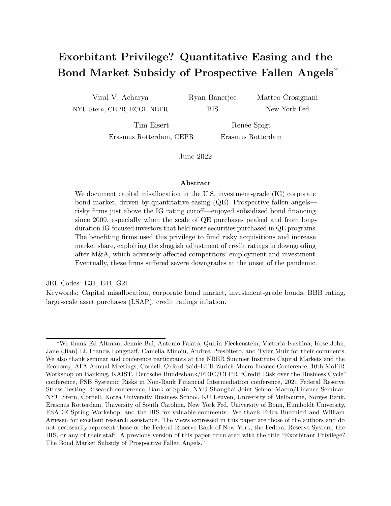

Figure 10: Investors' holdings of IG corporate bonds. This figure shows investors' holdings of investment grade corporate bonds, broken down by investor QE exposure, issuer rating, and downgradevulnerability. The top panels show holdings of bonds issued by BBB-rated issuers (top left panel) and A/AA/AAA-rated issuers (top right panel) by high-exposure (blue solid line) and low-exposure (red dotted line) investors. High-exposure investors have an above median exposure to QE. The bottom panels show holdings of bonds issued by BBB-rated issuers (bottom left panel, broken down by downgrade-vulnerability) and A/AA/AAA-rated issuers (bottom right panel, broken down by downgrade-vulnerability) by high-exposure and low-exposure investors.

issuer i is downgrade-vulnerable in year  $t$ .

The coefficient of interest  $\beta_1$  captures whether investors more exposed to QE hold more or fewer bonds issued by downgrade-vulnerable issuers compared with investors less exposed to QE. In the most stringent specification with investor-time and issuer-time fixed effects, we are effectively comparing bonds, at time  $t$ , issued by the *same issuer* that are held by investors with a different QE exposure. Investor-time fixed effects control for the potential differential portfolio choice by high- vs. low-exposure investors, with respect to downgradevulnerable and non-downgrade-vulnerable bonds, for reasons unrelated to QE. Issuer-time fixed effects control for the potential differential characteristics of downgrade-vulnerable and non-downgrade-vulnerable bonds (e.g., issuance volume) that might interact with the portfolio choice of high- vs. low-exposure investors for reasons, again, unrelated to QE.

Table 3 shows the estimation results. In Panel A, the estimated coefficient  $\beta_1$  is positive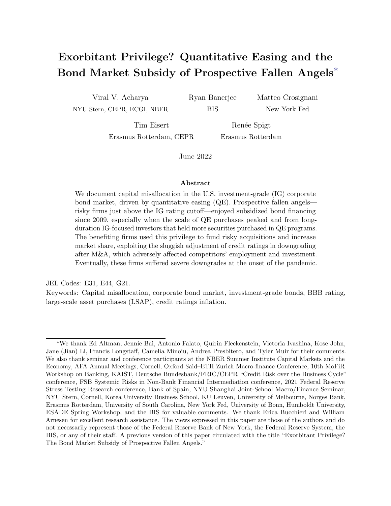| PANEL A                                                       | $Holding_{ikt}$ |            |            |            |
|---------------------------------------------------------------|-----------------|------------|------------|------------|
| $QE$ Exposure <sub>kt</sub> $\times$ Vulnerable <sub>it</sub> | $0.557***$      | $0.539***$ | $0.563***$ | $0.549***$ |
|                                                               | (0.143)         | (0.139)    | (0.145)    | (0.142)    |
| <b>Fixed Effects</b>                                          |                 |            |            |            |
| Issuer $i$                                                    | $\times$        | X          |            |            |
| Investor $k$                                                  | X               |            | $\times$   |            |
| Time t                                                        | X               |            |            |            |
| Investor $k$ - Time $t$                                       |                 | X          |            | X          |
| Issuer $i$ - Time $t$                                         |                 |            | $\times$   | $\times$   |
| Sample investors                                              | Full            | Full       | Full       | Full       |
| Sample issuers                                                | Full            | Full       | Full       | Full       |
| Observations                                                  | 4,491,046       | 4,486,493  | 4,489,965  | 4,485,417  |
| R-squared                                                     | 0.508           | 0.559      | 0.528      | 0.578      |
|                                                               |                 |            |            |            |

| PANEL B                                                       | $Holdings_{ikt}$ |           |            |            |
|---------------------------------------------------------------|------------------|-----------|------------|------------|
| $QE$ Exposure <sub>kt</sub> $\times$ Vulnerable <sub>it</sub> | $-0.030$         | $0.525**$ | $0.800***$ | $-0.454**$ |
|                                                               | (0.429)          | (0.228)   | (0.204)    | (0.204)    |
| <b>Fixed Effects</b>                                          |                  |           |            |            |
| Investor $k$ - Time $t$                                       | $\times$         | X         | X          | X          |
| Issuer $i$ - Time $t$                                         | X                | X         | X          | X          |
| Sample investors                                              | Full             | Full      | Full       | Full       |
| Sample issuers                                                | AAA/AA           | А         | <b>BBB</b> | НY         |
| Observations                                                  | 276,950          | 970,112   | 1,606,641  | 853,576    |
| R-squared                                                     | 0.731            | 0.678     | 0.623      | 0.521      |

Table 3: Demand for bonds issued by prospective fallen angels. This table presents estimation results from specification (4). The unit of observation is investor k-issuer *i*-date t. The dependent variable is  $log(1 + Holding_{kit})$ , where Holdings are holdings by investor k in year t of corporate bonds issued by issuer i (thousands dollars). QE exposure<sub>kt</sub> is defined in (3). Vulnerable<sub>it</sub> is a dummy equal to 1 if issuer i is downgrade-vulnerable to a downgrade in date t. The uninteracted  $V \text{u} \text{h}$ erable<sub>it</sub> and QE exposure<sub>kt</sub> terms are included in the estimation but not reported for brevity. In Panel A, the specification is estimated in the full sample of investors. In Panel B, the specification is estimated in the full sample of investors and in the subsample of issuers based on their rating category. Standard errors double clustered at the investor k level and issuer j level reported in parentheses. \*\*\*  $p<0.01$ , \*\*  $p<0.05$ , \*  $p<0.1$ .

and significant, suggesting that more exposed investors have a higher demand for bonds issued by downgrade-vulnerable issuers compared with less exposed investors. In Panel B, we show sample splits based on issuer ratings. In the four columns, the estimation is run in the subsample of AAA/AA, A, BBB, and speculative-grade (or high-yield) issuers, respectively. The results show that the overall effect is driven by holdings of BBB-rated bonds. In unreported results, we find that the coefficients are somewhat stable throughout our sample period. Hence, the investor QE-exposure peaking in the middle of our sample period (see Figure 9) implies a rise in demand for bonds issued by prospective fallen angels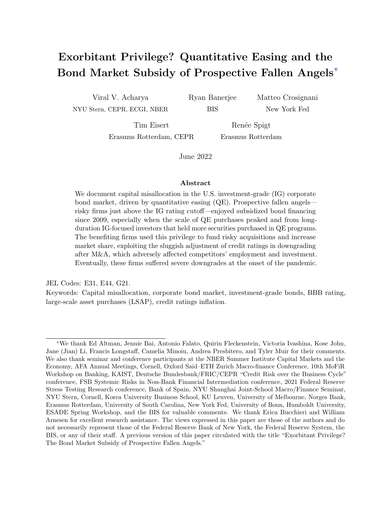roughly coinciding with the greater privilege in borrowing costs for these firms during in 2013-16.

Table 4 shows the estimation results for holdings of BBB-rated bonds in various subsamples of investors. The sample in Panel A only includes investors with a share of IG securities of at least 80% at each date t. The samples in Panel B and Panel C only include investors with a share of IG securities between  $60\%$  and  $80\%$  and smaller than  $60\%$  at each date t, respectively. In each panel, the first column only includes investors with a portfolio maturity of less than five years, the second column only includes investors with a portfolio maturity between five and seven years, and the third column only includes investors with a portfolio maturity of more than seven years, at each date t. These estimation results show that the results in Table 3 are entirely driven by investors holding a long-maturity portfolio and predominantly investment-grade securities. These findings are consistent with QE reducing long-term yields and the BBB-threshold affecting primarily those investors that mostly hold IG bonds.

Table G.1 shows summary statistics by investor type for the main types of investors represented in our data, namely insurers with variable annuities, (other) life and health insurers, property and casualty insurers, and open-ended mutual funds. Variable annuities are extremely exposed to QE and hold the longest maturity portfolio. This result is related to Koijen and Yogo (2021, 2022) that document the fragility of variable annuities in a low interest rate environment and how the minimum return guarantees have changed the primary function of life insurers from traditional insurance to financial engineering. Other life and health insurers also hold a long maturity portfolio but are less exposed to QE. Property and casualty insurers are highly exposed to QE but hold a somewhat short-term portfolio, mostly made of IG securities. Finally, open-ended mutual funds have a moderate exposure to QE, while also holding a long-term portfolio not too concentrated in the IG market. In unreported results available upon request, we find that the demand for prospective fallen angels in QE-exposed investors is driven in data by insurers with variable annuities and open-ended mutual fund investors/managers. It is interesting to note that during the COVID-19 outbreak, debt mutual funds experienced significant redemptions and contributed to corporate bond fire sales (see, among others, Haddad et al. (2021) and Falato et al. (2021a)).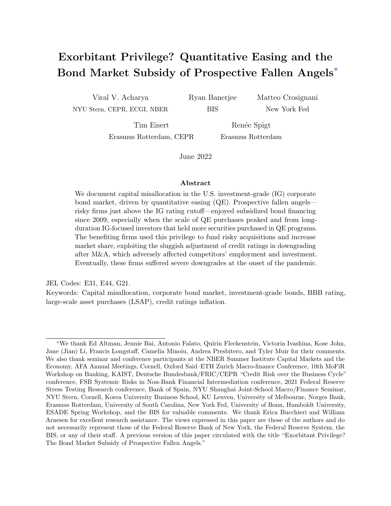| PANEL A                                                       | $Holding_{ikt}$ |            |            |
|---------------------------------------------------------------|-----------------|------------|------------|
| $QE$ Exposure <sub>kt</sub> $\times$ Vulnerable <sub>it</sub> | $-0.120$        | 0.151      | $1.387***$ |
|                                                               | (0.230)         | (0.343)    | (0.361)    |
| <b>Fixed Effects</b>                                          |                 |            |            |
| Investor $k$ - Time $t$                                       | X               | X          | Χ          |
| Issuer $i$ - Time $t$                                         | X               | $\times$   | Χ          |
| Sample issuers                                                | <b>BBB</b>      | <b>BBB</b> | <b>BBB</b> |
| Sample investors (portfolio duration)                         | < 5Y            | (5Y, 7Y)   | > 7Y       |
| Sample investors (portfolio IG rating share)                  | > 0.8           | > 0.8      | > 0.8      |
| Observations                                                  | 147,710         | 135,026    | 268,882    |
| R-squared                                                     | 0.648           | 0.681      | 0.628      |

| PANEL B                                                       | $Holdings_{ikt}$ |            |            |
|---------------------------------------------------------------|------------------|------------|------------|
| $QE$ Exposure <sub>kt</sub> $\times$ Vulnerable <sub>it</sub> | 0.236            | $-0.072$   | $0.765***$ |
|                                                               | (0.289)          | (0.354)    | (0.271)    |
| <b>Fixed Effects</b>                                          |                  |            |            |
| Investor $k$ - Time $t$                                       | X                | X          | Χ          |
| Issuer $i$ - Time $t$                                         | X                | X          | Χ          |
| Sample issuers                                                | <b>BBB</b>       | <b>BBB</b> | <b>BBB</b> |
| Sample investors (portfolio duration)                         | < 5Y             | (5Y, 7Y)   | > 7Y       |
| Sample investors (portfolio IG rating share)                  | (0.6, 0.8)       | (0.6, 0.8) | (0.6, 0.8) |
| Observations                                                  | 106,479          | 149,007    | 623,447    |
| R-squared                                                     | 0.596            | 0.611      | 0.614      |

| PANEL C                                                       | $Holdings_{ikt}$ |            |            |
|---------------------------------------------------------------|------------------|------------|------------|
| $QE$ Exposure <sub>kt</sub> $\times$ Vulnerable <sub>it</sub> | 0.333            | 0.760      | 0.269      |
|                                                               | (2.676)          | (0.737)    | (0.438)    |
| <b>Fixed Effects</b>                                          |                  |            |            |
| Investor $k$ - Time $t$                                       | X                | X          | $\times$   |
| Issuer $i$ - Time $t$                                         | $\times$         | X          | Χ          |
| Sample issuers                                                | <b>BBB</b>       | <b>BBB</b> | <b>BBB</b> |
| Sample investors (portfolio duration)                         | < 5Y             | (5Y, 7Y)   | > 7Y       |
| Sample investors (portfolio IG rating share)                  | < 0.6            | < 0.6      | < 0.6      |
| Observations                                                  | 6,469            | 30.643     | 131,794    |
| R-squared                                                     | 0.698            | 0.558      | 0.659      |

Table 4: Demand for bonds issued by prospective fallen angels, sample splits. This table presents estimation results from specification  $(4)$ . The unit of observation is investor k-issuer *i*-date t. The dependent variable is  $log(1 + Holding_{ski})$ , where Holdings are holdings by investor k in year t of corporate bonds issued by issuer i (thousands dollars). QE exposure<sub>kt</sub> is defined in (3). Vulnerable<sub>it</sub> is a dummy equal to 1 if issuer i is downgrade-vulnerable to a downgrade in date t. The uninteracted Vulnerable<sub>it</sub> and  $QE$  $\exp\left(\frac{\mu_{\text{eff}}}{\sigma_{\text{eff}}} \right)$  terms are included in the estimation but not reported for brevity. All the regressions are estimated in the subsample of BBB-rated issuers. The results in Panel A, Panel B, and Panel C are estimated in the subsample of investors with a share of investment-grade bonds greater than 80%, between 60% and 80%, and smaller than 60%, respectively. In all panels, the results in the first column are estimated in the subsample of investors with a portfolio maturity of less than five years, the results in the second column are estimated in the subsample of investors with a portfolio maturity of between five and seven years, and the results in the third column are estimated in the subsample of investors with a portfolio maturity of more than seven years. Standard errors double clustered at the investor k level and issuer j level reported in parentheses. \*\*\*  $p<0.01$ , \*\*  $p<0.05$ , \*  $p<0.1$ .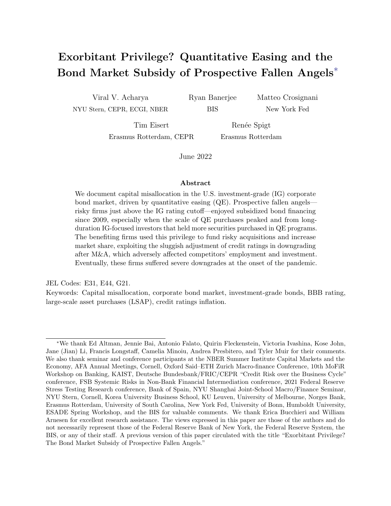### 7 M&A as an equilibrium response to investor demand

In this section, we discuss how the sizable increase in M&A activity of downgrade-vulnerable firms (and prospective fallen angels in particular) appears to be an equilibrium response to the QE-induced demand for bonds by IG-focused and long-duration investors. The core of our argument is that M&A, mostly debt-funded, allows issuers to meet the high demand for IG bonds, while delaying an eventual downgrade given that credit ratings are extremely sluggish in the few years after M&A deals, a dynamic unique to the BBB rating category.

Section 7.1 shows the increase in M&A activity by prospective fallen angels. Section 7.2 documents the sluggishness of credit rating agencies in downgrading post-M&A. Section 7.3 shows that the unprecedented wave of fallen angels in March 2020 was almost entirely driven by prospective fallen angels that engaged in M&A.

### 7.1 The increase in M&A

Figure 11 shows that downgrade-vulnerable firms, and prospective fallen angels in particular, drive the increase in M&A activity since 2014 in the IG market. The top four figures focus on BBB-rated firms (first row) and  $A/AA/AAA$ -rated firms (second row). The left and right panels focus on downgrade-vulnerable and non-downgrade-vulnerable firms, respectively. M&A deal volume increases substantially in 2014 for downgrade-vulnerable firms, whereas it stays roughly constant for non-downgrade-vulnerable firms. The two bottom figures plot the ratio of downgrade-vulnerable over non-downgrade-vulnerable M&A deal volume, confirming that the increase in M&A deal volume is more pronounced for prospective fallen angels. Figure E.1 shows that we do not observe these dynamics in the speculative-grade market. Figure E.2 shows the substantial increase in investment-grade bond issuance since 2013–15, was in large part to fund M&A activity (we observe the bond issuance "purpose" in our data).

### 7.2 The sluggishness of credit ratings post-M&A

Figure 12 shows two transition matrices, reporting the debt-weighted share of issuers transitioning across rating groups. The left matrix covers the full sample. The right matrix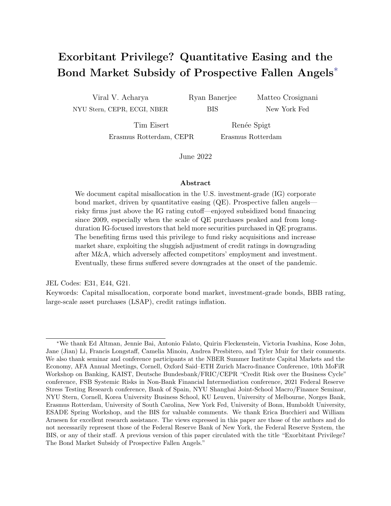

Figure 11: M&A activity. This figure shows the M&A activity by downgrade-vulnerable and nondowngrade-vulnerable investment grade issuers. The first row shows deal volume for downgrade-vulnerable (left) and non-downgrade-vulnerable (right) BBB-rated firms. The second row shows deal volume for downgrade-vulnerable (left) and non-downgrade-vulnerable (right) A/AA/AAA-rated firms. The third row shows the ratio of the total M&A deal volume of downgrade-vulnerable firms over the total M&A deal volume of non-downgrade-vulnerable firm in the  $AAA/AA/A$  (left) and BBB (right) rating categories. Figure E.1 presents the same charts for firms rated speculative-grade.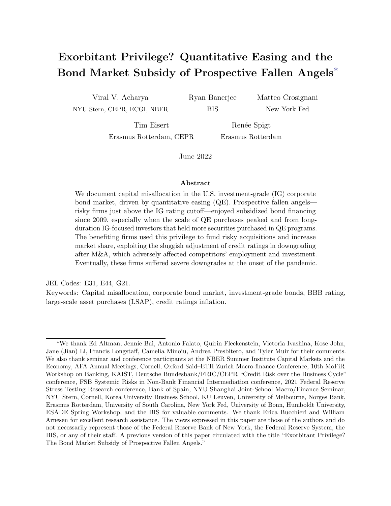

Reuters and Compustat. two-year period after an M&A transaction. The one-year transition probabilities are measured for the years firms without M&A transaction within the last two years. The right matrix includes only firms within a Figure 12: The sluggishness of credit ratings post-M&A. This figure shows the debt-weighted share (in %) of firms transitioning across issuer rating groups in one calendar year. The left matrix includes only 2011 to 2018, to account for the  $t - 2$  M&A lag and to exclude the COVID-19 period. Sources: Thomson

only includes firms in the two-year period following an M&A transaction. For example, the left matrix shows that 8.9 percent of A-rated firms are typically downgraded to BBB and that 3.0 percent of BBB-rated firms are typically downgraded to BB. The comparison of 1 for all IG-rating groups except BBB. BBB-rated firms are highly unlikely to be downgraded the two matrices reveals that, after M&A, the probability of being downgraded increases post-M&A. In Section E.4, we provide a set of parametric tests to further link M&A activity to a lower post-M&A downgrade probability for prospective fallen angels.

This fact is consistent with anecdotal evidence as well as a large body of practitioners' research pieces which note that the announcement of an M&A deal is almost always accompanied by rosy forecasts of synergies that will reduce costs and increase revenues and, even more importantly, a leverage-reduction plan.<sup>19</sup> This plan is a promise to reduce the debt taken on to finance the acquisition in an attempt to convince credit rating agencies about

<sup>&</sup>lt;sup>19</sup>For example, Morgan Stanley (2018a) states that  $\ldots$  M&A has driven big increases in leverage and BBB debt outstanding. And while these companies may pledge to delever over time, those promises often don't materialize..." And, again, Morgan Stanley (2018b) writes that \...forward-looking assumptions often assume all goes well and earnings growth is strong. In reality, issuers have been slow to actually delever..."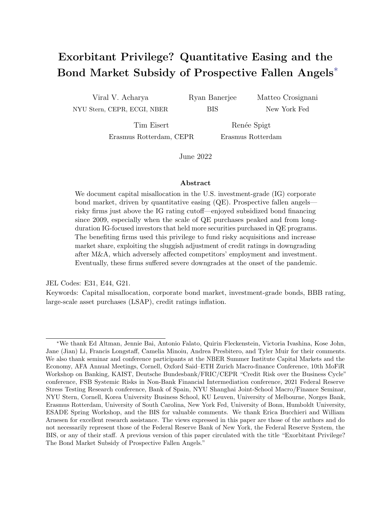

Figure 13: Downgrade materialization of (prospective) fallen angels. This figure shows the total debt of vulnerable BBB-rated firms that has been upgraded and downgraded in the years 2011 to 2020. The downgraded debt is grouped according to their downgrade severity. The downgrade severity is measured by the number of notches a firm is being downgraded, and is subdivided into three broad categories: 0.5-1, 1.5-2, >2 notches, as reflected by the green shades. The upgraded debt is shown by the orange bars, and is represented by the notches below zero. The left-hand panel plots the total amount of up/downgraded debt for vulnerable BBB firms that have conducted an M&A since the year that they have become vulnerable. The right-hand panel shows the total amount of up/downgraded debt for firms that have not conducted an M&A since the year that they have become vulnerable.

the issuer future prospects. Figure E.4 shows that this promise is often broken, consistent with opinions by market participants.

#### 7.3 Fallen angels at the onset of COVID-19

Figure 13 shows the yearly debt volume that has been downgraded (upgraded) from downgradevulnerable BBB firms to a lower (higher) rating category. The two panels separate the debt volumes for the firms that engaged in M&A (left panel) and firms that did not engage in M&A (right panel). The green bar in Figure 13 shows that the debt downgraded from BBB to speculative-grade in 2020 was almost entirely driven by firms that engaged in M&A. The different shades indicate the severity of the downgrade (number of notches). The much larger amount of downgraded debt and the number of rating notch downgrades of prospective fallen angels compared to their non-downgrade-vulnerable peers in 2020 is remarkable. Figure E.5 shows a similar pattern when looking at the number of issuers downgraded, not weighted by debt volume.

In Appendix E.2, we complement this ex-post evidence with ex-ante evidence where we show that prospective fallen angels (i) engage in relatively larger M&A transactions compared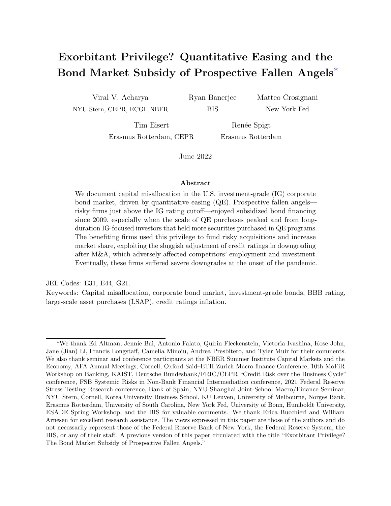to other rated firms, (ii) substantially increase their total debt without a comparable increase in profitability post-M&A, and (iii) experience negative cumulative abnormal returns around the M&A announcement date (not the case for non-downgrade-vulnerable BBB-rated issuers).<sup>20</sup>

### 8 The cost of the subsidy

In this section, we discuss the magnitude (Section 8.1) of the direct subsidy enjoyed by prospective fallen angels and one dimension of its indirect economic cost (Section 8.2).

### 8.1 Quantifying the subsidy for prospective fallen angels

In the Introduction, we claimed that prospective fallen angels benefited from a \$307 billion subsidy from 2009 to 2019. In this section, we explain this calculation and present additional evidence supporting this aggregate magnitude.

The subsidy enjoyed by prospective fallen angels has two components. First, a withinrating subsidy component originating from the fact that prospective fallen angels pay lower bond financing costs than non-downgrade-vulnerable BBB-rated firms. Second, a downgradeavoidance component originating from the fact that prospective fallen angels, by not being downgraded, avoid paying the much higher financing costs of speculative-grade issuers. This second component is also enjoyed by downgrade-vulnerable firms in other rating buckets as our definition of downgrade-vulnerable firms mechanically implies that these firms should be downgraded, according to their Z"-score, to the next lowest rating bucket.

The right panel of Figure 2 shows the within-rating subsidy (grey bar) and the downgradeavoidance subsidy (green bar) for ratings ranging from AAA-AA to BB. The within-rating subsidy is the bond spread between non-downgrade-vulnerable and downgrade-vulnerable firms with the same rating, multiplied by the average maturity and the total offering amount of the bonds in the downgrade-vulnerable rating category over the years 2009–19. The

 $^{20}$ In Appendix E.3, we also show that the low bond financing costs of prospective fallen angels is particularly pronounced for issuers engaging in M&A activity.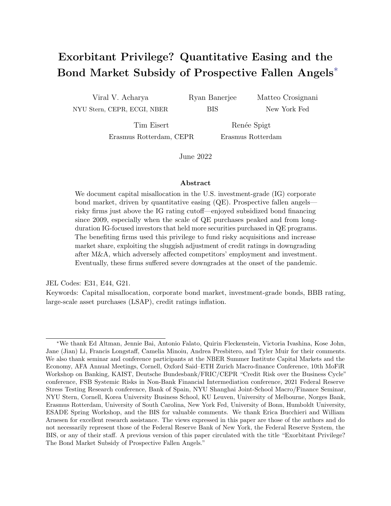

Figure 14: Bond market subsidy, robustness. This figure shows the bond market subsidy enjoyed by firms rated AAA-AA, A, BBB, and BB. The green bars denote the downgrade-avoidance subsidy, calculated as, for each rating, the mean difference between the offering spread of downgrade-vulnerable firms and matched firms in the next lowest rating category in a given year, then multiplied by the average bond maturity and the total offering amount of the bonds in the downgrade-vulnerable rating category in a given years, summed over the years 2009–19. The grey bar denotes the within-rating subsidy for prospective fallen angels (BBB downgrade-vulnerable firms). The latter is calculated as in the right panel of Figure 2, i.e. the bond spread between non-downgrade-vulnerable and downgrade-vulnerable firms, multiplied by the average maturity and the total offering amount of the bonds in the downgrade-vulnerable rating category over the years 2009–19.

downgrade-avoidance subsidy is, for each rating, the difference between the mean offering spread of downgrade-vulnerable and non-downgrade-vulnerable firms in the next lowest rating category, then multiplied by the average bond maturity and the total offering amount of the bonds in the downgrade-vulnerable rating category over the years 2009–19.

Figure 14 complements this exercise with a more rigorous calculation of the "downgradeavoidance" subsidy. Specifically, we match each bond of a downgrade-vulnerable firm to bonds of firms in the next lowest rating category, within the same industry-year. We then choose the closest match, based on the firm's Z"-score, the bond maturity, and the bond offering amount. We rank the matches using the Mahalanobis norm, which measures the distance between the firm and bond characteristics accounting for the variance of individual characteristics and the covariances between characteristics, as is standard in literature (e.g., Chernenko and Sunderam (2012)). To safeguard the accuracy of our procedure, we restrict our sample to the matched bonds that have a score lower than 0.2, as this threshold leads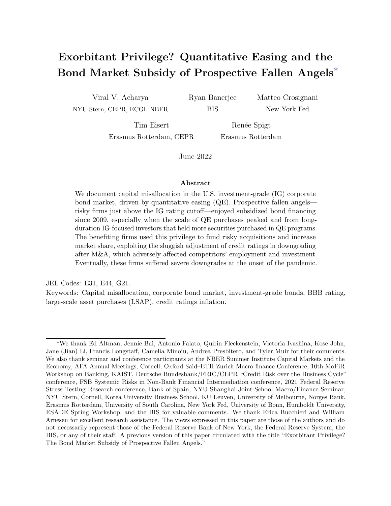the firm and bond characteristics to not be statistically different.<sup>21</sup>

This methodology confirms that over the period 2009 to 2019, the bond financing costs of prospective fallen angels would have risen by \$290 billion if prospective fallen angels had been downgraded—a magnitude close to the one discussed in the Introduction. Moreover, Figure 14 shows that firms rated AAA-AA, A, and BB benefit from a much smaller subsidy, well below \$50 billion over the same sample period.

#### 8.2 Spillovers to competing firms

In this section, we show (i) that the market share of prospective fallen angels increases substantially in our sample period, and especially since 2013–14, largely driven by M&A and (ii) that non-downgrade-vulnerable firms are negatively affected by the presence of prospective fallen angels in their market.

Figure 15 shows the increase in market shares by prospective fallen angels. The top left panel shows the evolution of market shares by issuer rating, highlighting the rapid increase in BBB-rated issuers' market share starting from around 2014. The top right panel further breaks down each rating category into the downgrade-vulnerable and non-downgrade-vulnerable groups. The entire increase in BBB-rated issuers' market share is driven by prospective fallen angels. Figure E.3 further shows that the increase in market share of BBB-rated firms from 2014 to 2019 has been driven by prospective fallen angels engaging in M&A.

The possible spillover we investigate is akin to the congestion externality documented in the context of zombie lending. Hence, we follow that literature (most notably Caballero et al.

<sup>&</sup>lt;sup>21</sup>To ensure the robustness of our estimated subsidy for the prospective fallen angels, we measure the mean difference between the offering spread of bonds issued by downgrade-vulnerable BBB firms in a given year and the offering spread of bonds issued by BB firms in the same industry-year across different score cut-offs. In Appendix F, we show that changing the score cutoff does not result in material differences in the relative spreads, and thus does not lead to large differences in the total subsidy estimated.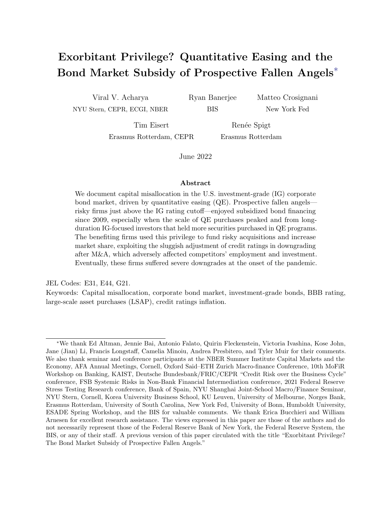

Figure 15: The increase in market share of prospective fallen angels. This figure shows the evolution of firm market share (share of sales in an industry, weighted by the relative size of the respective industry). The left panel includes all firms, grouped by credit rating from AA to BB. The right panel distinguishes between downgrade-vulnerable and non-downgrade-vulnerable firm within each rating.

(2008)) and estimate the following regression at the firm-year level:

$$
Y_{iht} = \beta_1 \text{Non-Valnerable}_{iht}
$$
  
+  $\beta_2 \text{Non-Valnerable}_{iht} \times \text{Share Valnerable BBB}_{ht} \quad 1 + \eta_{ht} + \epsilon_{iht},$  (5)

where i is a firm, h an industry, and t is a year. The dependent variables are employment growth, investment, sales growth, and markups. We also include industry-year fixed effects. Our coefficient of interest,  $\beta_2$ , captures whether non-downgrade-vulnerable firms that operate in industries with a high share of prospective fallen angels perform differently than nondowngrade-vulnerable firms in industries with a lower share of prospective fallen angels.

Table 5 reports the estimation results. Panel A shows that, in the sample of rated firms, non-downgrade-vulnerable IG firms are negatively affected by the presence of prospective fallen angels. More precisely, the first two columns show that, while non-downgrade-vulnerable firms have on average higher employment growth rates and invest more, both employment and investment are impaired by the presence of prospective fallen angels. Moreover, these firms face lower sales growth and lower markups compared with firms that do not compete with a large share of prospective fallen angels. To assess the economic magnitude of these spillover effects, consider a one standard deviation increase in the share of vulnerable BBB-rated firms (0.144). This increase implies that non-vulnerable investment-grade firms face a 1.3pp lower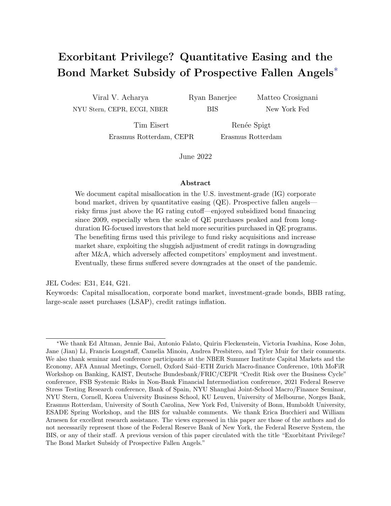|                                                                      | Emp Growth | <b>CAPX</b> | Sales Growth | Markup     |
|----------------------------------------------------------------------|------------|-------------|--------------|------------|
| Panel A: Rated Firms - Vulnerable IG                                 |            |             |              |            |
|                                                                      |            |             |              |            |
| Non-vulnerable $IG_{iht}$                                            | $0.018**$  | $0.031***$  | 0.005        | $0.633**$  |
|                                                                      | (0.009)    | (0.010)     | (0.008)      | (0.296)    |
| Non-vulnerable $IG_{iht} \times$ Share Vulnerable $BBB_{ht-1}$       | $-0.091**$ | $-0.149***$ | $-0.099**$   | $-1.925**$ |
|                                                                      | (0.039)    | (0.048)     | (0.040)      | (0.890)    |
| Observations                                                         | 6,923      | 7,113       | 7,121        | 7,121      |
| R-squared                                                            | 0.112      | 0.318       | 0.278        | 0.256      |
|                                                                      |            |             |              |            |
| Panel B: Rated Firms - Placebo                                       |            |             |              |            |
|                                                                      |            |             |              |            |
| Non-vulnerable $IG_{iht}$                                            | $0.033*$   | $0.021**$   | 0.022        | 0.293      |
|                                                                      | (0.017)    | (0.011)     | (0.015)      | (0.231)    |
| Non-vulnerable $IG_{iht} \times$ Share Vulnerable <sub>ht 1</sub>    | $-0.039$   | $-0.023$    | $-0.038$     | 0.289      |
|                                                                      | (0.030)    | (0.021)     | (0.028)      | (0.367)    |
| Observations                                                         | 6,923      | 7,113       | 7,121        | 7,121      |
| R-squared                                                            | 0.112      | 0.318       | 0.278        | 0.256      |
|                                                                      |            |             |              |            |
| Panel C: All Firms                                                   |            |             |              |            |
| Non-vulnerable $_{iht}$                                              | $0.040***$ | $0.042***$  | $0.040***$   | $0.372**$  |
|                                                                      | (0.010)    | (0.011)     | (0.012)      | (0.179)    |
| Non-vulnerable <sub>iht</sub> × Share Vulnerable BBB <sub>ht 1</sub> | $-0.064**$ | $-0.101**$  | $-0.073**$   | $-0.900**$ |
|                                                                      | (0.030)    | (0.046)     | (0.031)      | (0.432)    |
| Observations                                                         | 26,009     | 27,471      | 26,978       | 26,872     |
|                                                                      | 0.042      | 0.191       | 0.045        | 0.133      |
| R-squared                                                            |            |             |              |            |
| Industry-Year FE                                                     | X          | Х           | X            | X          |
| Firm-level Controls                                                  | $\times$   | $\times$    | $\times$     | X          |

Table 5: Negative spillovers on other firms. This table presents estimation results from specification (5). The dependent variables are employment growth, CAPX/PPE, sales growth, and markups (defined as sales/cost of goods sold). Vulnerable (and non-vulnerable) is defined in Section 3.2. Panel A focuses on non-downgrade-vulnerable investment-grade firms and limits the sample to firms with a rating from at least one rating agency. Panel B focuses on all non-downgrade-vulnerable firms. Panel C focuses on non-downgrade-vulnerable firms using the entire sample of firms. Share Vulnerable BBB measures the asset-weighted share of downgrade-vulnerable BBB-rated firms in a two-digit SIC industry. Firm-level control variables include log of total assets, leverage, net worth, and an indicator variable for the rating bucket (AAA, AA, A, etc.). Standard errors clustered at the industry-level reported in parentheses. \*\*\* p<0.01, \*\* p<0.05,  $*$  p $< 0.1$ .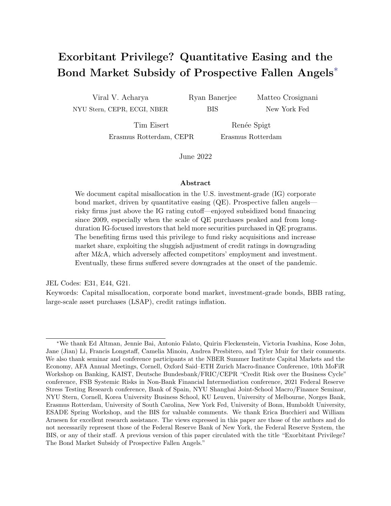employment growth, 2.1pp lower investment, and a 1.4pp lower sales growth.

Panel B shows that these spillover effects are not present when we replace the share of prospective fallen angels with the overall share of downgrade-vulnerable firms. This result confirms the uniqueness of prospective fallen angels, also when it comes to driving negative spillover effects. Panel C confirms our main results for the full sample of firms.

## 9 Conclusion

We document an exorbitant privilege in the form of a bond market borrowing cost subsidy for prospective fallen angels, namely firms on the cusp of the investment-grade cutoff. This subsidy, present since the Global Financial Crisis, peaked during 2013-16 when the Federal Reserve balance-sheet itself reached its pre-COVID peak of \$4.5 trillion. We find the subsidy to be driven by QE-induced demand for investment-grade bonds in IG-focused and longduration investors such as annuities. This demand, in turn, induces prospective fallen angels to engage in risky M&A, exploiting the leniency of credit rating agencies in order to increase their market share with adverse spillovers on competing firms.

Our results suggest that although the growth of investment-grade bond segment may have been a desired consequence of QE, the growing concentration of issuance in the riskiest investment-grade (BBB) bucket also comes at a cost that may run counter to central bank objectives. First, the subsidised firms grow disproportionately large and become more fragile, as evidenced by the unprecedented wave of fallen angels that were downgraded by multiple notches at the onset of the COVID-19 crisis. Second, the resulting spillover effects force their competitors to reduce employment, investment, markups, and sales growth.

This capital misallocation cost of QE has not been documented hitherto, to the best of our knowledge, and may need to be factored in while considering the desirability, scale, scope, and duration of QE interventions in the future, as well as in the present discussions to normalize central bank balance sheet size given the extraordinary size of post-COVID QE programs. Indeed, the ongoing crash of IG-rating indices (during 2022), which seems to have outpaced that of high-yield indices, suggests that the impact of central bank interventions on the pricing and issuance of investment-grade corporate bonds are worthy of careful scrutiny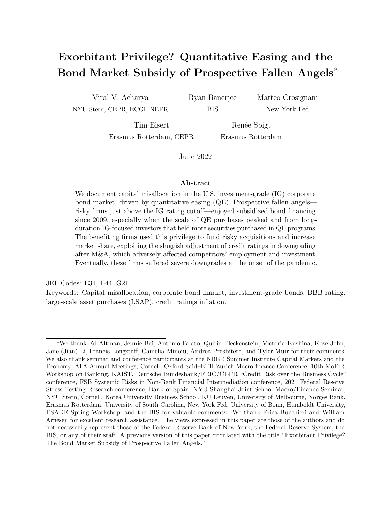also during the post-COVID period.

## References

- Acharya, V., M. Crosignani, T. Eisert, and C. Eufinger (2020): "Zombie Credit and (Dis-)Inflation: Evidence from Europe," Working Paper.
- Acharya, V., T. Eisert, C. Eufinger, and C. Hirsch (2019): "Whatever it takes: The Real Effects of Unconventional Monetary Policy," Review of Financial Studies, 32, 3366–3411.
- ACHARYA, V. AND S. STEFFEN (2020): "The risk of being a fallen angel and the corporate dash for cash in the midst of COVID," Review of Corporate Finance Studies, 9, 430-471.
- Ahmed, A., B. Hofmann, and M. Schmitz (2021): "Foreign Institutional Investors, Monetary Policy, and Reaching for Yield," Working Paper.
- Aktas, N., D. Petmezas, H. Servaes, and N. Karampatsas (forthcoming): "Credit Ratings and Acquisitions," Journal of Corporate Finance.
- Altman, E. I. (2018): "A fifty-year retrospective on credit risk models, the Altman Z-score family of models and their applications to financial markets and managerial strategies," Journal of Credit Risk, 14.
- (2020): "COVID-19 and the Credit Cycle," Journal of Credit Risk, 16, 1-28.
- Altman, E. I., E. Hotchkiss, and W. Wang (2019): Corporate nancial distress, restructuring, and bankruptcy: analyze leveraged nance, distressed debt, and bankruptcy, John Wiley & Sons.
- BAGHAI, R., B. BECKER, AND S. PITSCHNER (2020): "The Use of Credit Ratings in Financial Markets," Working Paper.
- BANERJEE, R. AND B. HOFMANN (2020): "Corporate zombies: Anatomy and life cycle," Bank for International Settlements Working Papers, 1–28.
- Banerjee, R. N. and B. Hofmann (2018): "The rise of zombie firms: causes and consequences," BIS Quarterly Review.
- BECKER, B., M. CAMPELLO, V. THELL, AND D. YAN (2021): "Credit Risk and the Life Cycle of Callable Bonds: Implications for Corporate Financing and Investing," CEPR Discussion Papers 16239, C.E.P.R. Discussion Papers.
- Becker, B. and V. Ivashina (2015): "Reaching for Yield in the Bond Market," The Journal of Finance, 70, 1863–1902.
- Becker, B. and T. Milbourn (2011): "How did increased competition affect credit ratings?" Journal of Financial Economics, 101, 493–514.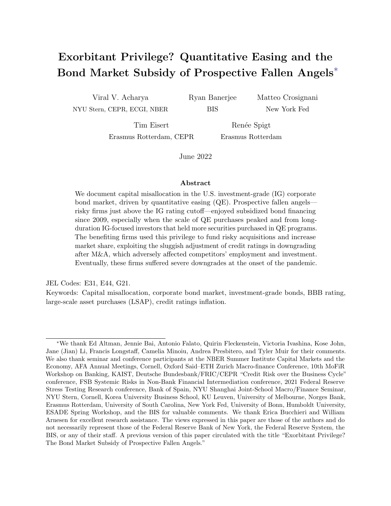- Blackrock (2020): "Assessing risks in the BBB-rated corporate bond market," Online, accessed 18 August 2020.
- Boyarchenko, N., R. Crump, A. Kovner, and O. Shachar (2021): "Measuring Corporate Bond Dislocations," Federal Reserve Bank of New York Sta Reports.
- Bruno, V., J. Cornaggia, and K. J. Cornaggia (2016): "Does Regulatory Certification Affect the Information Content of Credit Ratings?" Management Science, 62, 1578–1597.
- Caballero, R. J., T. Hoshi, and A. K. Kashyap (2008): "Zombie Lending and Depressed Restructuring in Japan," American Economic Review, 98, 1943–77.
- CELIK, S., G. DEMIRTAS, AND M. ISAKSSON (2020): Corporate bond market trends, emerging risks and monetary policy, OECD Capital Market Series, Paris.
- CHERNENKO, S. AND A. SUNDERAM (2012): "The real consequences of market segmentation," The Review of Financial Studies, 25, 2041–2069.
- Cornaggia, J. and K. Cornaggia (2013): "Estimating the Costs of Issuer-Paid Credit Ratings," The Review of Financial Studies, 26, 2229–2269.
- DARMOUNI, O., O. GIESECKE, AND A. RODNYANSKY (2021): "The Bond Lending Channel of Monetary Policy," Working Paper.
- Di Maggio, M., A. Kermani, and C. Palmer (2020): "How Quantitative Easing Works: Evidence on the Refinancing Channel," Review of Economic Studies, 87, 1498–1528.
- Fabo, B., M. Jancokova, E. Kempf, and L. Pastor (2021): "Fifty Shades of QE: Comparing Findings of Central Bankers and Academics," Working Paper.
- FALATO, A., I. GOLDSTEIN, AND A. HORTACSU (2021a): "Financial Fragility in the Covid-19 Crisis: The Case of Investment Funds in Corporate Bond Markets," Journal of Monetary Economics, 123, 35–52.
- Falato, A., A. Hortacsu, D. Li, and C. Shin (2021b): "Fire-sale Spillovers in Debt Markets," Journal of Finance, 76, 3055-3102.
- FAUST, J., S. GILCHRIST, J. H. WRIGHT, AND E. ZAKRAJŠSEK (2013): "Credit Spreads as Predictors of Real-Time Economic Activity: A Bayesian Model-Averaging Approach," The Review of Economics and Statistics, 95, 1501–1519.
- FOLEY-FISHER, N., R. RAMCHARAN, AND E. YU (2016): "The Impact of Unconventional Monetary Policy on Firm Financing Constraints: Evidence from the Maturity Extension Program," Journal of Financial Economics, 122, 409–429.
- Gagnon, J., M. Raskin, J. Remache, and B. Sack (2011): "The Financial Market Effects of the Federal Reserve's Large-Scale Asset Purchases," International Journal of Central Banking, 7, 3–43.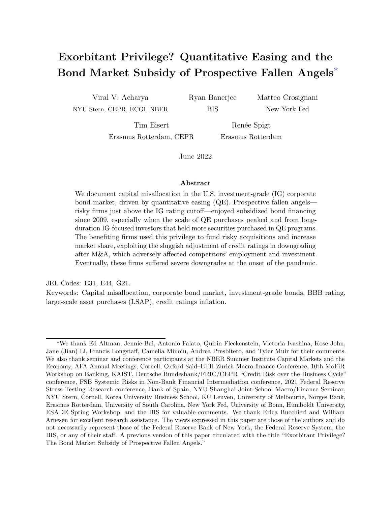- GILCHRIST, S., B. WEI, V. Z. YUE, AND E. ZAKRAJŠEK (2020): "The Fed Takes on Corporate Credit Risk: An Analysis of the Efficacy of the SMCCF," NBER Working Papers 27809, National Bureau of Economic Research, Inc.
- GILCHRIST, S. AND E. ZAKRAJSEK (2012): "Credit Spreads and Business Cycle Fluctuations," American Economic Review, 102, 1692–1720.
- GOLDSTEIN, I. AND C. HUANG (2020): "Credit Rating Inflation and Firms' Investments," Journal of Finance, 75, 2929–2972.
- Greenwood, R., S. Hanson, A. Shleifer, and J. Sorensen (forthcoming): "Predictable Financial Crises," Journal of Finance.
- Greenwood, R. and A. Vissing-Jorgensen (2018): "The Impact of Pensions and Insurance on Global Yield Curves," Working Paper.
- GUERRIERI, V. AND P. KONDOR (2012): "Fund Managers, Career Concerns, and Asset Price Volatility," American Economic Review, 102, 1986–2017.
- HADDAD, V., A. MOREIRA, AND T. MUIR (2021): "When Selling Becomes Viral: Disruptions in Debt Markets in the COVID-19 Crisis and the Fed's Response," Review of Financial Studies, 34, 5309–5351.
- HERPFER, C. AND G. MATURANA (2021): "Who Prices Credit Rating Inflation?" Working Paper.
- IANNOTTA, G., G. PENNACCHI, AND J. SANTOS (2019): "Ratings-Based Regulation and Systematic Risk Incentives," The Review of Financial Studies, 32, 1274–1415.
- IVASHINA, V. AND B. VALLÉE (2020): "Weak Credit Covenants," Working Paper.
- Jensen, M. C. and W. H. Meckling (1976): "Theory of the firm: Managerial behavior, agency costs and ownership structure," Journal of Financial economics, 3, 305–360.
- JOHN, T. AND K. JOHN (1993): "Top-Management Compensation and Capital Structure," Journal of Finance, 48, 949–974.
- KOIJEN, R. S. J. AND M. YOGO (2021): "The evolution from life insurance to financial engineering," Geneva Risk and Insurance Review, 46, 89–111.

– (2022): "The Fragility of Market Risk Insurance," *Journal of Finance*, 77, 815–862.

- Krishnamurthy, A. and T. Muir (2020): "How Credit Cycles across a Financial Crisis," Working Paper.
- Krishnamurthy, A. and A. Vissing-Jorgensen (2011): "The Effects of Quantitative Easing on Interest Rates: Channels and Implications for Policy," Brookings Papers on Economic Activity.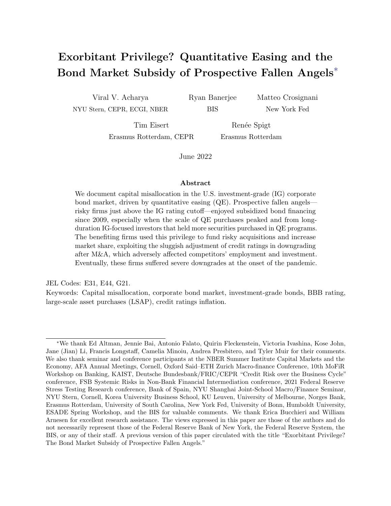- Kubitza, C. (2021): "Investor-Driven Corporate Finance: Evidence from Insurance Markets," Working Paper.
- LUCK, S. AND T. ZIMMERMANN (2020): "Employment effects of unconventional monetary policy: Evidence from QE," Journal of Financial Economics, 135, 678–703.
- MIDRIGAN, V. AND D. XU (2014): "Finance and Misallocation: Evidence from Plant-Level Data," American Economic Review, 104, 422–458.
- Morgan Stanley (2018a): "M&Aking a Leveraged Balance Sheet," Corporate Credit Research North America.
- (2018b): "The Nature of the BBBeast," Corporate Credit Research North America.
- NAIC (2015): "Capital Markets Special Report," Special report, National Association of Insurance Commissioners.
- Rajan, R. (2013): "A step in the dark: unconventional monetary policy after the crisis," Andrew Crockett Memorial Lecture.
- Rodnyansky, A. and O. Darmouni (2017): "The Effects of Quantitative Easing on Bank Lending Behavior," Review of Financial Studies, 30, 3858–3887.
- S&P GLOBAL (2020a): "BBB Bond Downgrades Added USD 88 Billion to the High-Yield Bond Market YTD," Online, accessed 1 February 2021.
- (2020b): "Fed expands primary and secondary facilities to boost fallen angels," Online, accessed 27 September 2021.
- Stein, J. (2013): "Overheating in Credit Markets: Origins, Measurement, and Policy Responses," \Restoring Household Financial Stability after the Great Recession: Why Household Balance Sheets Matter" research symposium.
- Vayanos, D. and J.-L. Vila (2021): "A Preferred-Habitat Model of the Term Structure of Interest Rates," Econometrica, 89, 77–112.
- WHITED, T. AND J. ZHAO (2021): "The Misallocation of Finance," The Journal of Finance, 76, 2359–2407.
- Wu, J. and F. Xia (2016): "Measuring the Macroeconomic Impact of Monetary Policy at the Zero Lower Bound," Journal of Money, Credit, and Banking, 48, 253–291.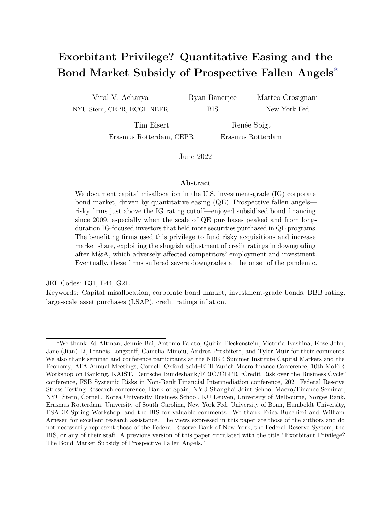# Online Appendix

#### Exorbitant Privilege? Quantitative Easing and the Bond Market Subsidy of Prospective Fallen Angels

Viral V. Acharya Ryan Banerjee Matteo Crosignani Tim Eisert Renée Spigt

June 2022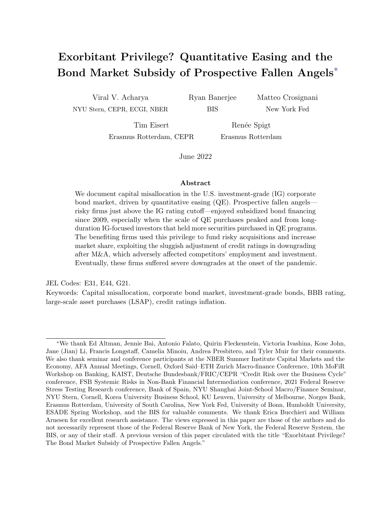### Structure

This online appendix is structured as follows. Appendix A explains the data construction. Appendix B presents our theoretical framework. Appendix C shows some aggregate facts. Appendix D shows that the existence of a bond financing privilege by prospective fallen angels is empirically robust. Appendix E presents a set of results about M&A activity. Appendix F shows how we calculate the subsidy enjoyed by prospective fallen angels from 2009 to 2019. Appendix G presents additional figures.

## Appendix A Data construction

Issuer-level analysis We start with the capital information provided by WRDS Capital IQ, which covers over 60,000 public and private companies globally. The data set describes the firms' debt capital structure over the years 2009 to 2019. We drop the observations for which the debt categories<sup>22</sup> do not add up to 100 per cent and deviate by more than 5 per cent. Moreover, we exclude the observations for which the principal debt amount percentage is missing. $23$ 

We then combine the CapitalIQ data with the company specific information from Compustat North America, which provides the financial statements of listed American and Canadian firms. We further reduce the sample by dropping firms that are not incorporated in the U.S. or have a SIC-code between 6000-6999. In addition, we exclude the observations that contain missing values for the CapitalIQ debt categories or the Compustat debt items. To merge the debt items of the two providers, we match the total amount of debt outstanding of CapitalIQ to the sum of the current liabilities (DLC) and long-term debt (DLTT) items of Compustat. We drop the observations for which the two values vary by more than 10 per cent to assure a clean matching procedure. Moreover, we drop firms that have a leverage ratio exceeding one.

The issuer CUSIPs allow us to merge the Capital IQ Compustat data set to the rating data from Thomson Reuters, which provides worldwide coverage on ratings from S&P, Moody's and Fitch. We follow Becker and Milbourn (2011) in transferring the ratings into numerical values to estimate the firms' median ratings. For the rating classification, we refer to Table A.1 in the Appendix. Furthermore, we use the issuer CUSIPS to obtain M&A deal information from ThomsonOne. Combining all the data sources, we investigate a total of 6,145 firms.

Bond-level analysis The second type of data sets we create are on a bond-level and are used to investigate primary and secondary market pricing. For the primary market analysis,

<sup>&</sup>lt;sup>22</sup>The debt categories consist of commercial paper, revolving credit, subordinated bonds and notes, senior bonds and notes, general/other borrowings, capital leases, and term loans. We also take into account the total trust preferred, unamortized premium, unamortized discount and adjustment items.

<sup>&</sup>lt;sup>23</sup>The principal debt amount outstanding percentage can deviate from 100 per cent due to potential debt adjustments. The percentage is used to scale the principal debt outstanding to the total amount of debt outstanding.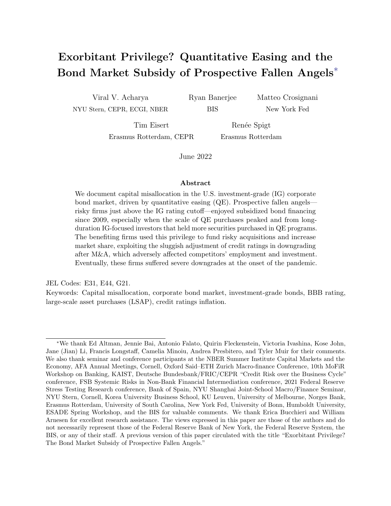we use Mergent Fixed Income Securities Database (FISD), a fixed income database that includes issue details of publicly-offered U.S. bonds. This sample consists of 6,460 bond issues and 909 issuers. For the second market pricing, we use TRACE, which is a database that constitutes of real-time secondary market information on transactions in the corporate bond market. This analysis is based on  $7,741$  outstanding bonds by  $1,146$  issuers, with bond b, firm j, year t as unit of observation. For the COVID analysis, we extend our data set to 2020.

Investor-level analysis Our investor-level analysis is based on a data set constructed using the eMAXX Bond Holders data from Refinitiv, matched with the Fed SOMA portfolio data and our issuer-level and bond-level information. The data set is constructed as follows. The data set from eMAXX has security level holdings at a quarterly frequency from 2008Q4. Securities are identified with cusip8 and the holdings amount are denominated in USD. There are two investors' identifiers: firmid (uniquely identifies a managing firm) and fundid (uniquely identifies a sub-account). This data has around 160 million observations corresponding to 4,244 unique firmid and 47,145 fundid. Note that one firmid might have several different fundid (there might be multiple funds per firm) and one fundid might have several different firmid (funds might be co-managed by different firms). We use fundid to identify investors in our analysis. We measure investor-level exposure to  $\mathbb{Q}E$  in quarter t calculating the share of investor total holdings that are held by the Fed (holdings are weighted by the share of amounts outstanding held by the Fed). Having calculated this exposure (and total holdings and total corporate bond holdings for each fund ), we only keep observations corresponding to securities issued by the 6,179 issuers at the intersection of Compustat and CapIQ that have bonds outstanding in the period from June 30, 2009 to December 31, 2019. We identify issuers using cusip6 and gvkey. We end up with around 16 million observations, corresponding to 14,268 investors, 1,701 issuers, and 13,359 securities. At this stage, we match the data set with investor level characteristics from eMAXX Bond Holders and security-level characteristics (amount issued, issued date, maturity, M&A purpose dummy), bringing our data set to 13.8 million observations, corresponding to 13,577 investors, 1,494 issuers, and 11,231 securities. We then collapse our data set at the issuer-investor-quarter level. Our data runs quarterly from 2009 to 2019 and features 2,750 investors and 1,442 corporate bond issuers. Out of the 2,750 funds, 223 are annuities, 590 are life and health insurance, 934 are property and casualty insurance, and around 800 are mutual funds (the exact number depends on definition of mutual fund). Out of the 1,442 corporate bond issuers, 3 are rated AAA, 24 are rated AA, 137 are rated A, 360 are rated BBB, 390 are rated BB, and 345 are rated B.

Transferring ratings into numerical values Following Becker and Milbourn (2011), we transfer the ratings of S&P, Moody and Fitch into numerical values using Table A.1. This way we can estimate the median rating for each rated firm in our data set.

Z"-score cutoff points We take median Z"-score values for each rating category from Altman (2020). These medians are measured in 2013 for the main analysis and in 2006 for the pre-GFC sample.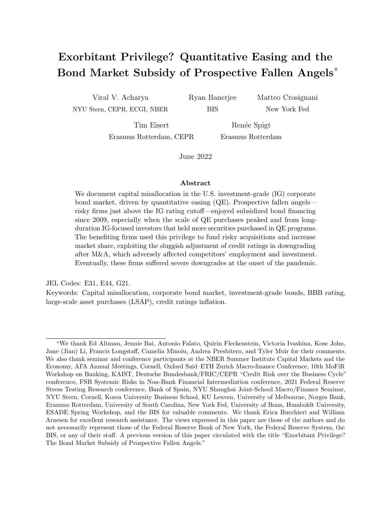|     |            | Moody's S&P/Fitch Numerical value assigned |
|-----|------------|--------------------------------------------|
| AAA | AAA        | 28                                         |
| Aa  | AА         | 24, 25, 26                                 |
| А   | A          | 21, 22, 23                                 |
| Baa | BBB        | 18, 19, 20                                 |
| Ba  | BB         | 15, 16, 17                                 |
| В   | В          | 12, 13, 14                                 |
| Caa | $\rm{CCC}$ | 9, 10, 11                                  |
| Ca  | CC         |                                            |
| С   | C          |                                            |
| D   | D          |                                            |

Table A.1: Rating classification. This table presents the rating mapping used in this paper, taken from Becker and Milbourn (2011).

|            | Ratings Z"-score 2006 Z"-score 2013 |      |
|------------|-------------------------------------|------|
| AAA        | 7.78                                | 8.40 |
| A A        | 7.60                                | 8.22 |
| A          | 6.47                                | 5.80 |
| <b>BBB</b> | 6.25                                | 5.60 |
| <b>BB</b>  | 5.05                                | 4.81 |
| В          | 2.98                                | 2.84 |
| CCC        | 0.84                                | 0.05 |

Table A.2: Z"-score cutoff points This table presents the Z"-score values below which a firm in a given rating bucket will be classified as vulnerable for each rating category from Altman (2020).

### Appendix B Theoretical framework

In this appendix, we present a simple model to explain how the exorbitant privilege of prospective fallen angels can arise in equilibrium. This model adds a subsidy for debt financing to an environment similar to the one in John and John (1993).

**Setup** There are two dates,  $t = 0$  and  $t = 1$ , and universal risk neutrality. A firm with debt F can invest in a safe investment and a risky investment. The safe investment pays off I with probability 1 at  $t = 1$ . The risky investment pays off H with probability q and L with probability  $1-q$ , where  $H > I > L$  and  $q \sim U[0,1]$ . The debt provides a tax shield (the tax rate is  $\tau$ ) and there is limited liability. The timing works as follows: (i) The firm chooses F; (ii) The probability  $q$  is realized; and (iii) The firm makes its investment decision.

Firm risk The firm invests in the risky project if and only if  $q \geq \tilde{q}$ . We refer to  $\tilde{q}$  as the risk of the firm (for illustrative purposes, we will refer to  $1 - \tilde{q}$  as firm risks when presenting the results). Depending on the level of firm debt  $F$ , there are three cases:

- 1. A "low debt case" with  $F \leq L$ . Firms choose the first-best risk  $\widetilde{q} = \frac{I}{H} \frac{L}{L}$  $\frac{I}{H-L}$ . There is no agency cost of debt.
- 2. A "moderate debt case" with  $F \in (L, I)$ . Firms choose the second-best risk  $\widetilde{q} = \frac{I}{H} \frac{F}{I}$  $\frac{I-F}{H-F},$ where  $\frac{d\tilde{q}}{dF} = -\frac{H}{(H-F)}$  $\frac{H}{(H-F)^2}$  < 0, namely firms take more risk (lower  $\tilde{q}$ ) as their debt increases.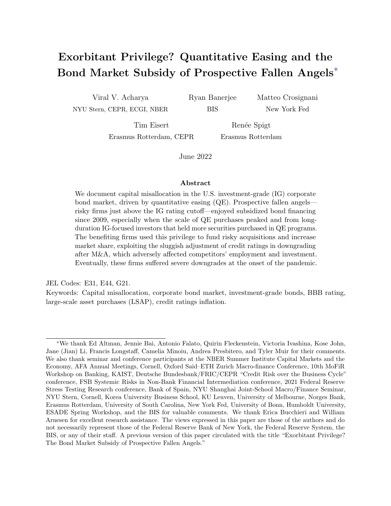3. A "high debt case" with  $F \geq I$ . Firms choose the highest level of risk  $(\tilde{q} = 0)$  as they always take the risky project.

**Fairly priced debt** The firm chooses the level of debt F that maximizes firm value  $V(F)$ . The debt is fairly priced. There are three states of the world that depend on the realization of the probability q.

- 1. The firm chooses to undertake the riskless project. This state of the world has an unconditional probability of  $\tilde{q}$ .
- 2. The firm chooses to undertake the risky project and the risky project fails. This state of the world has an unconditional probability of  $(1 - \tilde{q})^2$ .
- 3. The firm might chooses to undertake the risky project and the risky project succeeds. This state of the world has an unconditional probability of  $(1 - \tilde{q}^2)$ .

Hence, firms solve:

$$
max_F V(F) \text{ where}
$$
  
\n
$$
V(F) = \frac{1}{2}(1 - \tilde{q}^2)((1 - \tau)H + \tau min\{H, F\})
$$
  
\n
$$
+ \tilde{q}((1 - \tau)I + \tau min\{I, F\})
$$
  
\n
$$
+ \frac{1}{2}(1 - \tilde{q})^2((1 - \tau)L + \tau min\{L, F\})
$$

Firms trade-off the tax benefit of debt with the agency cost of debt. Given the tax shield, firms never choose a debt  $F < L$ . Hence, firms can either have "moderate debt" or "high debt." In most of our analysis, we focus on the former as the latter is always characterized by maximum risk-taking  $(\tilde{q}=0)$ .

Non-fairly priced debt We compare the economy presented above with an economy where debt is not fairly priced. More specifically, the value of debt now includes a subsidy  $\alpha$ . Firms now solve:

$$
max_F \quad \widehat{V}(F) \qquad \text{where}
$$

$$
\widehat{V}(F) = V(F) + \alpha F
$$

The subsidy induces firms to take on more debt and thus more risk (lower  $\tilde{q}$ ). This subsidy can be rationalized by a high demand for debt.

**Mapping the model to data** The tax rate  $\tau$ , the primitive driving the firm debt choice and thus its risk profile, is firm quality. We map intervals in  $\tau$  to credit ratings. The cost of debt  $S = F/D(F)$  is the bond yield. Firm risk  $1 - \tilde{q}$  is the risk-taking behavior of firms, for example through risky M&A. The subsidy parameter  $\alpha$  is the strength of the demand for bonds. We increase the demand for bonds within each rating bucket as  $\tau$  increases, capturing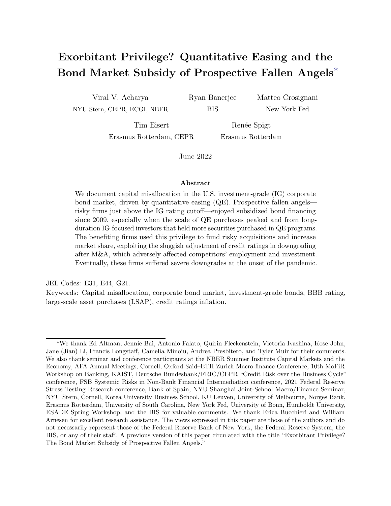the idea that investors demand more bonds of riskier firms within a rating bucket. This behavior can be explained by rating-based regulation or implicit and explicit limits that investment managers face in their asset allocation across ratings. To the extent that riskier issuers offer higher bond yields, the higher demand for bonds issuer by riskier firms might also capture the so-called "reach-for-yield" behavior.

Applications We now show two applications to interpret our empirical findings through the lenses of the framework just presented. Figure B.1 shows firm risk choice and bond yields as a function of firm quality. The x-axes feature increasing tax rates  $\tau$ , grouped in rating categories. We compare three cases: an economy with normal demand for IG bonds (blue solid line), an economy with moderate demand for IG bonds (red dashed line), and an economy with high demand for IG bonds (black dotted line). As discussed above, the subsidy increases as firm quality deteriorates within each rating bucket. Within each rating bucket, the subsidy induces higher risk-taking, and more so as we approach the BBB-rated market. The subsidy both flattens and introduces a convexity in bond yields.

Figure B.2 shows average bond yields and firm risk-taking within each rating bucket for the three cases discussed above: normal demand for IG bonds, moderate demand for IG bonds, and high demand for IG bonds.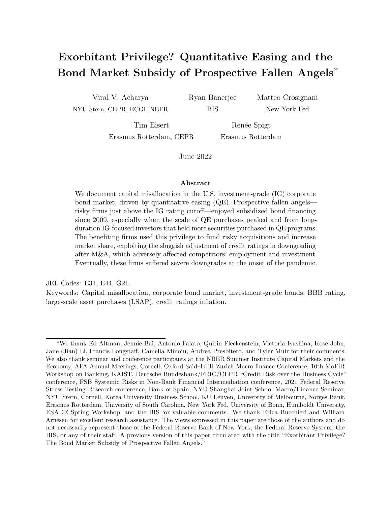

Figure B.1: Firm risk-taking and bond yields. This figure shows firm risk choice (top panel) and firm bond yields (bottom panel) as a function of firm quality. The x-axes show progressively higher tax rates, grouped in rating categories. The blue line corresponds to the baseline economy. The red dashed line corresponds to an economy with moderate demand for risk. The black dotted line corresponds to an economy with high demand for risk. Demand for risk is modeled through an increase in alpha within each rating group in the investment-grade market. The increase is more pronounced as we approach the BBB market from the AAA/AA market.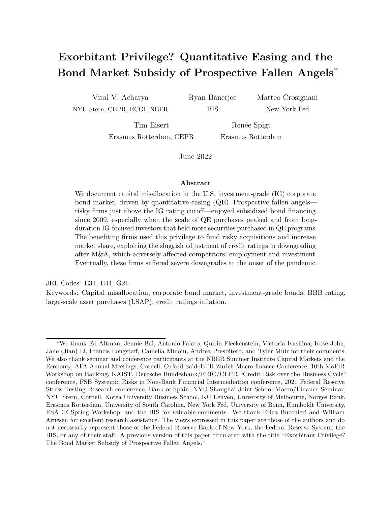

Figure B.2: Firm risk-taking and bond yields. This figure shows bond spreads (top panel) and firm risk choice (bottom panel) as a function of firm quality. The x-axes show progressively higher tax rates, grouped in rating categories. The blue lines show averages within a rating group for non-downgrade vulnerable issuers. The red lines show averages within a rating group for downgrade vulnerable issuers. The two left panels correspond to the baseline economy. The two middle panel correspond to an economy with moderate demand for risk. The two right panels correspond to an economy with high demand for risk. Demand for risk is modeled through an increase in  $\alpha$  within each rating group in the investment-grade market. The increase is more pronounced as we approach the BBB market from the AAA/AA market.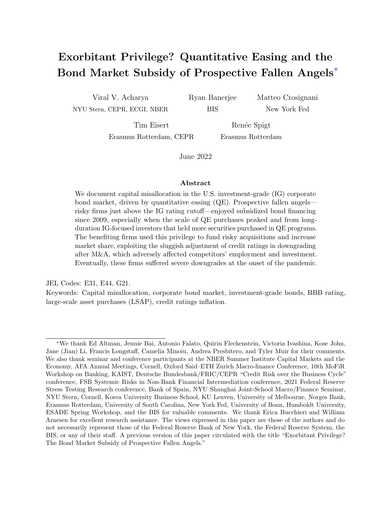

Figure C.1: The growth of the U.S. non-financial corporate debt. This figure shows the growth of the U.S. non-financial corporate debt and, in particular, of the U.S. corporate bond market. The top left panel shows the evolution of the financial sector debt, non-financial sector debt, and household debt, normalized by GDP. The sources are series dodfs, tbsdodns and cmdebt from FRED. The top right panel is an index where these series are normalized to 100 in 2009Q1. The bottom left panel shows the evolution of corporate bonds, mortgages, non-mortgage deposits (includes loans from banks, credit unions, and savings and loans associations), commercial paper and other (loans from non-bank institutions, excluding mortgages, and industrial revenue bonds). The sources are series cblbsnncb, mlbsnncb, ncbilia027n, cplbsnncb and olalbsnncb from FRED. The bottom right panel shows the evolution of the stock outstanding of corporate bonds, grouped by rating category. Sources: Capital IQ and Thomson Reuters.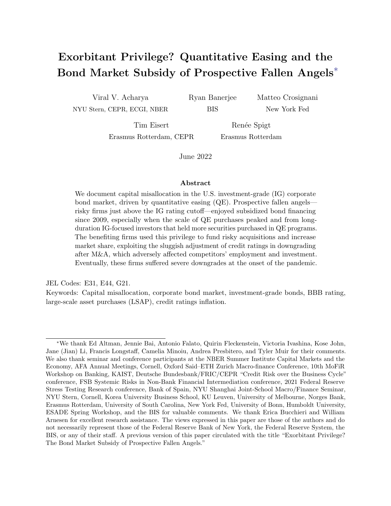## Appendix D The exorbitant privilege

#### D.1 Validating the downgrade-vulnerability measure

In this section, we first show how the balance sheet characteristics of vulnerable rated firms differ from those of non-vulnerable rated firms. Thereafter, we show how a firm's downgrade probability, balance sheet characteristics and firm performance change after a firm is classified as vulnerable.

In Table D.1, we present the descriptive statistics for the rated firms in our sample, separated for firms that are vulnerable and firms that are not vulnerable. The sample means highlight that vulnerable firms are larger and riskier along all dimensions. In particular, vulnerable firms have higher leverage, lower profitability, lower net worth, and a lower interest coverage ratio. Their sales growth, employment growth, and investment ratio are also significantly lower than those of non-vulnerable firms. The last column shows a test for the difference in means.

Next, we show that vulnerable firms are more likely to be downgraded and to be assigned a negative credit watch or outlook status relative to non-vulnerable firms. To this end, we estimate the following specification:

$$
Y_{iht+1} = \beta_1 Vullnerable_{iht} + \beta_2 X_{iht} + \mu_{ht} + \epsilon_{iht+1},
$$

where i is a firm, h an industry, and t a year. Our dependent variable Y is a dummy equal to one in the case of a negative watch event in t or  $t+1$ , or a downgrade event in  $t+1$ . To qualify as downgrade event, a firm must be downgraded by at least one rating category in year  $t + 1$ , i.e. a firm that has a rating of  $A_+, A$ , or  $A_-,$  is downgraded to at least BBB+. Vulnerable is a dummy equal to one if a firm is vulnerable in period  $t$  and  $\mu_{ht}$  are industry-year fixed effects.  $X_{iht}$  is a vector of controls, namely the logarithm of total assets, leverage, and the interest coverage ratio.

Table D.2 presents the estimation results. The first two columns show that a vulnerable company in year t is more likely to have a negative watch event in year t or  $t + 1$ . Similarly,

|                   |        | Downgrade-vulnerable Non-downgrade-vulnerable Difference |             |
|-------------------|--------|----------------------------------------------------------|-------------|
| Total Assets      | 24,114 | 10,988                                                   | $13,126***$ |
| Leverage          | 0.403  | 0.354                                                    | $0.049***$  |
| EBITDA/Assets     | 0.104  | 0.132                                                    | $-0.028***$ |
| Interest Coverage | 7.747  | 13.114                                                   | $-5.367***$ |
| Sales Growth      | 0.038  | 0.056                                                    | $-0.017***$ |
| <b>CAPX</b>       | 0.188  | 0.225                                                    | $-0.037***$ |
| Employment Growth | 0.008  | 0.036                                                    | $-0.027***$ |
| Net Worth         | 0.183  | 0.248                                                    | $-0.066***$ |

Table D.1: Descriptive statistics: downgrade-vulnerable and non-downgrade-vulnerable firms. This table presents descriptive statistics for rated firms in our sample, separated into vulnerable and nonvulnerable firms. Total Assets is in millions, Leverage is total debt over total assets, Interest Coverage is EBITDA over interest expenses, Sales Growth is the growth rate in sales,  $CAPX$  is capex over PPE, Employment Growth is the growth rate in employment, Net Worth is the difference between common equity and cash divided by total assets.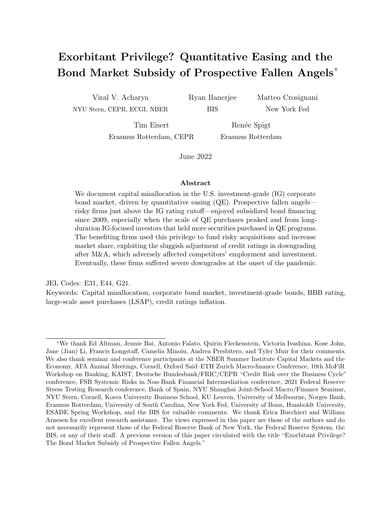the last two columns show that a vulnerable firm has a higher probability to be downgraded by at least one rating category in the next year.

|                  | Negative Watch | Negative Watch | Downgrade  | Downgrade  |
|------------------|----------------|----------------|------------|------------|
| Vulnerable       | $0.078***$     | $0.043**$      | $0.021***$ | $0.018***$ |
|                  | (0.018)        | (0.018)        | (0.005)    | (0.005)    |
| <b>Size</b>      |                | $0.017**$      |            | $0.003*$   |
|                  |                | (0.007)        |            | (0.002)    |
| Leverage         |                | $0.131**$      |            | 0.016      |
|                  |                | (0.055)        |            | (0.015)    |
| IC Ratio         |                | $-0.010***$    |            | $-0.000**$ |
|                  |                | (0.001)        |            | (0.000)    |
| Industry-Year FE | X              | X              | $\times$   | X          |
| Observations     | 9,056          | 8,973          | 9,431      | 9,341      |
| R-squared        | 0.118          | 0.150          | 0.094      | 0.097      |

Table D.2: Credit rating actions after being classified as vulnerable. This table presents the estimation results from Specification (D1) for our sample of rated firms. The dependent variable Negative Watch is a dummy variable equal to one if a firm is placed on negative credit watch or outlook in year t or  $t + 1$ . The dependent variable *Downgrade* is a dummy variable equal to one if a firm is downgraded by at least one rating category in year  $t + 1$ , i.e., a firm that has a rating of  $A +$ ,  $A$ , or  $A$ - is downgraded to at least BBB+. Vulnerable is a dummy equal to one if a firm is vulnerable in period  $t$ . Firm level control variables are size (log of total assets), leverage and IC ratio. Standard errors clustered at the firm level in parentheses. \*\*\* p<0.01, \*\* p<0.05, \* p<0.1.

Finally, we examine how the balance sheet characteristics of vulnerable firms change after the obtaining the vulnerability status. Following Banerjee and Hofmann (2020), we create a local linear projection specification, based on a sequence of regression models where the dependent variable is shifted several steps forward and backward in time, relative to a reference point. Our reference point is the date at which a firm is classified as vulnerable for the first time. Specifically, we estimate the following specification:

$$
Y_{iht+q} = \beta_q EnterVulnerable_{iht} + \gamma_qVulnerable_{iht} + \eta_qX_{iht+q} + \mu_{ht+q} + \epsilon_{iht+q},
$$
 (D1)

where i is a firm, h an industry, t a year, and  $q \in \mathcal{Q}$ , where  $\mathcal{Q} = \{-3, -2, -1, 0, 1, 2, 3\}.$ The dependent variable  $Y$  is asset growth, employment growth, sales growth, and capital expenditures in period  $t + q$ . Enter Vulnerable is a dummy equal to one if a firm becomes vulnerable for the first time in period t. Vulnerable is a dummy equal to one if a firm is vulnerable in period t, but did not become vulnerable in period t for the first time, i.e., it has been classified as vulnerable before. This specification ensures we compare firms becoming vulnerable for the first time only to non-vulnerable firms.  $X_{iht+q}$  is the logarithm of total assets and  $\mu_{ht+q}$  are industry-year fixed effects.

The coefficient of interest  $\beta_q$  measures a vulnerable firm's development, in the three years before and after the firm is classified as vulnerable, of sales growth, investments, asset growth, and employment growth. A positive (negative) coefficient implies that a vulnerable firm has a higher (lower) value of the respective dependent variable compared to a non-vulnerable firm. Figure D.1 shows the estimated  $\beta_q$  coefficients, documenting that firm performance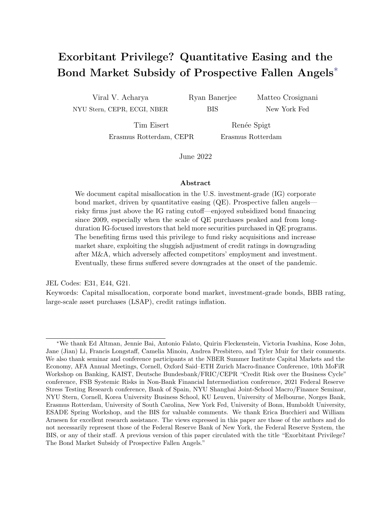deteriorates once it becomes vulnerable. Its sales growth and investment decline significantly, a dynamic also reflected in the drop in firm size and employment growth.



Figure D.1: Firm performance after being classified as downgrade-vulnerable. This figure shows the evolution of the estimated coefficient  $\beta_q$  from Specification (D1) three years before and after a firm becomes downgrade-vulnerable. Year zero corresponds to the first year a firm is classified as downgrade-vulnerable. The 95% confidence interval is reported, with standard errors clustered at the firm level.

#### D.2 Descriptive statistics of bonds by vulnerability

Panel A of Table D.3 shows that the characteristics of bonds issued by downgrade-vulnerable firms are similar to those issued by non-downgrade-vulnerable firms. The remaining maturities are similar, with a median remaining maturity of 6.7 and 6.6 years respectively. The offering amounts are also similar as is the likelihood of bonds being classified as senior and also whether the bond is callable. On average, secondary market spreads on bonds issued by downgrade-vulnerable firms are lower than spreads of non-downgrade-vulnerable firms. Panel B, however, shows that this is driven by a composition effect across the sample. Within each rating category secondary market spreads of bonds issued by downgrade-vulnerable firms are higher than those of their non-downgrade-vulnerable peers across the distribution. The one exception is the BBB segment where bond spreads are lower than their non-vulnerable peers.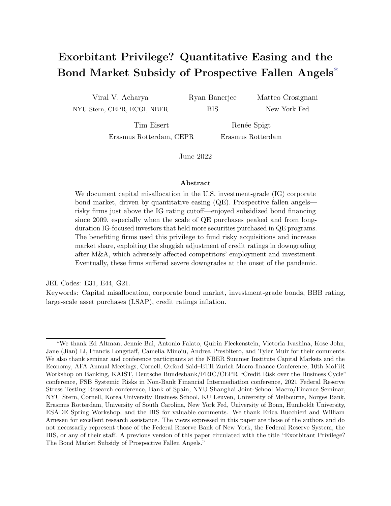| Variable             | Vulnerable | Mean  | StDev | p25  | p50  | p75   |
|----------------------|------------|-------|-------|------|------|-------|
| Remaining maturity   | No.        | 9.7   | 8.5   | 3.9  | 6.7  | 9.9   |
| Remaining maturity   | Yes        | 10.3  | 9.0   | 3.8  | 6.8  | 15.1  |
| log(offering amount) | No         | 13.2  | 0.6   | 12.8 | 13.1 | 13.5  |
| log(offering amount) | Yes        | 13.4  | 0.7   | 12.9 | 13.3 | 13.8  |
| Senior bond          | No         | 0.7   | 0.4   | 0.0  | 1.0  | 1.0   |
| Senior bond          | Yes        | 0.7   | 0.4   | 0.0  | 1.0  | 1.0   |
| Callable bond        | No         | 0.9   | 0.3   | 1.0  | 1.0  | 1.0   |
| Callable bond        | Yes        | 0.9   | 0.3   | 1.0  | 1.0  | 1.0   |
| Spread               | No         | 136.0 | 150.8 | 59.4 | 97.5 | 161.4 |
| Spread               | Yes        | 132.1 | 163.6 | 58.3 | 95.4 | 151.1 |

Panel A: Bond-level descriptive statistics

| Panel B: Bond spreads by rating |  |  |  |
|---------------------------------|--|--|--|
|---------------------------------|--|--|--|

| Rating                                 | Vulnerable                             | Mean                      | p25                     | p50                     | p75                      | Std Dev        |
|----------------------------------------|----------------------------------------|---------------------------|-------------------------|-------------------------|--------------------------|----------------|
| AAA-AA<br>AAA-AA<br>Di erence          | N <sub>o</sub><br>Yes                  | 40.5<br>42.1<br>1.6       | 16.9<br>21.8<br>4.9     | 31.3<br>36.4<br>5.1     | 53.4<br>55.9<br>2.5      | 32.4<br>26.8   |
| A<br>A<br>Di<br>erence                 | N <sub>o</sub><br>Yes                  | 60.0<br>65.5<br>5.4       | 35.3<br>41.2<br>5.9     | 52.9<br>58.6<br>5.6     | 73.8<br>82.1<br>8.4      | 34.7<br>33.7   |
| <b>BBB</b><br><b>BBB</b><br>Di erence  | N <sub>o</sub><br>Yes                  | 110.1<br>106.7<br>$-3.4$  | 72.3<br>67.7<br>-4.6    | 99.7<br>93.2<br>$-6.5$  | 134.4<br>129.9<br>$-4.5$ | 54.0<br>56.8   |
| <b>BB</b><br><b>BB</b><br>Di<br>erence | N <sub>o</sub><br>Yes                  | 223.1<br>253.1<br>30.0    | 167.8<br>179.3<br>11.4  | 216.4<br>239.3<br>22.9  | 270.1<br>308.0<br>37.9   | 93.5<br>115.6  |
| B<br>B<br>Di<br>erence                 | N <sub>o</sub><br>Yes                  | 358.8<br>500.2<br>141.4   | 246.5<br>326.1<br>79.6  | 327.7<br>429.6<br>101.9 | 431.0<br>580.0<br>149.0  | 175.9<br>325.7 |
| CCC<br>CCC<br>erence                   | N <sub>o</sub><br>$\operatorname{Yes}$ | 1104.4<br>1277.1<br>172.7 | 557.9<br>699.1<br>141.2 | 769.7<br>975.6<br>205.8 | 1451.0<br>1502.3<br>51.3 | 793.7<br>880.7 |

Table D.3: Bond-level summary statistics. This table reports bond-level summary statistics. Panel A shows descriptive statistics for all bonds in our sample. Panel B shows secondary market spreads by issuers' downgrade-vulnerability.

### D.3 Risk materialization with COVID-19

In this section, we provide parametric evidence that BBB firms with more inflated credit ratings experienced a sharper increase in spreads in 2020. Finally, we show non-parametrically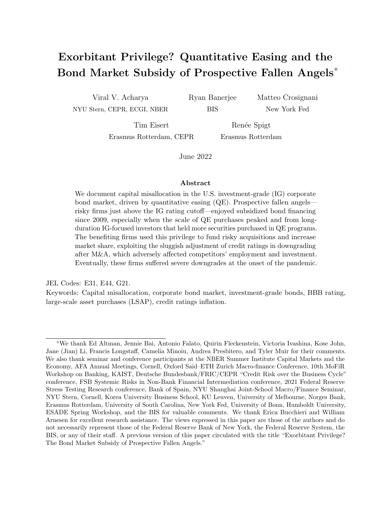that the vulnerable BBB-rated firms that engaged in M&A activity in the past had more (severe) downgrades than vulnerable BBB-rated firms that did not.

In a next step we provide more formal evidence for that riskier BBB firms experienced a sharper increase in bond spreads in March 2020. More precisely, we estimate the following specification in which we relate the degree of ratings inflation at the start of 2020 to the change in a firm's bond spreads:

$$
\Delta Spred_{ijh} = \beta_1 \text{Rating Inflation}_{jh} + \gamma_{jh} + \phi_h + \epsilon_{ijh}
$$
 (D2)

 $\Delta$  Spread<sub>ijh</sub> is the change in secondary market spread between January 2020 and March 2020 of bond i of firm j in industry h, Rating Inflation<sub>ih</sub> is the difference between the issuer rating at the start of 2020 and the implied rating based on Altman  $Z^{\prime\prime}$ -score, and  $\phi_h$  are industry fixed effects.

Table D.4 presents our results. In Column (1) we show that a greater difference between a vulnerable BBB rated firm's assigned rating and its implied rating leads to a greater change in spreads when the pandemic started. In particular, a one notch inflated issuer rating is on average associated with a 16 basis points increase in bond spreads for vulnerable BBB rated firms. In contrast the second columns shows that no such relationship exists for the other vulnerable investment grade rated firms.

|                  | $\Delta$ Spread | $\Delta$ Spread |
|------------------|-----------------|-----------------|
| Rating Inflation | $15.804***$     | $-1.178$        |
|                  | (3.529)         | (5.822)         |
| Sample           | Vuln. BBB -     | Vuln. $A-AA$    |
| Industry FE      | $\times$        | $\times$        |
| Firm Controls    | $\times$        | X               |
| Observations     | 751             | 391             |
| R-squared        | 0.503           | 0.552           |

Table D.4: Change in spreads of rating-inflated firms during COVID-19. This table presents estimation results from the bond-level regression (D2). The dependent variable is  $\Delta$  Spread, which is defined as the change in secondary market spread between January 2020 and March 2020 of a single bond. The independent variable is  $RatingInflation$  and is defined as the issuer rating at the start of 2020 minus the implied rating based on Altman Z"-score. We add a firm's total assets as firm control, and a set of industry fixed effects. In the first column the sub-sample consists of BBB rated firms and in the second column of non-BBB investment grade rated firms. Standard errors are clustered at the firm j level and reported in parentheses. \*\*\*  $p<0.01$ , \*\*  $p<0.05$ , \*  $p<0.1$ .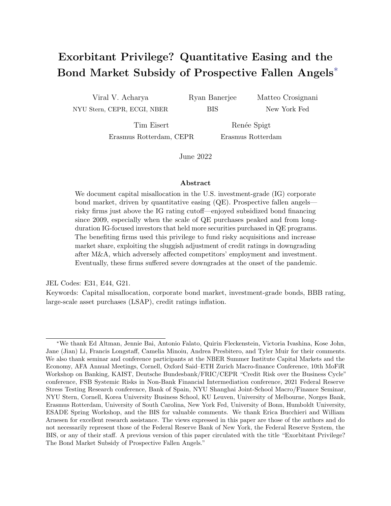#### D.4 Additional robustness tests of the exorbitant privilege

In this section, we provide additional tests examining the exorbitant privilege of vulnerable BBB firms. We first examine the sensitivity of our baseline results in Table 1 to the use of bond instead of firm-level ratings and additional controls for bond liquidity.

Table D.5 shows that the vulnerable BBB exorbitant privilege remains if we use bond-level ratings to define vulnerability. The point estimates are almost unchanged compared with our baseline results. The results with bond-level ratings also confirm the finding of higher spreads in the 2013–16 period both in secondary and primary markets.

The second set of tests examine whether systematic differences in the liquidity of vulnerable and non-vulnerable bonds may drive our results. In addition to controlling for bid-ask spreads at the rating level, the first two columns of Table D.6 additionally control for the number of times a bond is traded in a month. Similar to bid-ask spreads we allow the coefficients of the number of trades to vary by ratings category. The first column shows bonds which tend to trade more frequently have higher spreads. Nevertheless, the point estimates of the prospective fallen angel subsidy remains almost unchanged. In columns (3) to (6) we examine if the age of the bond affects our results. Columns (3) and (5) confirm the fallen angel privilege in both on-the-run bonds that were issued over the past twelve months as well as in older bonds, with both regressions having almost identical estimates of around 11 basis points. Columns (4) and (6) confirm that spreads were higher in the 2013–16 period, with slightly higher point estimates in the on-the-run sample.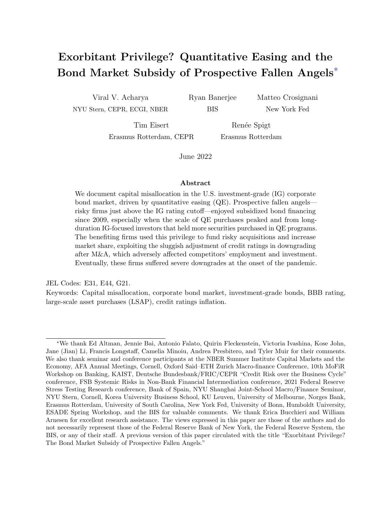|                            | Spread            | Spread              | Offer Spread | Offer Spread |
|----------------------------|-------------------|---------------------|--------------|--------------|
| А                          | 18.069            | $26.892***$         | $28.153*$    | 22.757       |
|                            | (12.203)          | (8.225)             | (14.229)     | (19.417)     |
| <b>BBB</b>                 | 69.378***         | 78.467***           | $88.911***$  | $87.631***$  |
|                            | (12.875)          | (9.086)             | (14.233)     | (16.806)     |
| BB                         | $170.350^{***}\;$ | 170.273***          | 191.808***   | 171.639***   |
|                            | (14.117)          | (14.204)            | (15.421)     | (20.990)     |
| B                          | 269.201***        | 277.771***          | $254.082***$ | 255.729***   |
|                            | (17.462)          | (20.429)            | (16.062)     | (26.260)     |
| CCC                        | 513.016***        | 510.402***          | 310.965***   | 293.466***   |
|                            | (48.641)          | (85.702)            | (24.983)     | (42.128)     |
| Vulnerable $\times$ AAA-AA | $-2.882$          | 9.253               | $-0.389$     | $-12.441$    |
|                            | (11.601)          | (8.397)             | (17.815)     | (22.726)     |
| Vulnerable $\times$ A      | 1.143             | $-0.451$            | $-0.861$     | $-10.215$    |
|                            | (4.718)           | (7.356)             | (5.910)      | (12.099)     |
| Vulnerable $\times$ BBB    | $-9.273***$       | $-15.229***$        | $-12.604**$  | $-26.295***$ |
|                            | (3.367)           | (4.970)             | (4.924)      | (7.547)      |
| Vulnerable $\times$ BB     | 15.636*           | $34.854**$          | 9.886        | 14.347       |
|                            | (8.455)           | (14.388)            | (9.419)      | (17.007)     |
| Vulnerable $\times$ B      | $73.552***$       | $90.564^{\ast\ast}$ | 54.012***    | 55.764***    |
|                            | (24.499)          | (35.794)            | (12.709)     | (16.988)     |
| vulnerable $\times$ CCC    | 319.958**         | 447.016***          | 49.794       | 40.469       |
|                            | (127.525)         | (157.206)           | (30.458)     | (52.759)     |
| Industry-Year-Month FE     | $\times$          | X                   | X            | X            |
| Bond-level controls        | $\times$          | X                   | X            | $\times$     |
| Sample                     | $2010 - 19$       | $2013 - 16$         | $2010 - 19$  | $2013 - 16$  |
| Observations               | 217,106           | 91,431              | 4,493        | 1,902        |
| R-squared                  | 0.639             | 0.630               | 0.822        | 0.787        |

Table D.5: Baseline results with bond-level ratings. This table shows the estimation results of specification (2), where bond-level ratings are used instead of issuer-level ratings. The dependent variable in each column is the secondary market bond spreads. Bond spreads are measured in basis points. Vulnerable is a dummy equal to one if at the rating bucket of the bond, the firm's Altman-Z score is below that of the cut-off for the rating bucket below. Additional bond-level controls include residual maturity, amount outstanding and bid-ask spreads, coefficients on the latter are allowed to vary by rating. The specification also includes dummy variables for callable bonds, bonds with a price price above par but below a price of 105 and the interaction between the two variable to account for changes in credit quality affecting spreads on callable bonds. These control variables are included in the estimation but not reported for brevity. These specifications include industry-year-month fixed effects (2-digit SIC). Standard errors are clustered at the firm and year-month level. \*\*\* p<0.01, \*\* p<0.05, \* p<0.1.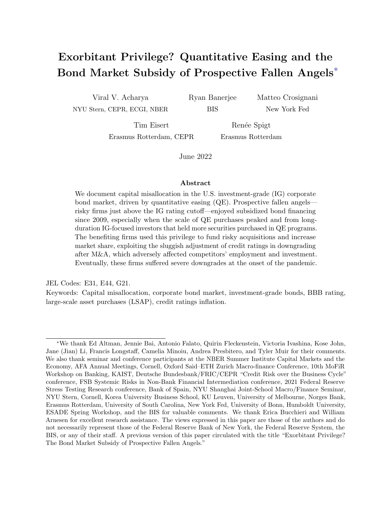|                            | $S$ pread <sub>it</sub> | $S$ pread <sub>it</sub> | $Spread_{it}$ | $S$ pread <sub>it</sub> | $Spread_{it}$ | $S$ pread <sub>it</sub>  |
|----------------------------|-------------------------|-------------------------|---------------|-------------------------|---------------|--------------------------|
| А                          | $29.242***$             | $29.069***$             | $21.395***$   | $29.302***$             | $27.681***$   | $28.767***$              |
|                            | (7.069)                 | (8.010)                 | (5.789)       | (4.682)                 | (8.420)       | (9.464)                  |
| <b>BBB</b>                 | 77.156***               | 74.784***               | 66.478***     | 73.602***               | 80.202***     | $80.073***$              |
|                            | (7.228)                 | (8.216)                 | (6.046)       | (5.800)                 | (8.754)       | (9.982)                  |
| BB                         | 177.345***              | 169.624***              | 180.852***    | 192.978***              | 183.090***    | 177.533***               |
|                            | (8.751)                 | (11.138)                | (8.354)       | (10.578)                | (11.220)      | (15.293)                 |
| B                          | 301.157***              | 299.086***              | $290.967***$  | 284.286***              | 322.081***    | $332.645^{\ast\ast\ast}$ |
|                            | (13.080)                | (21.378)                | (13.407)      | (22.557)                | (17.305)      | (29.418)                 |
| CCC                        | 965.367***              | 1,204.623***            | 722.061***    | 820.932***              | 983.977***    | $1,102.156***$           |
|                            | (108.813)               | (182.198)               | (101.199)     | (151.244)               | (123.193)     | (217.426)                |
| Vulnerable $\times$ A      | 0.049                   | $-5.771$                | $-3.044$      | $-13.153$               | 2.118         | $-1.984$                 |
|                            | (4.618)                 | (7.558)                 | (5.349)       | (9.085)                 | (5.019)       | (8.664)                  |
| Vulnerable $\times$ BBB    | $-10.644***$            | $-17.789***$            | $-11.049**$   | $-23.131***$            | $-11.830***$  | $-19.293***$             |
|                            | (3.294)                 | (5.183)                 | (4.367)       | (6.802)                 | (3.604)       | (6.034)                  |
| Vulnerable $\times$ BB     | 12.280*                 | 12.398                  | 18.967**      | 15.879                  | 12.442        | 11.922                   |
|                            | (7.454)                 | (11.578)                | (8.490)       | (13.485)                | (8.207)       | (13.030)                 |
| Vulnerable $\times$ B      | 70.596***               | 62.849**                | 62.587**      | 73.735**                | 80.738***     | $80.900**$               |
|                            | (21.153)                | (31.946)                | (24.364)      | (36.235)                | (24.674)      | (39.599)                 |
| Vulnerable $\times$ CCC    | 382.004**               | 297.260                 | 309.406*      | 243.458                 | $402.316*$    | 367.686                  |
|                            | (184.720)               | (253.627)               | (177.172)     | (217.371)               | (203.185)     | (288.044)                |
| Vulnerable $\times$ AAA-AA | 12.812*                 | 17.325**                | $11.364**$    | 14.760**                | 11.130        | $19.551*$                |
|                            | (6.849)                 | (7.923)                 | (5.584)       | (5.590)                 | (8.500)       | (10.556)                 |
| Trades $\times$ AAA        | $0.009\,$               | $-0.017$                |               |                         |               |                          |
|                            | (0.013)                 | (0.015)                 |               |                         |               |                          |
| Trades $\times$ AA         | $0.035***$              | $0.028***$              |               |                         |               |                          |
|                            | (0.008)                 | (0.011)                 |               |                         |               |                          |
| Trades $\times$ A          | $0.029***$              | $0.026**$               |               |                         |               |                          |
|                            | (0.007)                 | (0.011)                 |               |                         |               |                          |
| Trades $\times$ BBB        | $0.036***$              | $0.036***$              |               |                         |               |                          |
|                            | (0.008)                 | (0.012)                 |               |                         |               |                          |
| Trades $\times$ BB         | $0.055***$              | $0.074***$              |               |                         |               |                          |
|                            | (0.009)                 | (0.012)                 |               |                         |               |                          |
| Trades $\times$ B          | $0.109***$              | $0.171***$              |               |                         |               |                          |
|                            | (0.022)                 | (0.039)                 |               |                         |               |                          |
| Trades $\times$ CCC        | $-0.023$                | $-0.440***$             |               |                         |               |                          |
|                            | (0.114)                 | (0.166)                 |               |                         |               |                          |
| Industry-Year-Month FE     | $\times$                | $\times$                | $\times$      | $\times$                | X             | $\times$                 |
| Bond-level controls        | $\times$                | $\times$                | $\times$      | $\times$                | $\times$      | $\times$                 |
| Sample                     | $2010 - 19$             | $2013 - 16$             | $2010 - 19$   | $2013 - 16$             | $2010 - 19$   | $2013 - 16$              |
| Bond age                   | All                     | $\overline{All}$        | $< 12$ months | $\overline{<}12$ months | $>12$ months  | $>12$ months             |
| Observations               | 240,380                 | 98,812                  | 44,913        | 20,532                  | 194,465       | 77,916                   |
| R-squared                  | 0.650                   | 0.637                   | 0.734         | 0.705                   | $\,0.642\,$   | 0.622                    |

Table D.6: Additional bond liquidity controls. This table shows the estimation results of specification (2), with tests for bond liquidity. The first two columns include additional control variables for the number of times a bond is traded in a month. We allow coefficients to vary by ratings category. In the third and fifth columns, the sample is restricted to bonds that have been issued within the past 12 months, while in the fourth and sixth columns only include bonds issued at least 12 months ago and greater. In all regressions, the dependent variable in each column is the secondary market bond spreads. Bond spreads are measured in basis points. Additional bond-level controls include residual maturity, amount outstanding and bid-ask spreads, coefficients on the latter are allowed to vary by rating. The specification also includes dummy variables for callable bonds, bonds with a price price above par but below a price of 105 and the interaction between the two variable to account for changes in credit quality affecting spreads on callable bonds. Additional dummy variables for convertible bonds, covenant bonds, and senior bonds are also included in the estimation. These control variables are included in the estimation but not reported for brevity. These specifications include industry-year-month fixed effects (2-digit SIC). Standard errors are clustered at the firm and year-month level. \*\*\*  $p<0.01$ , \*\*  $p<0.05$ , \*  $p<0.1$ .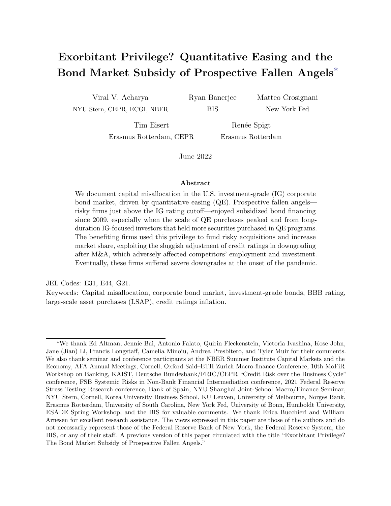## Appendix E M&A

### E.1 Additional figures



Figure E.1: M&A Total Deal Volume. This figure shows the total M&A deal volume for vulnerable and non-vulnerable firms in the high-yield (speculative-grade) category.



Figure E.2: Bond issuance and volume. This figure shows the number of bond issues and the bond issuance volume for high-yield, BBB-rated, and A/AA/AAA-rated firms from 2009 to 2019. The left panel shows the total number of bond issues, separated by M&A and non-M&A bond issues. The right panel shows the total offering amount, separated by M&A and non-M&A bond issues. A bond issue is considered to be M&A-related if a firm issues a bond in the year it does at least one M&A deal.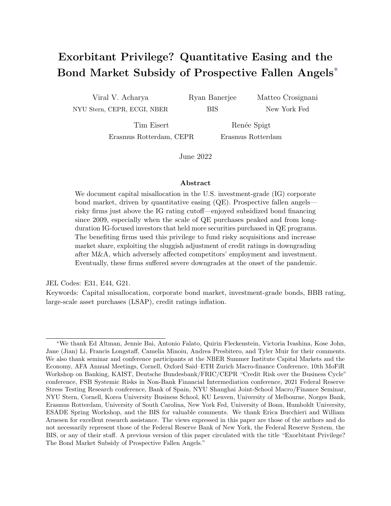

Figure E.3: M&A and the increase in market share of prospective fallen angels. This figure shows the evolution of firm market share (share of sales, weighted by the relative size of the respective industry)) for BBB-rated issuers, broken down by downgrade-vulnerability and whether a firm engages in an M&A transaction during our sample period.



Figure E.4: Broken promises about debt reduction after M&A. This figure compares the year-byyear promised path of debt reduction with observed debt after firm M& A. The x-axis shows the years since transaction. The y-axis is debt divided by EBITDA. We assume that debt reduction plans (e.g., leverage from 10 to 5 in 5 years) have a linear schedule (i.e., leverage of 6 next year). In the case a target year is not specified, we assume a two-year deadline (the modal deadline). Source: data collected by the author from firms' official presentations, press releases, investor calls, and Fitch ratings.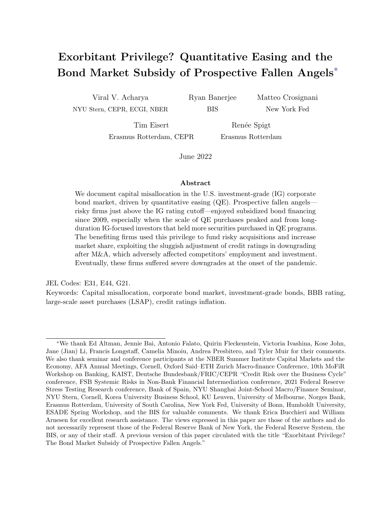

Figure E.5: Downgrade materialization of (prospective) fallen angels. This figure shows the number of downgrades that vulnerable BBB-rated firms have experienced in the years 2011 to 2020, and groups them according to their downgrade severity. The downgrade severity is measured by the number of notches a firm is being downgraded, and is subdivided into three broad categories: 0.5-1, 1.5-2, >2 notches. The left-hand panel plots the downgrade (notch) frequency for vulnerable BBB firms that have conducted an M&A since the year that they have become vulnerable. The right-hand panel shows the downgrade (notch) frequency for firms that have not conducted an M&A since the year that they have become vulnerable.

#### E.2 M&A risk-taking

In this section, we show that prospective fallen angels conduct larger M&A transactions relative to their size, use higher leverage relative to their profitability level and have more negative CARs compared to non-vulnerable firms. More specifically, we estimate the following specification:

$$
Y_{iht} = \beta_1 Vullnerable_{iht} + \beta_2 BBB_{iht} + \beta_3 Vullnerable_{iht} \times BBB_{iht}
$$
  
+  $\gamma \times X_{iht} + \eta_{ht} + \epsilon_{iht}$ , (E1)

where i is a firm, h an industry, and t a year.  $Y_{iht}$  measures the relative deal size, net debt/EBITDA (adjusted to  $Y_{iht+1}$ ) and CARs (adjusted to deal level). The coefficient  $\beta_1$ captures the effect of a firm's vulnerable status on the dependent variable. The coefficient  $\beta_2$  captures the effect of a firm's BBB rating on the dependent variable. The coefficient  $\beta_3$  captures whether the effect of a firm vulnerable status on the dependent variable is different for BBB rated firms compared with non-BBB rated firms. We include industry-year fixed effects to absorb time-varying industry level heterogeneity (e.g., demand shocks) and time-varying firm level controls.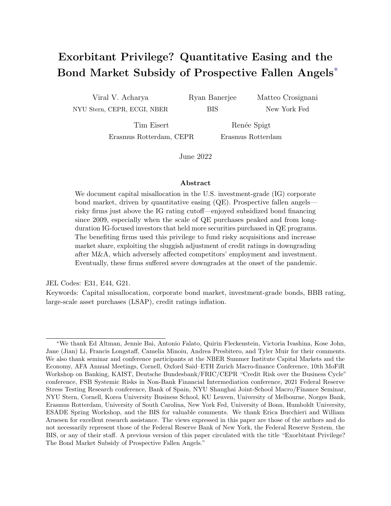|                         | <i>Relative Deal Size<sub>iht</sub></i> | $Net\,Debt/EBITDA_{iht+1}$ | $CARS_{ijht}$ |
|-------------------------|-----------------------------------------|----------------------------|---------------|
| Vulnerable $\times$ BBB | $0.055**$                               | $0.373*$                   | $-0.010*$     |
|                         | (0.025)                                 | (0.212)                    | (0.005)       |
| Vulnerable              | $-0.033**$                              | $-0.263$                   | 0.003         |
|                         | (0.015)                                 | (0.183)                    | (0.004)       |
| <b>BBB</b>              | $-0.045***$                             | $-0.222*$                  | 0.001         |
|                         | (0.013)                                 | (0.125)                    | (0.003)       |
| Controls                | X                                       | X                          | $\times$      |
| Industry-Year FE        | X                                       | X                          | Χ             |
| Sample                  | M&A Rated                               | M&A Rated                  | M&A Rated     |
| Level                   | Firm                                    | Firm                       | Deal          |
| Observations            | 1,840                                   | 2,625                      | 2,412         |
| R-squared               | 0.261                                   | 0.470                      | 0.197         |

Table E.1: M&A and risk-taking. This table presents the risk-taking of vulnerable BBB-rated firms in the year of (t) and after  $(t+1)$  the announced M&A transaction. Column (1) shows the results for the relative deal size, which is measured by the total transaction value of a firm in a given year over its lagged assets. We restrict our sample to firm-years with total transaction value bigger than zero. Column (2) shows the net debt/EBITDA levels for the M&A rated firms in the year after the M&A announcement. For Column (1) and (2) the firm controls consist of the log of assets, profitability, leverage and tangibility. Column (3) presents the 5-day cumulative abnormal returns for the M&A deals performed by the rated firms in our sample, for which we run the specification on a deal level. The total return value-weighted index is used as benchmark over a -210 to -11 day period. Control variables include the logarithm of total assets, leverage, profitability, an indicator variable for whether the deal is at least partially financed with stock, an indicator variable for whether the target has the same 2-digit SIC code as the acquiror, an indicator variable for whether the deal is cross-border, an indicator variable for a publicly listed target and the pre-deal buy-and-hold returns of the acquiror from -210 to -11 days. A t-test shows that on average the CARs of BBB vulnerable firms are -1 per cent. All specifications include industry-year fixed effects. Standard errors are clustered at the firm level.

#### E.3 Exorbitant privilege largely driven by M&A

In this section, we document that the low bond financing costs of prospective fallen angels is particularly pronounced for issuers engaging in M&A activity.

We revisit our bond pricing analysis and show that the bond financing privilege of prospective fallen angels is largely driven by M&A. To do so, we modify specification (2) to examine the change in bond spreads around M&A announcements by estimating the following specification which includes interactions with an M&A variable:

$$
\Delta_{12} Spred_{bit} = \beta_1 M \& A_{it-11} \times \text{Vulnerable}_{it-11} \times \text{Rating}_{it-11} + \beta_2 \text{Vulnerable}_{it-11} \times \text{Rating}_{it-11} + \beta_3 M \& A_{it-11} \times \text{Rating}_{it-11} + \delta X_{bt-11} + \nu_{rjt} + \epsilon_{bit}
$$
(E2)

where  $\Delta_{12}Spread_{bit}$  is the change in the secondary market spread on bond b issued by firm i between month  $t - 12$  and t, M&A<sub>it</sub> is an indicator variable equal to one if issuer i announces an M&A deal in month t, and **Rating**<sub>it</sub> is a vector of dummy variables corresponding to the credit rating of firm i in month t. We also include the same bond-level controls as in specification (2)  $X_{bt}$  and rating-industry-year-month fixed effects  $\nu_{rit}$ .

Table E.2 shows the estimation results. The significant triple interaction terms of M&A  $\times$  Vulnerable  $\times$  BBB confirm that secondary market spreads on bonds issued by prospective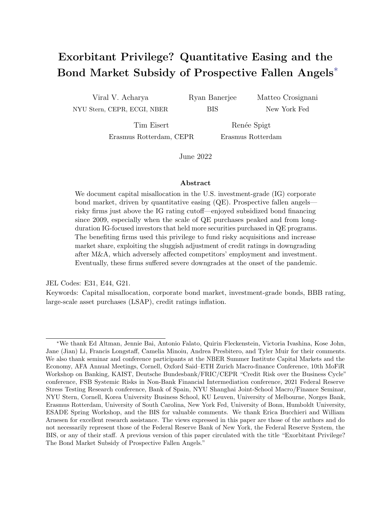|                                                                           | $\Delta_{12} Spread$ | $\Delta_{12} S$ pread |
|---------------------------------------------------------------------------|----------------------|-----------------------|
| Vulnerable <sub>it 11</sub> $\times$ AAA-AA <sub>it 11</sub>              | $-4.197***$          | $-4.018***$           |
|                                                                           | (0.899)              | (0.265)               |
| Vulnerable <sub>it 11</sub> $\times$ A <sub>it 11</sub>                   | 0.294                | 1.474                 |
|                                                                           | (1.320)              | (2.481)               |
| Vulnerable <sub>it 11</sub> $\times$ BBB <sub>it 11</sub>                 | 0.553                | $-1.976$              |
|                                                                           | (0.964)              | (1.740)               |
| Vulnerable <sub>it 11</sub> $\times$ BB <sub>it 11</sub>                  | 1.897                | 4.984                 |
|                                                                           | (5.183)              | (6.577)               |
| Vulnerable <sub>it 11</sub> $\times$ B <sub>it 11</sub>                   | $21.853*$            | $23.897*$             |
|                                                                           | (13.078)             | (13.176)              |
| $M\&A_{it}$ 11 × vulnerable <sub>it</sub> 11 × AAA-AA <sub>it</sub> 11    | $6.229**$            | $8.295***$            |
|                                                                           | (2.462)              | (0.860)               |
| $M\&A_{it-11} \times \text{vulnerable}_{it-11} \times A_{it-11}$          | 1.146                | 1.941                 |
|                                                                           | (1.503)              | (2.148)               |
| $M\&A_{it-11} \times \text{vulnerable}_{it-11} \times \text{BBB}_{it-11}$ | $-2.369$             | $-6.399**$            |
|                                                                           | (2.063)              | (3.147)               |
| $M\&A_{it-11} \times \text{vulnerable}_{it-11} \times BB_{it-11}$         | 29.558***            | 40.129***             |
|                                                                           | (10.957)             | (14.127)              |
| $M\&A_{it-11} \times \text{vulnerable}_{it-11} \times B_{it-11}$          | -7.472               | 47.515                |
|                                                                           | (40.912)             | (57.013)              |
| Rating $\times$ industry $\times$ year-month FE                           | $\times$             | X                     |
| Rating $\times$ M&A controls                                              | $\times$             | $\times$              |
| Sample period                                                             | Entire               | $2013 - 16$           |
| Observations                                                              | 66000                | 33170                 |
| R-squared                                                                 | 0.790                | 0.778                 |

Table E.2: Prospective fallen angels subsidy and M&A activity. This table presents estimation results from specification  $(E2)$ . The dependent variable is the change in the spread of bond b issued by firm i between month  $t - 12$  and t. Vulnerable is a dummy equal to 1 if firm i is vulnerable to a downgrade at date t and zero otherwise. M&A is a dummy variable equal to one if issuer i announces an M&A acquisition in month t and zero otherwise. The interactions between the  $M\&A$  dummy and issuer ratings are included in the estimation but not reported for brevity. The specification also includes dummy variables for callable bonds, bonds with a price above par but below a price of 105 and the interaction between the two variable to account for changes in credit quality affecting spreads on callable bonds. Dummy variables for convertible bonds, covenant bonds, and senior bonds are included in the estimation but not reported for brevity. Standard errors clustered at the firm level and reported in parentheses. \*\*\*  $p<0.01$ , \*\*  $p<0.05$ , \*  $p<0.1$ .

fallen angels decline around M&A announcements relative to bonds issued by prospective fallen angels that did not announce an M&A. The second column shows that the privilege was larger during the period of large QE purchases. Consistent with the privilege being only present for prospective fallen angels, downgrade-vulnerable firms in other ratings segments do not experience a decline in spreads after M&A announcements.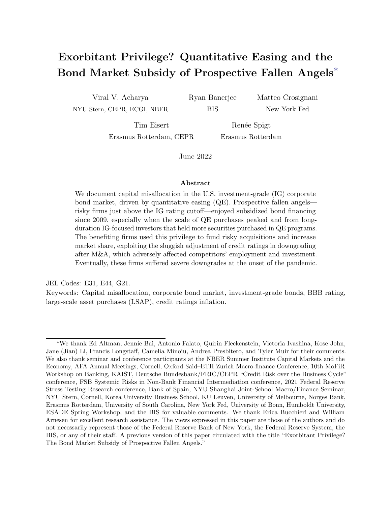#### E.4 The sluggishness of credit ratings

We now formally document that BBB-rated firms are less likely to experience a downgrade, at least in the short-term, if they engage in M&A. Formally, we estimate the following specification in the subsample of downgrade-vulnerable firms:

$$
Y_{it} = \beta_1 \text{M} \& \text{A}_{it} \times \text{BBB}_{it} + \beta_2 \text{BBB}_{it} + \beta_3 \text{M} \& \text{A}_{it} + \delta X_{it} + \eta_{ht} + \epsilon_{it} \tag{E3}
$$

where i is a firm and t is year. The dependent variable  $Y_{it}$  is ratings inflation, defined as the number of notches between the issuer's credit rating notch and the credit rating notch implied by its  $Z^{\prime\prime}$ -score. The independent variable of interest is the interaction between  $BBB_{it}$  and  $M\&A_{it}$ , where  $M\&A_{it}$  is a dummy equal to one in the year firm i has conducted an M&A deal and for the years thereafter.  $BBB_{it}$  is a dummy equal to one if firm i has a BBB rating in t.  $X_{it}$  represents a set of firm controls (log assets, leverage, and net worth) and  $\eta_{ht}$  are industry-year fixed effects.

Table E.3 shows the estimation results. The first column suggests that prospective fallen angels enjoy an additional 0.4 notches in ratings inflation compared with downgrade-vulnerable issuers in other rating groups. The second column shows that, within downgrade-vulnerable firms, ratings inflation is largely driven by firms that have undertaken an M&A. This M&A ratings inflation is, however, only enjoyed by prospective fallen angels.

The last four columns further confirm the interplay between M&A and the leniency of credit rating agencies. For this analysis, we track a firm from the first moment it is considered to be downgrade-vulnerable within a rating, until the year it is either upgraded or downgraded. This window is referred to as the downgrade-vulnerability window, and runs from  $t_0 = 0$ until  $t_h = h$ , where h is the length of the window. We drop firms that never enter the downgrade-vulnerability status or that never encounter a rating change.

We mark the downgrade-vulnerability window to be "M&A related" if a firm has conducted at least one M&A transaction while being downgrade-vulnerable within the  $(t_0,t_h)$  interval. We furthermore construct (i) a variable that denotes the  $t_0$  rating, (ii) a variable that denotes the years it took the firm to be upgraded/downgraded (equal to  $h$ ), (iii) an indicator variable equal to one if a firm is downgraded at time  $h$ , (iv) an indicator variable equal to one if a firm is upgraded at time  $h$ , and  $(v)$  a variable that denotes the downgrade severity, measured by the number of notches a firm is being downgraded at time h.

We then collapse the downgrade-vulnerability window to the year in which the rating change occurs, and are thus effectively left with the cross-section of rating changes  $j$  of firm i. This subsample allows us to study the rating dynamics of BBB M&A firms relative to non-M&A firms. Specifically, we estimate the following specification:

$$
Y_{ij} = \beta_1 \text{M} \& \text{A}_{ij} \times \text{BBB}_{ij} + \beta_2 \text{BBB}_{ij} + \beta_3 \text{M} \& \text{A}_{ij} + \delta X_{ij} + \eta_{ij} + \epsilon_{ij} \tag{E4}
$$

where i is a firm and j is the rating change. The dependent variable  $Y_{ij}$  denotes a set of variables: i) the upgrade/downgrade probability, which is a dummy variable equal to one in case of a upgrade/downgrade at time  $h$ , ii) the upgrade/downgrade intensity measured by the notches upgraded/downgraded at time  $h$ , and iii) the time to downgrade which is equal to h.  $M\&A_{ij}$  is a dummy equal to one when a firm has done an M&A deal within the  $(t_0,t_h)$  interval.  $BBB_{ij}$  is a dummy equal to one if firm i has a BBB rating at time  $t_0$ .  $X_{ij}$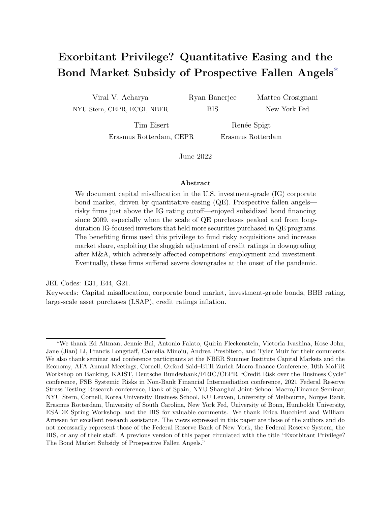|                             | Rating     | Rating     | Downgrade      | Time to     | Upgrade        | Up/Downgrade                |
|-----------------------------|------------|------------|----------------|-------------|----------------|-----------------------------|
|                             | inflation  | inflation  | probability    | downgrade   | probability    | intensity ( $\Delta$ notch) |
| $BBB_{it}$                  | $0.380**$  | 0.016      | $-0.069**$     | $-0.677***$ | $-0.026$       | 0.003                       |
|                             | (0.188)    | (0.288)    | (0.032)        | (0.244)     | (0.019)        | (0.082)                     |
| $M\&A_{it} \times BBB_{it}$ |            | $0.566*$   | $-0.082**$     | $-0.176$    | $0.070**$      | $-0.250***$                 |
|                             |            | (0.302)    | (0.038)        | (0.290)     | (0.033)        | (0.093)                     |
| $M\&A_{it}$                 |            | $-0.318$   | $0.043*$       | $0.533*$    | $-0.036*$      | $0.104*$                    |
|                             |            | (0.199)    | (0.024)        | (0.270)     | (0.019)        | (0.059)                     |
| Industry-Year FE            |            |            |                |             |                |                             |
| Controls                    | X          | $\times$   | X              | X           | X              | X                           |
| Sample                      | Vulnerable | Vulnerable | Vulnerable     | Vulnerable  | Vulnerable     | Vulnerable                  |
|                             | Entire     | Entire     | Rating changes | Downgrades  | Rating changes | Rating changes              |
| <b>Observations</b>         | 2,750      | 2,750      | 255            | 143         | 255            | 255                         |
| R-squared                   | 0.381      | 0.386      | 0.616          | 0.723       | 0.505          | 0.543                       |

Table E.3: The role of M&A in prolonging ratings inflation. This table presents firm-level regressions for vulnerable firms. In the left-hand panel, we focus on the entire sample. The dependent variable is rating inflation - calculated as the number of notches between the issuer's credit rating notch (e.g., AA+, AA, AA-, A) and the credit rating notch implied by its Z"-score. M&A is a dummy variable equal to one for the year and the years after a firm has conducted M&A. In the right-hand panel, we restrict our sample to all firm-years with rating changes (or downgrades). In these regressions M&A takes the value of one if - between rating changes - a firm has done an M&A deal while being vulnerable. The dependent variables include i) downgrade probability, which is a dummy variable equal to one in case of a downgrade by at least one rating category, ii) time to downgrade, which measures the time between the first time a firm is considered to be vulnerable after a rating change, up until the next rating change, iii) upgrade probability, which is a dummy variable equal to one in case of an upgrade by at least one rating category, and iv) downgrade intensity which measures the number of notches a firm is up- or downgraded. A positive number refers to a downgrade, and a negative number to an upgrade. The dependent variables are weighted by the total debt outstanding in a rating category in a given year. All specifications include industry-year fixed effects and firm-level controls (including log(total assets), leverage, net worth and tangibility (ppent / assets)). Standard errors are clustered at the firm level. \*\*\*  $p<0.01$ , \*\*  $p<0.05$ , \*  $p<0.1$ .

represents a set of firm controls (log of total assets, leverage and tangibility) at time  $h$  and  $\eta_{ij}$  are industry-year fixed effects at time h.

The third column shows that, while downgrade-vulnerable firms that undertake M&A have a higher probability of being downgraded, prospective fallen angels that undertake M&A have a *lower* probability of being downgraded, consistent with a leniency of credit rating agencies. In the fourth column, we further restrict the sample to include only downgrades. We find that, conditional on being downgraded, M&A extends the time-to-downgrade in all rating categories.

The inherent riskiness of M&A might be, ex-post, good news for the downgrade-vulnerable firm. The last two columns of the table likely capture these cases. The fifth column shows that, for prospective fallen angels, M&A provides an upside potential, estimated as an increased upgrade probability. This upside potential is confirmed in the last column, where the negative coefficient of the interaction term captures a higher upgrade intensity relative to other M&A firms. However, in the remainder of this section, we show that M&A causes a buildup in vulnerability, which materialized at the onset of the COVID-19 pandemic.

Table E.4 confirms that the COVID-19 shock particularly affected prospective fallen angels that engaged in M&A. We augment specification (E4) to include a triple interaction with a time dummy equal to one in 2020. In the first column, the sum of the coefficients of  $M\&A$  and  $M\&A\times 2020$  shows that M&As do not in general affect the probability of being downgraded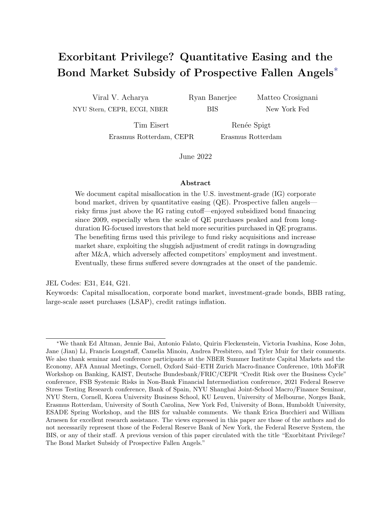|                                            | Downgrade        | Upgrade          | Up/Downgrade                      | Time to          |
|--------------------------------------------|------------------|------------------|-----------------------------------|------------------|
|                                            | probability      | probability      | intensity $(\Delta \text{notch})$ | downgrade        |
| $M\&A_{ij}\times BBB_{ij}\times 2020_{ij}$ | $0.233***$       | $-0.051$         | $0.441**$                         | $1.034*$         |
|                                            | (0.068)          | (0.050)          | (0.170)                           | (0.566)          |
| $M\&A_{ii} \times 2020_{ii}$               | $-0.065*$        | 0.006            | $-0.022$                          | $-0.965**$       |
|                                            | (0.037)          | (0.032)          | (0.125)                           | (0.437)          |
| $M\&A_{ij}\times BBB_{ij}$                 | $-0.124***$      | $0.090**$        | $-0.328***$                       | $-0.459$         |
|                                            | (0.046)          | (0.043)          | (0.115)                           | (0.408)          |
| $BBB_{ij} \times 2020_{ij}$                | $-0.130**$       | $-0.023$         | $-0.273**$                        | $-0.512$         |
|                                            | (0.052)          | (0.032)          | (0.123)                           | (0.435)          |
| $BBB_{ii}$                                 | $-0.056*$        | $-0.025$         | 0.023                             | $-0.579**$       |
|                                            | (0.032)          | (0.020)          | (0.082)                           | (0.245)          |
| $M\&A_{ii}$                                | $0.055**$        | $-0.038*$        | 0.109                             | $0.772**$        |
|                                            | (0.028)          | (0.023)          | (0.068)                           | (0.357)          |
| Industry-Year FE                           | X                | X                | X                                 | X                |
| Controls                                   | X                | X                | X                                 | Χ                |
| Sample                                     | Vulnerable firms | Vulnerable firms | Vulnerable firms                  | Vulnerable firms |
|                                            | Rating changes   | Rating changes   | Rating changes                    | Downgrades       |
| Observations                               | 255              | 255              | 255                               | 143              |
| R-squared                                  | 0.625            | 0.512            | 0.550                             | 0.736            |

Table E.4: Downgrades and upgrades following  $M\&A$ . This table presents estimation results from the augmented specification (E4). The dependent variables are downgrade probability, upgrade probability, time to downgrade and downgrade intensity, weighted by the total debt amount in a rating category in a given year. Downgrade / upgrade probability are dummy variables which take the value of one in case of a downgrade / upgrade. Downgrade / upgrade intensity measures the number of notches a firm is downgraded / upgraded, if downgraded / upgraded by at least one rating category. A positive number refers to a downgrade, and a negative number to an upgrade. Time to downgrade measures the time it took a firm to downgrade after obtaining the vulnerability status. Control variables include the log of total assets, leverage and tangibility (ppent / assets). For columns  $(1)$ ,  $(2)$ , and  $(3)$ , the sample consists of vulnerable firms that have experienced a rating change. Column (4) focuses on vulnerable firms that have been downgraded. Standard errors are clustered at the firm-level and reported in parentheses. \*\*\*  $p<0.01$ , \*\*  $p<0.05$ , \*  $p<0.1$ .

in 2020. However, the incremental effect of  $M\&A \times BBB$  and  $M\&A \times BBB \times 2020$  shows that this is not the case for the BBB rating. Rather, the results show that the downgrade risk of prospective fallen angels in 2020 is larger and materializes in an economic downturn. Importantly, the second column shows that the COVID-19 pandemic did not affect the upgrade probability of prospective fallen angels in 2020.

In the third column, we replace the probability of upgrades and downgrades by their intensity, measured by the number of notches a firm is upgraded or downgraded. A positive number refers to a downgrade, and a negative number to an upgrade. The sum of the coefficients  $M\&A \times BBB$  and  $M\&A$  shows that, in the years prior to the COVID-shock, prospective fallen angels that conducted M&A deals have a greater upgrade intensity, echoing the results of Table E.3. However, once the COVID-shock hits the economy, the pattern reverses. In 2020, prospective fallen angels have not only been downgraded more often, but have also been downgraded by more notches.

Finally, we provide suggestive evidence linking the downgrades of prospective fallen angels in 2020 to the leniency of credit rating agencies. Specifically, we examine the time-todowngrade for downgrade-vulnerable firms in 2020. In the last column, we observe that it took longer to be downgraded for prospective fallen angels that did an M&A deal. These results suggest that the BBB-rated firms that fell to the speculative-grade market in 2020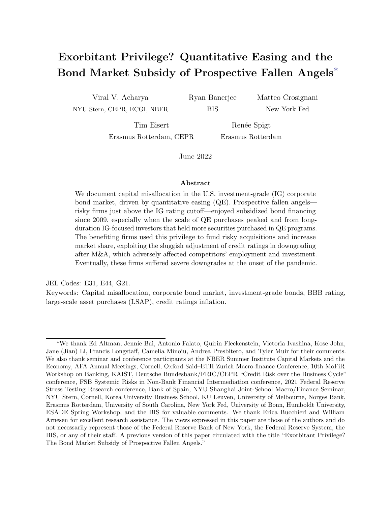might have benefited from the leniency of credit rating agencies during the pre-pandemic years. However, once the COVID-19 shock hit the economy, we observed a massive amount of debt being downgraded to the speculative-grade market, as shown in Figure 13.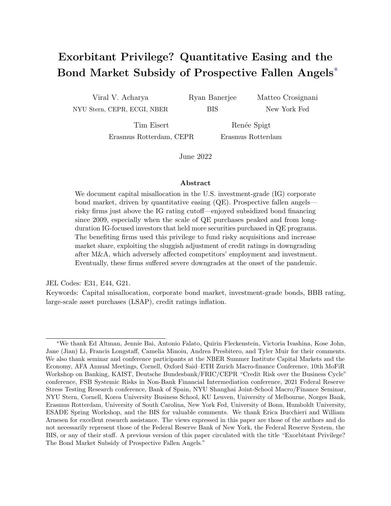# Appendix F Quantifying the subsidy

To compute the subsidy for the prospective fallen angels, we multiply the mean difference between the offering spread of bonds of downgrade-vulnerable BBB firms and the offering spread of bonds of matched BB firms by the average bond maturity and the total offering amount in the vulnerable BBB rating bucket in a given year, and sum over our 2009 to 2019 sample period. To ensure the robustness of our mean spread difference based on our matched sample, we estimate the mean spread difference for various matching score cutoffs. As shown in Figure F.1, the spread difference is stable across the different score cutoffs, and thus does not lead to material differences in our total subsidy estimate.



Figure F.1: Spread difference vulnerable BBB to matched BB across different score cutoffs. This figure shows the mean difference between the offering spread of bonds of BBB downgrade-vulnerable firms and the offering spread of bonds of matched BB firms within the same industry-year.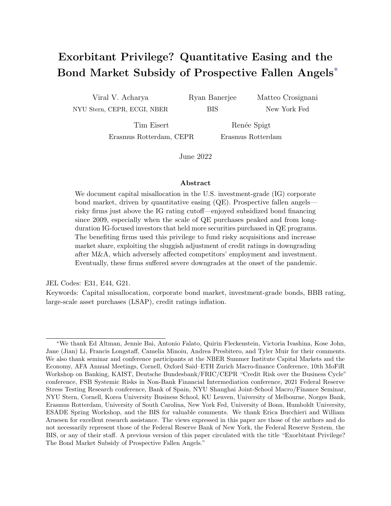



Figure G.1: Monetary policy stance. This figure shows the monetary policy stance in the U.S. during our sample period. The six panels show the size of the Fed balance sheet (trillion dollars), the 10-year Treasury yields (%), the 2-year Treasury yields (%), the difference between the 10-year and the 2-year Treasury yields, the effective fed fund rate, and the shadow rate developed in Wu and Xia (2016). The series are plotted with observations at a monthly frequency. The 10-year yields, the 2-year yields, and the effective fed fund rate are monthly averages of daily data. The fed balance sheet size is the monthly average of weekly data.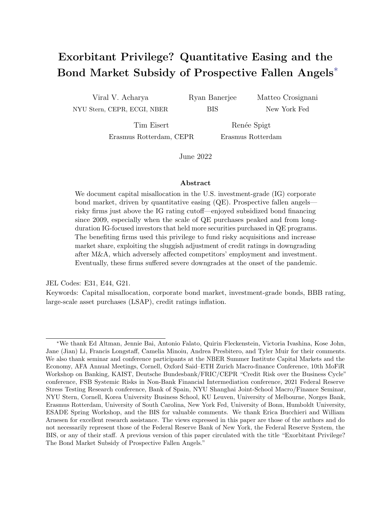## Aggregate evidence



Figure G.2: Leverage over Time. This figure shows the leverage evolution for BBB and IG-rated firms over the years 2009 to 2019. In Panel A, we show the asset-weighted book leverage, which is defined by a firm's total debt over assets. In Panel B, we show the asset-weighted market leverage, which is defined by a firm's total debt over the market value of its assets.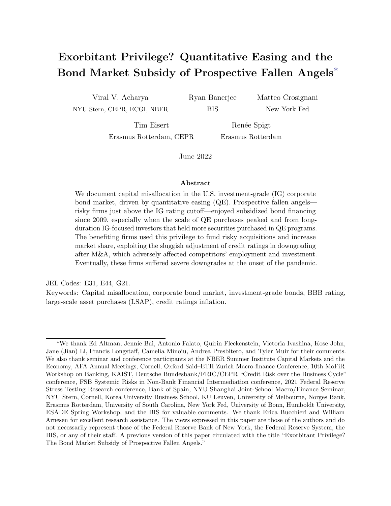## Compression of BBB spreads

We provide further evidence that the bond financing cost of BBB firms dropped significantly, and more than the financing costs of other investment grade issuers, since 2009. In Figure G.3, we show the compression of bond spreads by tracking the distribution of primary market spreads (top panel) and secondary market spreads (bottom panel) from 2010–12 (dashed lines) to 2013–16 (solid lines). The left panels compare the distribution of BBB bond spreads with the distribution of A bond spreads. The right panels compare the distribution of BBB bond spreads with the distribution of AA bond spreads. The four panels document a pronounced leftward shift of BBB spreads in the primary and the secondary market. If anything, we observe a slight *rightward* shift for A and AA spreads. In Figure  $G.1$ , we show that the 2013–16 is characterized by a substantial monetary easing by the Federal Reserve.



Figure G.3: Shift in bond spread distributions from 2010–12 to 2013–16. This figure shows how bond spreads distributions changed from 2010–12 (dashed lines) to 2013–16 (solid lines). The top panels show the distribution of offering spreads for newly issued bonds. The bottom two panels show the distribution of secondary market spreads for traded bonds. The left and right panels compare the distributions of BBB bond spreads (red lines) with the distributions of A bond spreads and AA bond spreads (green lines), respectively.